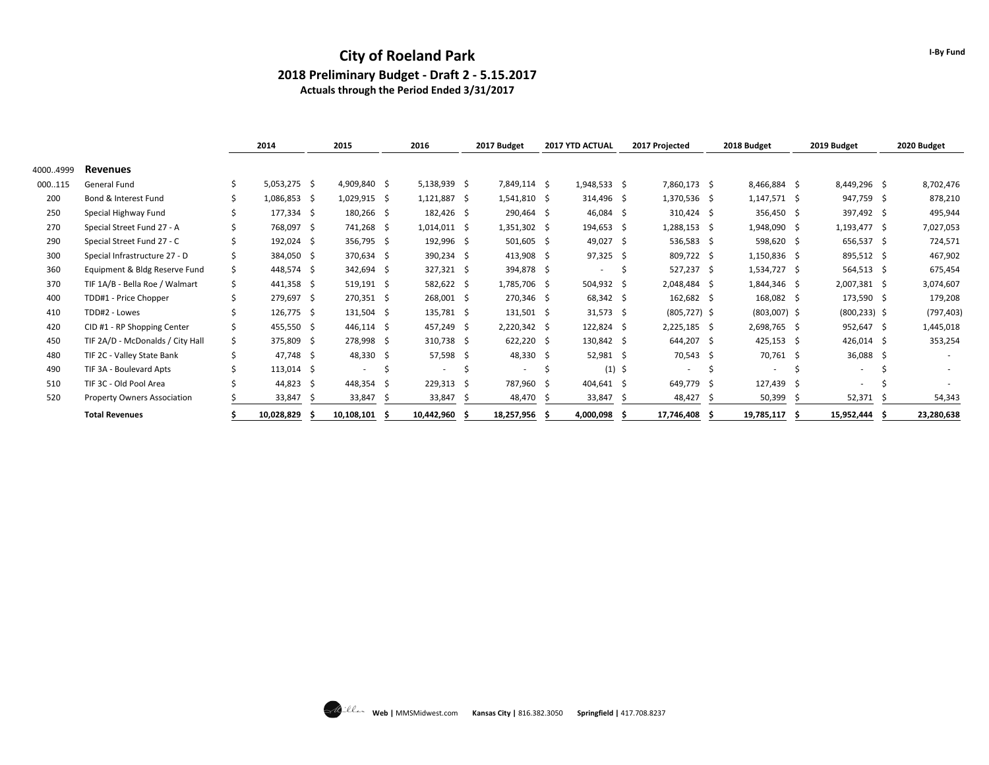#### **City of Roeland Park 2018 Preliminary Budget - Draft 2 - 5.15.2017 Actuals through the Period Ended 3/31/2017**

|          |                                    |   | 2014           | 2015                     | 2016                     |   | 2017 Budget    |    | 2017 YTD ACTUAL          |    | 2017 Projected           | 2018 Budget    |     | 2019 Budget     |     | 2020 Budget |
|----------|------------------------------------|---|----------------|--------------------------|--------------------------|---|----------------|----|--------------------------|----|--------------------------|----------------|-----|-----------------|-----|-------------|
| 40004999 | <b>Revenues</b>                    |   |                |                          |                          |   |                |    |                          |    |                          |                |     |                 |     |             |
| 000115   | General Fund                       |   | $5,053,275$ \$ | 4,909,840 \$             | $5,138,939$ \$           |   | 7,849,114 \$   |    | $1,948,533$ \$           |    | 7,860,173 \$             | 8,466,884 \$   |     | 8,449,296 \$    |     | 8,702,476   |
| 200      | Bond & Interest Fund               |   | 1,086,853 \$   | 1,029,915 \$             | $1,121,887$ \$           |   | 1,541,810 \$   |    | 314,496 \$               |    | 1,370,536 \$             | $1,147,571$ \$ |     | 947,759 \$      |     | 878,210     |
| 250      | Special Highway Fund               |   | 177,334 \$     | 180,266 \$               | 182,426 \$               |   | 290,464 \$     |    | $46,084$ \$              |    | 310,424 \$               | 356,450 \$     |     | 397,492 \$      |     | 495,944     |
| 270      | Special Street Fund 27 - A         |   | 768,097 \$     | 741,268 \$               | $1,014,011$ \$           |   | $1,351,302$ \$ |    | 194,653 \$               |    | 1,288,153 \$             | 1,948,090 \$   |     | $1,193,477$ \$  |     | 7,027,053   |
| 290      | Special Street Fund 27 - C         |   | 192,024 \$     | 356,795 \$               | 192,996 \$               |   | $501,605$ \$   |    | 49,027 \$                |    | 536,583 \$               | 598,620 \$     |     | 656,537 \$      |     | 724,571     |
| 300      | Special Infrastructure 27 - D      |   | 384,050 \$     | 370,634 \$               | 390,234 \$               |   | $413,908$ \$   |    | $97,325$ \$              |    | 809,722 \$               | $1,150,836$ \$ |     | 895,512 \$      |     | 467,902     |
| 360      | Equipment & Bldg Reserve Fund      | Ŝ | 448,574 \$     | 342,694 \$               | 327,321 \$               |   | 394,878 \$     |    | $\overline{\phantom{a}}$ | Ŝ. | 527,237 \$               | $1,534,727$ \$ |     | $564,513$ \$    |     | 675,454     |
| 370      | TIF 1A/B - Bella Roe / Walmart     |   | 441,358 \$     | 519,191 \$               | 582,622 \$               |   | 1,785,706 \$   |    | 504,932 \$               |    | 2,048,484 \$             | 1,844,346 \$   |     | 2,007,381 \$    |     | 3,074,607   |
| 400      | TDD#1 - Price Chopper              |   | 279,697 \$     | 270,351 \$               | 268,001 \$               |   | 270,346 \$     |    | $68,342 \quad $$         |    | 162,682 \$               | 168,082 \$     |     | 173,590 \$      |     | 179,208     |
| 410      | TDD#2 - Lowes                      |   | 126,775 \$     | 131,504 \$               | 135,781 \$               |   | 131,501 \$     |    | $31,573$ \$              |    | $(805, 727)$ \$          | $(803,007)$ \$ |     | $(800, 233)$ \$ |     | (797, 403)  |
| 420      | CID #1 - RP Shopping Center        |   | 455,550 \$     | $446,114$ \$             | 457,249 \$               |   | $2,220,342$ \$ |    | $122,824$ \$             |    | $2,225,185$ \$           | 2,698,765 \$   |     | 952,647 \$      |     | 1,445,018   |
| 450      | TIF 2A/D - McDonalds / City Hall   |   | 375,809 \$     | 278,998 \$               | 310,738 \$               |   | 622,220 \$     |    | 130,842 \$               |    | 644,207 \$               | $425,153$ \$   |     | $426,014$ \$    |     | 353,254     |
| 480      | TIF 2C - Valley State Bank         |   | 47,748 \$      | 48,330 \$                | 57,598 \$                |   | 48,330 \$      |    | $52,981$ \$              |    | 70,543 \$                | 70,761 \$      |     | 36,088 \$       |     |             |
| 490      | TIF 3A - Boulevard Apts            |   | $113,014$ \$   | $\overline{\phantom{a}}$ | $\overline{\phantom{a}}$ | Ŝ | ۰.             | S  | $(1)$ \$                 |    | $\overline{\phantom{a}}$ | ٠.             | Ŝ   | ٠.              | .S  |             |
| 510      | TIF 3C - Old Pool Area             |   | 44,823 \$      | 448,354 \$               | $229,313 \quad $$        |   | 787,960 \$     |    | 404,641 \$               |    | 649,779 \$               | 127,439 \$     |     | ٠               | Ŝ   |             |
| 520      | <b>Property Owners Association</b> |   | 33,847         | 33,847                   | 33,847                   |   | 48,470         |    | 33,847                   |    | 48,427                   | 50,399         |     | 52,371          |     | 54,343      |
|          | <b>Total Revenues</b>              |   | 10,028,829     | 10,108,101               | 10,442,960               |   | 18,257,956     | -S | 4,000,098                |    | 17,746,408               | 19,785,117     | - Ś | 15,952,444      | - S | 23,280,638  |



**I-By Fund**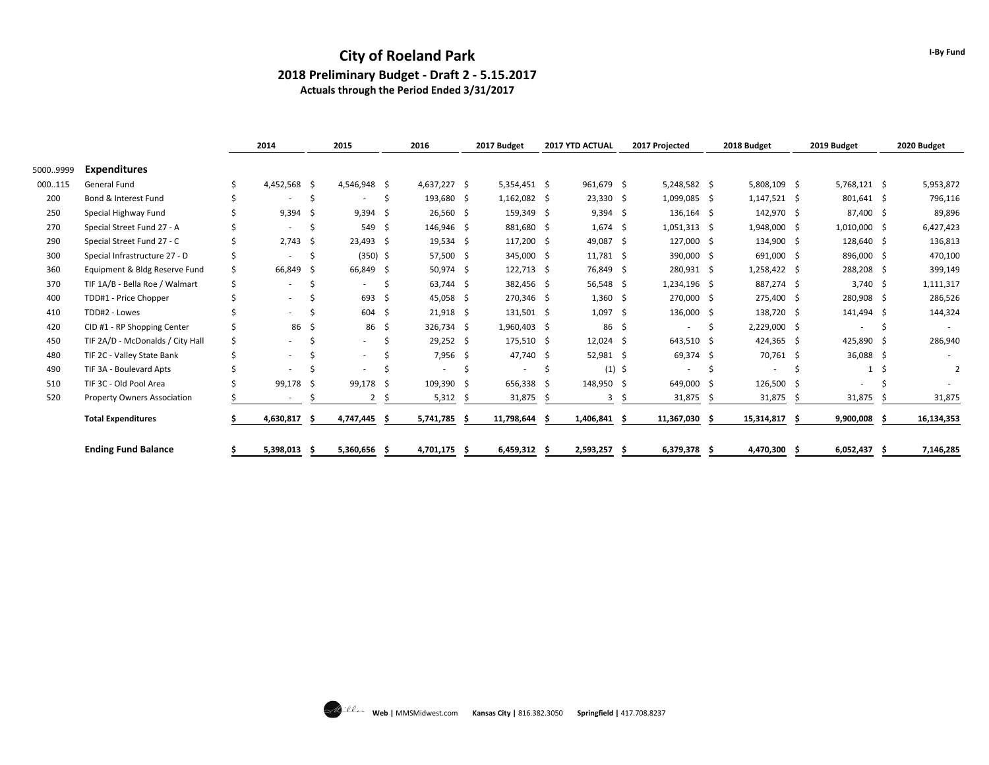#### **City of Roeland Park 2018 Preliminary Budget - Draft 2 - 5.15.2017 Actuals through the Period Ended 3/31/2017**

|          |                                    |   | 2014                     |     | 2015                     |     | 2016         | 2017 Budget    |     | 2017 YTD ACTUAL |      | 2017 Projected           |    | 2018 Budget    | 2019 Budget              |     | 2020 Budget |
|----------|------------------------------------|---|--------------------------|-----|--------------------------|-----|--------------|----------------|-----|-----------------|------|--------------------------|----|----------------|--------------------------|-----|-------------|
| 50009999 | <b>Expenditures</b>                |   |                          |     |                          |     |              |                |     |                 |      |                          |    |                |                          |     |             |
| 000115   | General Fund                       |   | 4,452,568 \$             |     | 4,546,948 \$             |     | 4,637,227 \$ | 5,354,451 \$   |     | 961,679 \$      |      | $5,248,582$ \$           |    | 5,808,109 \$   | $5,768,121$ \$           |     | 5,953,872   |
| 200      | Bond & Interest Fund               |   | $\overline{\phantom{a}}$ | \$  |                          |     | 193,680 \$   | $1,162,082$ \$ |     | $23,330$ \$     |      | 1,099,085 \$             |    | $1,147,521$ \$ | 801,641 \$               |     | 796,116     |
| 250      | Special Highway Fund               |   | 9,394                    | - Ś | 9,394                    | - S | 26,560 \$    | 159,349 \$     |     | $9,394$ \$      |      | $136,164$ \$             |    | 142,970 \$     | 87,400 \$                |     | 89,896      |
| 270      | Special Street Fund 27 - A         |   | $\overline{\phantom{a}}$ |     | 549 \$                   |     | 146,946 \$   | 881,680 \$     |     | $1,674$ \$      |      | $1,051,313$ \$           |    | 1,948,000 \$   | $1,010,000$ \$           |     | 6,427,423   |
| 290      | Special Street Fund 27 - C         |   | $2,743$ \$               |     | $23,493$ \$              |     | 19,534 \$    | 117,200 \$     |     | 49,087 \$       |      | 127,000 \$               |    | 134,900 \$     | 128,640 \$               |     | 136,813     |
| 300      | Special Infrastructure 27 - D      |   | $\overline{\phantom{a}}$ |     | $(350)$ \$               |     | 57,500 \$    | 345,000 \$     |     | $11,781$ \$     |      | 390,000 \$               |    | 691,000 \$     | 896,000 \$               |     | 470,100     |
| 360      | Equipment & Bldg Reserve Fund      | Ś | 66,849                   | - Ś | 66,849 \$                |     | 50,974 \$    | $122,713$ \$   |     | 76,849 \$       |      | 280,931 \$               |    | 1,258,422 \$   | 288,208                  | - Ś | 399,149     |
| 370      | TIF 1A/B - Bella Roe / Walmart     |   | $\overline{\phantom{a}}$ |     |                          |     | $63,744$ \$  | 382,456 \$     |     | $56,548$ \$     |      | $1,234,196$ \$           |    | 887,274 \$     | $3,740$ \$               |     | 1,111,317   |
| 400      | TDD#1 - Price Chopper              |   | $\overline{\phantom{a}}$ |     | 693                      | - Ś | 45,058 \$    | 270,346 \$     |     | $1,360$ \$      |      | 270,000 \$               |    | 275,400 \$     | 280,908 \$               |     | 286,526     |
| 410      | TDD#2 - Lowes                      |   | ٠                        |     | 604 \$                   |     | $21,918$ \$  | 131,501 \$     |     | $1,097$ \$      |      | 136,000 \$               |    | 138,720 \$     | 141,494 \$               |     | 144,324     |
| 420      | CID #1 - RP Shopping Center        |   | 86                       | -\$ | 86                       | -\$ | 326,734 \$   | 1,960,403 \$   |     | 86              | - \$ | $\overline{\phantom{a}}$ |    | 2,229,000 \$   | $\overline{\phantom{a}}$ | .S  |             |
| 450      | TIF 2A/D - McDonalds / City Hall   |   | $\overline{\phantom{a}}$ |     | $\sim$                   |     | $29,252$ \$  | 175,510 \$     |     | $12,024$ \$     |      | 643,510 \$               |    | 424,365 \$     | 425,890 \$               |     | 286,940     |
| 480      | TIF 2C - Valley State Bank         |   | $\overline{\phantom{a}}$ |     | $\overline{\phantom{a}}$ |     | 7,956 \$     | 47,740 \$      |     | 52,981 \$       |      | 69,374 \$                |    | 70,761 \$      | 36,088 \$                |     |             |
| 490      | TIF 3A - Boulevard Apts            |   | $\overline{\phantom{a}}$ |     |                          |     |              | \$<br>٠        | S   | $(1)$ \$        |      |                          |    | ٠              | $\mathbf{1}$             | Ś.  |             |
| 510      | TIF 3C - Old Pool Area             |   | 99,178                   | - S | 99,178 \$                |     | 109,390 \$   | 656,338        | - S | 148,950 \$      |      | 649,000 \$               |    | 126,500 \$     | ۰                        |     |             |
| 520      | <b>Property Owners Association</b> |   | $\overline{\phantom{a}}$ |     | 2                        |     | 5,312        | 31,875         |     | 3               |      | 31,875                   |    | 31,875         | 31,875                   |     | 31,875      |
|          | <b>Total Expenditures</b>          |   | 4,630,817                |     | 4,747,445                | - Ś | 5,741,785 \$ | 11,798,644     |     | 1,406,841       | .S   | 11,367,030               | -S | 15,314,817     | 9,900,008                |     | 16,134,353  |
|          | <b>Ending Fund Balance</b>         |   | 5,398,013                |     | 5,360,656 \$             |     | 4,701,175    | 6,459,312      |     | 2,593,257 \$    |      | 6,379,378 \$             |    | 4,470,300      | 6,052,437                |     | 7,146,285   |



**I-By Fund**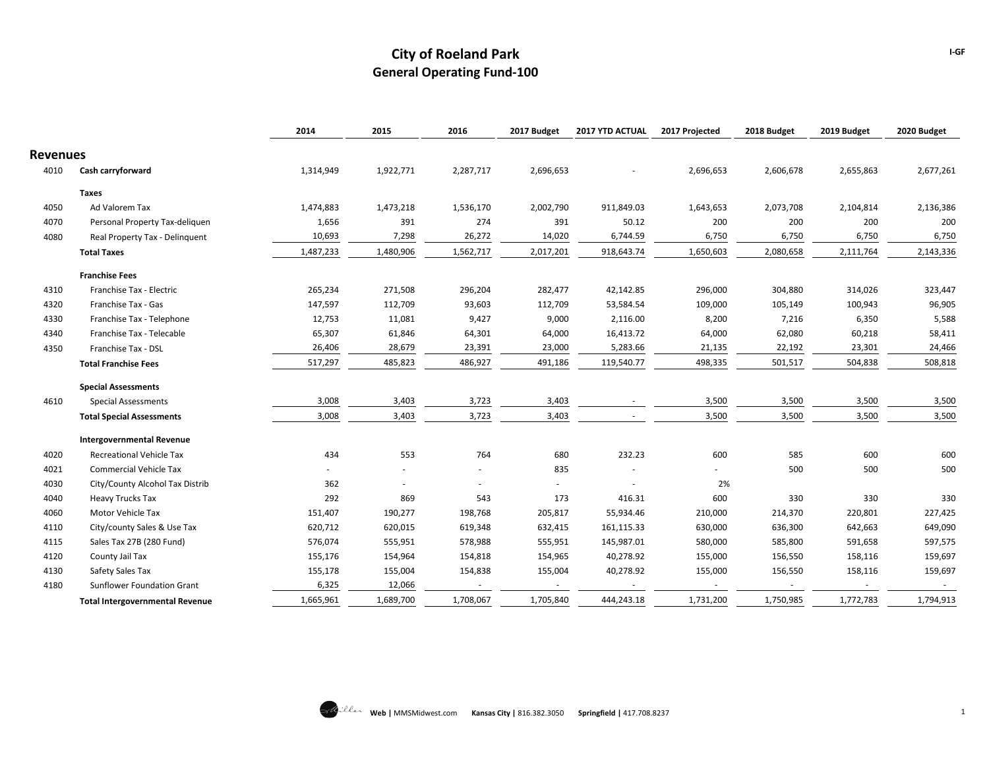|                 |                                        | 2014                     | 2015      | 2016      | 2017 Budget | 2017 YTD ACTUAL | 2017 Projected | 2018 Budget | 2019 Budget | 2020 Budget |
|-----------------|----------------------------------------|--------------------------|-----------|-----------|-------------|-----------------|----------------|-------------|-------------|-------------|
| <b>Revenues</b> |                                        |                          |           |           |             |                 |                |             |             |             |
| 4010            | Cash carryforward                      | 1,314,949                | 1,922,771 | 2,287,717 | 2,696,653   |                 | 2,696,653      | 2,606,678   | 2,655,863   | 2,677,261   |
|                 | Taxes                                  |                          |           |           |             |                 |                |             |             |             |
| 4050            | Ad Valorem Tax                         | 1,474,883                | 1,473,218 | 1,536,170 | 2,002,790   | 911,849.03      | 1,643,653      | 2,073,708   | 2,104,814   | 2,136,386   |
| 4070            | Personal Property Tax-deliquen         | 1,656                    | 391       | 274       | 391         | 50.12           | 200            | 200         | 200         | 200         |
| 4080            | Real Property Tax - Delinquent         | 10,693                   | 7,298     | 26,272    | 14,020      | 6,744.59        | 6,750          | 6,750       | 6,750       | 6,750       |
|                 | <b>Total Taxes</b>                     | 1,487,233                | 1,480,906 | 1,562,717 | 2,017,201   | 918,643.74      | 1,650,603      | 2,080,658   | 2,111,764   | 2,143,336   |
|                 | <b>Franchise Fees</b>                  |                          |           |           |             |                 |                |             |             |             |
| 4310            | Franchise Tax - Electric               | 265,234                  | 271,508   | 296,204   | 282,477     | 42,142.85       | 296,000        | 304,880     | 314,026     | 323,447     |
| 4320            | Franchise Tax - Gas                    | 147,597                  | 112,709   | 93,603    | 112,709     | 53,584.54       | 109,000        | 105,149     | 100,943     | 96,905      |
| 4330            | Franchise Tax - Telephone              | 12,753                   | 11,081    | 9,427     | 9,000       | 2,116.00        | 8,200          | 7,216       | 6,350       | 5,588       |
| 4340            | Franchise Tax - Telecable              | 65,307                   | 61,846    | 64,301    | 64,000      | 16,413.72       | 64,000         | 62,080      | 60,218      | 58,411      |
| 4350            | Franchise Tax - DSL                    | 26,406                   | 28,679    | 23,391    | 23,000      | 5,283.66        | 21,135         | 22,192      | 23,301      | 24,466      |
|                 | <b>Total Franchise Fees</b>            | 517,297                  | 485,823   | 486,927   | 491,186     | 119,540.77      | 498,335        | 501,517     | 504,838     | 508,818     |
|                 | <b>Special Assessments</b>             |                          |           |           |             |                 |                |             |             |             |
| 4610            | <b>Special Assessments</b>             | 3,008                    | 3,403     | 3,723     | 3,403       |                 | 3,500          | 3,500       | 3,500       | 3,500       |
|                 | <b>Total Special Assessments</b>       | 3,008                    | 3,403     | 3,723     | 3,403       |                 | 3,500          | 3,500       | 3,500       | 3,500       |
|                 | <b>Intergovernmental Revenue</b>       |                          |           |           |             |                 |                |             |             |             |
| 4020            | <b>Recreational Vehicle Tax</b>        | 434                      | 553       | 764       | 680         | 232.23          | 600            | 585         | 600         | 600         |
| 4021            | <b>Commercial Vehicle Tax</b>          | $\overline{\phantom{0}}$ |           |           | 835         |                 | $\sim$         | 500         | 500         | 500         |
| 4030            | City/County Alcohol Tax Distrib        | 362                      | $\sim$    | $\sim$    |             | $\sim$          | 2%             |             |             |             |
| 4040            | Heavy Trucks Tax                       | 292                      | 869       | 543       | 173         | 416.31          | 600            | 330         | 330         | 330         |
| 4060            | Motor Vehicle Tax                      | 151,407                  | 190,277   | 198,768   | 205,817     | 55,934.46       | 210,000        | 214,370     | 220,801     | 227,425     |
| 4110            | City/county Sales & Use Tax            | 620,712                  | 620,015   | 619,348   | 632,415     | 161,115.33      | 630,000        | 636,300     | 642,663     | 649,090     |
| 4115            | Sales Tax 27B (280 Fund)               | 576,074                  | 555,951   | 578,988   | 555,951     | 145,987.01      | 580,000        | 585,800     | 591,658     | 597,575     |
| 4120            | County Jail Tax                        | 155,176                  | 154,964   | 154,818   | 154,965     | 40,278.92       | 155,000        | 156,550     | 158,116     | 159,697     |
| 4130            | Safety Sales Tax                       | 155,178                  | 155,004   | 154,838   | 155,004     | 40,278.92       | 155,000        | 156,550     | 158,116     | 159,697     |
| 4180            | Sunflower Foundation Grant             | 6,325                    | 12,066    | $\sim$    | $\sim$      | $\sim$          | $\sim$         | $\sim$      | $\sim$      | $\sim$      |
|                 | <b>Total Intergovernmental Revenue</b> | 1,665,961                | 1,689,700 | 1,708,067 | 1,705,840   | 444,243.18      | 1,731,200      | 1,750,985   | 1,772,783   | 1,794,913   |

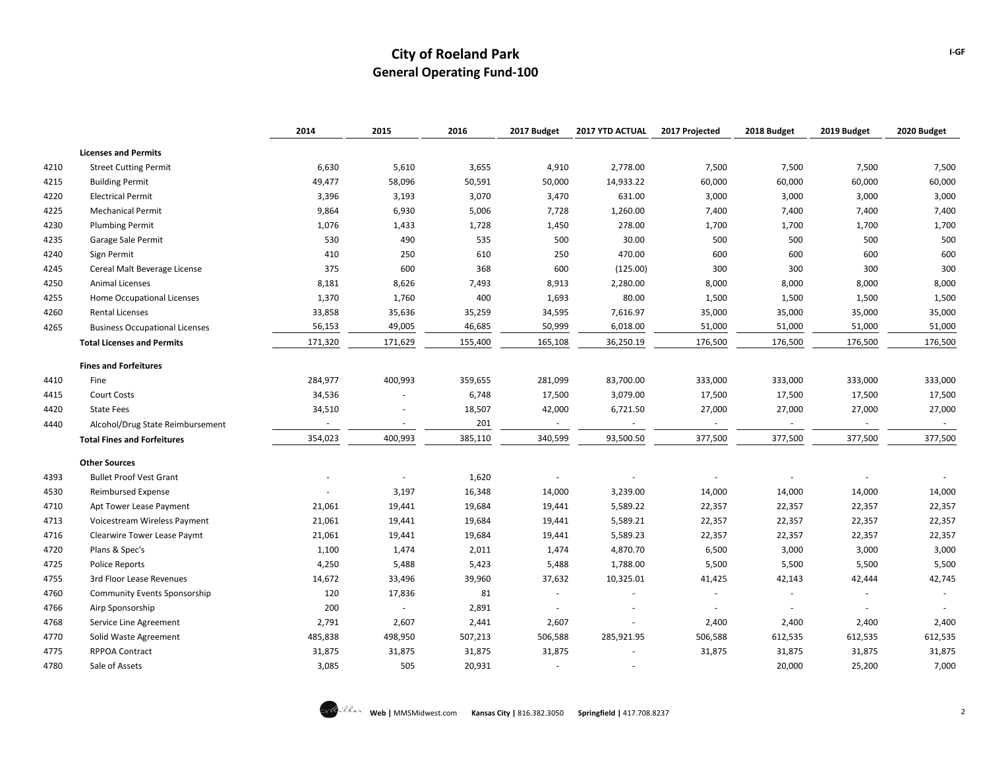|      |                                       | 2014    | 2015    | 2016    | 2017 Budget | 2017 YTD ACTUAL | 2017 Projected | 2018 Budget | 2019 Budget | 2020 Budget |
|------|---------------------------------------|---------|---------|---------|-------------|-----------------|----------------|-------------|-------------|-------------|
|      | <b>Licenses and Permits</b>           |         |         |         |             |                 |                |             |             |             |
| 4210 | <b>Street Cutting Permit</b>          | 6,630   | 5,610   | 3,655   | 4,910       | 2,778.00        | 7,500          | 7,500       | 7,500       | 7,500       |
| 4215 | <b>Building Permit</b>                | 49,477  | 58,096  | 50,591  | 50,000      | 14,933.22       | 60,000         | 60,000      | 60,000      | 60,000      |
| 4220 | <b>Electrical Permit</b>              | 3,396   | 3,193   | 3,070   | 3,470       | 631.00          | 3,000          | 3,000       | 3,000       | 3,000       |
| 4225 | <b>Mechanical Permit</b>              | 9,864   | 6,930   | 5,006   | 7,728       | 1,260.00        | 7,400          | 7,400       | 7,400       | 7,400       |
| 4230 | <b>Plumbing Permit</b>                | 1,076   | 1,433   | 1,728   | 1,450       | 278.00          | 1,700          | 1,700       | 1,700       | 1,700       |
| 4235 | Garage Sale Permit                    | 530     | 490     | 535     | 500         | 30.00           | 500            | 500         | 500         | 500         |
| 4240 | Sign Permit                           | 410     | 250     | 610     | 250         | 470.00          | 600            | 600         | 600         | 600         |
| 4245 | Cereal Malt Beverage License          | 375     | 600     | 368     | 600         | (125.00)        | 300            | 300         | 300         | 300         |
| 4250 | <b>Animal Licenses</b>                | 8,181   | 8,626   | 7,493   | 8,913       | 2,280.00        | 8,000          | 8,000       | 8,000       | 8,000       |
| 4255 | Home Occupational Licenses            | 1,370   | 1,760   | 400     | 1,693       | 80.00           | 1,500          | 1,500       | 1,500       | 1,500       |
| 4260 | <b>Rental Licenses</b>                | 33,858  | 35,636  | 35,259  | 34,595      | 7,616.97        | 35,000         | 35,000      | 35,000      | 35,000      |
| 4265 | <b>Business Occupational Licenses</b> | 56,153  | 49,005  | 46,685  | 50,999      | 6,018.00        | 51,000         | 51,000      | 51,000      | 51,000      |
|      | <b>Total Licenses and Permits</b>     | 171,320 | 171,629 | 155,400 | 165,108     | 36,250.19       | 176,500        | 176,500     | 176,500     | 176,500     |
|      | <b>Fines and Forfeitures</b>          |         |         |         |             |                 |                |             |             |             |
| 4410 | Fine                                  | 284,977 | 400,993 | 359,655 | 281,099     | 83,700.00       | 333,000        | 333,000     | 333,000     | 333,000     |
| 4415 | <b>Court Costs</b>                    | 34,536  |         | 6,748   | 17,500      | 3,079.00        | 17,500         | 17,500      | 17,500      | 17,500      |
| 4420 | <b>State Fees</b>                     | 34,510  |         | 18,507  | 42,000      | 6,721.50        | 27,000         | 27,000      | 27,000      | 27,000      |
| 4440 | Alcohol/Drug State Reimbursement      |         |         | 201     |             |                 |                |             |             |             |
|      | <b>Total Fines and Forfeitures</b>    | 354,023 | 400,993 | 385,110 | 340,599     | 93,500.50       | 377,500        | 377,500     | 377,500     | 377,500     |
|      | <b>Other Sources</b>                  |         |         |         |             |                 |                |             |             |             |
| 4393 | <b>Bullet Proof Vest Grant</b>        |         |         | 1,620   |             |                 |                |             |             |             |
| 4530 | <b>Reimbursed Expense</b>             |         | 3,197   | 16,348  | 14,000      | 3,239.00        | 14,000         | 14,000      | 14,000      | 14,000      |
| 4710 | Apt Tower Lease Payment               | 21,061  | 19,441  | 19,684  | 19,441      | 5,589.22        | 22,357         | 22,357      | 22,357      | 22,357      |
| 4713 | Voicestream Wireless Payment          | 21,061  | 19,441  | 19,684  | 19,441      | 5,589.21        | 22,357         | 22,357      | 22,357      | 22,357      |
| 4716 | Clearwire Tower Lease Paymt           | 21,061  | 19,441  | 19,684  | 19,441      | 5,589.23        | 22,357         | 22,357      | 22,357      | 22,357      |
| 4720 | Plans & Spec's                        | 1,100   | 1,474   | 2,011   | 1,474       | 4,870.70        | 6,500          | 3,000       | 3,000       | 3,000       |
| 4725 | <b>Police Reports</b>                 | 4,250   | 5,488   | 5,423   | 5,488       | 1,788.00        | 5,500          | 5,500       | 5,500       | 5,500       |
| 4755 | 3rd Floor Lease Revenues              | 14,672  | 33,496  | 39,960  | 37,632      | 10,325.01       | 41,425         | 42,143      | 42,444      | 42,745      |
| 4760 | <b>Community Events Sponsorship</b>   | 120     | 17,836  | 81      |             |                 | ٠              |             |             |             |
| 4766 | Airp Sponsorship                      | 200     | $\sim$  | 2,891   |             |                 |                |             |             |             |
| 4768 | Service Line Agreement                | 2,791   | 2,607   | 2,441   | 2,607       |                 | 2,400          | 2,400       | 2,400       | 2,400       |
| 4770 | Solid Waste Agreement                 | 485,838 | 498,950 | 507,213 | 506,588     | 285,921.95      | 506,588        | 612,535     | 612,535     | 612,535     |
| 4775 | <b>RPPOA Contract</b>                 | 31,875  | 31,875  | 31,875  | 31,875      |                 | 31,875         | 31,875      | 31,875      | 31,875      |
| 4780 | Sale of Assets                        | 3,085   | 505     | 20,931  |             |                 |                | 20,000      | 25,200      | 7,000       |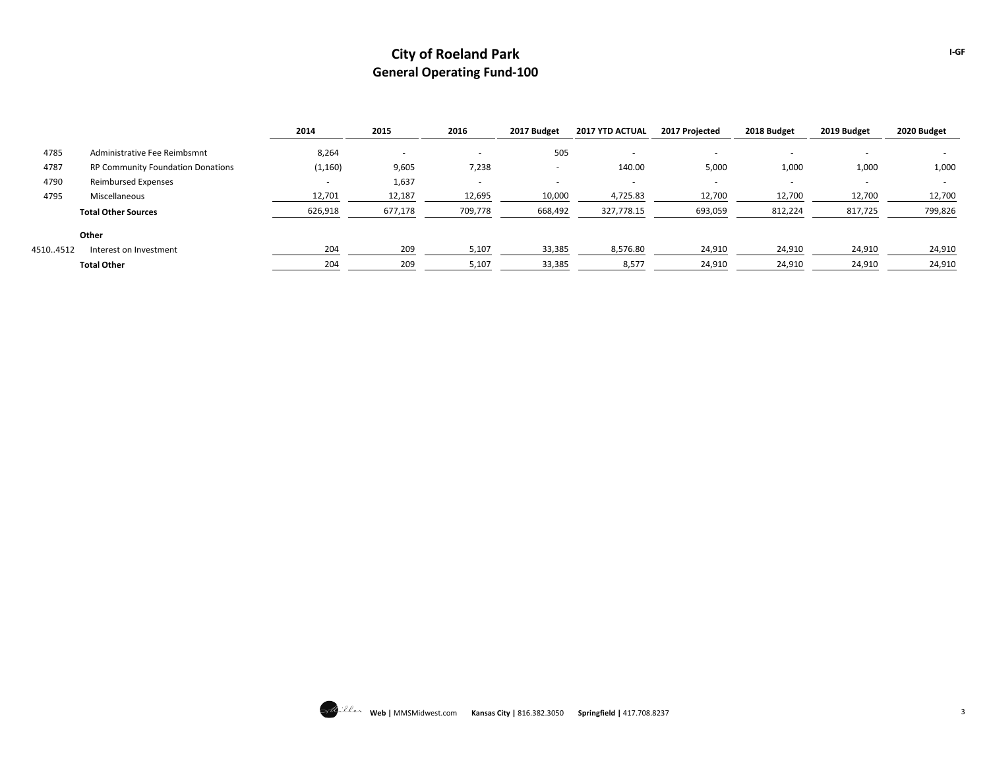|          |                                          | 2014     | 2015    | 2016                     | 2017 Budget | <b>2017 YTD ACTUAL</b> | 2017 Projected | 2018 Budget | 2019 Budget | 2020 Budget |
|----------|------------------------------------------|----------|---------|--------------------------|-------------|------------------------|----------------|-------------|-------------|-------------|
| 4785     | Administrative Fee Reimbsmnt             | 8,264    |         | $\overline{\phantom{a}}$ | 505         | $\sim$                 |                | ۰           | ۰           |             |
| 4787     | <b>RP Community Foundation Donations</b> | (1, 160) | 9,605   | 7,238                    | ۰           | 140.00                 | 5,000          | 1,000       | 1,000       | 1,000       |
| 4790     | <b>Reimbursed Expenses</b>               |          | 1,637   | $\sim$                   |             | $\sim$                 |                | $\sim$      | ۰           | $\sim$      |
| 4795     | Miscellaneous                            | 12,701   | 12,187  | 12,695                   | 10,000      | 4,725.83               | 12,700         | 12,700      | 12,700      | 12,700      |
|          | <b>Total Other Sources</b>               | 626,918  | 677,178 | 709,778                  | 668,492     | 327,778.15             | 693,059        | 812,224     | 817,725     | 799,826     |
|          | Other                                    |          |         |                          |             |                        |                |             |             |             |
| 45104512 | Interest on Investment                   | 204      | 209     | 5,107                    | 33,385      | 8,576.80               | 24,910         | 24,910      | 24,910      | 24,910      |
|          | <b>Total Other</b>                       | 204      | 209     | 5,107                    | 33,385      | 8,577                  | 24,910         | 24,910      | 24,910      | 24,910      |



**I-GF**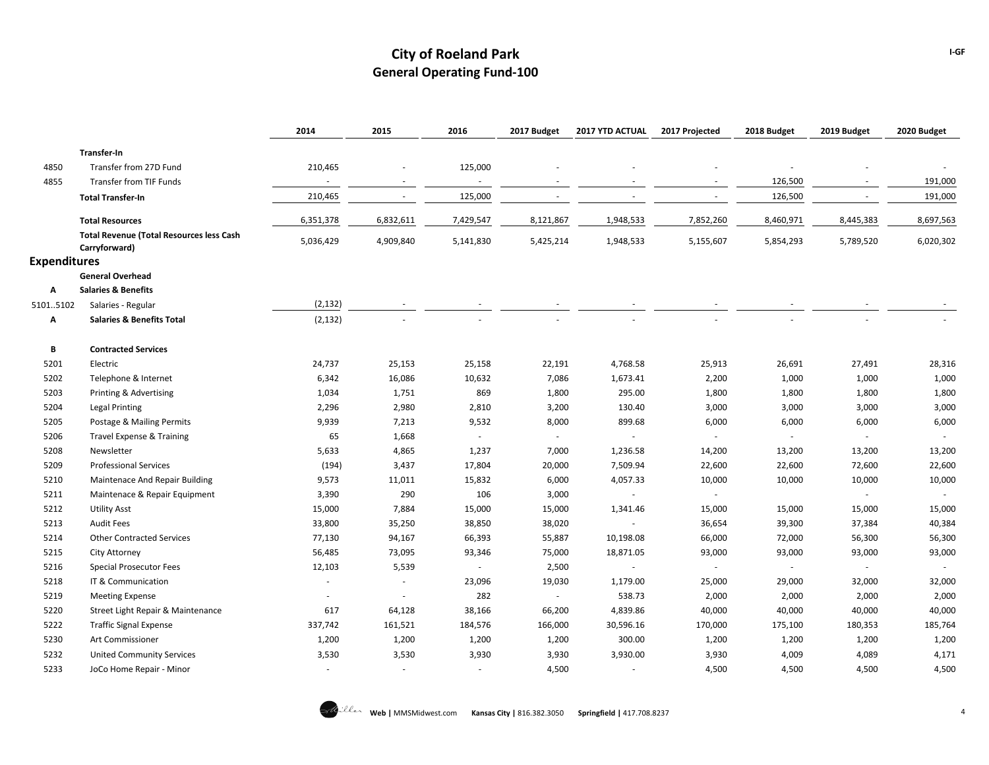|                     |                                                           | 2014      | 2015                     | 2016                     | 2017 Budget              | 2017 YTD ACTUAL          | 2017 Projected           | 2018 Budget | 2019 Budget | 2020 Budget              |
|---------------------|-----------------------------------------------------------|-----------|--------------------------|--------------------------|--------------------------|--------------------------|--------------------------|-------------|-------------|--------------------------|
|                     | Transfer-In                                               |           |                          |                          |                          |                          |                          |             |             |                          |
| 4850                | Transfer from 27D Fund                                    | 210,465   |                          | 125,000                  |                          |                          |                          |             |             |                          |
| 4855                | Transfer from TIF Funds                                   | $\sim$    |                          | $\sim$                   |                          |                          |                          | 126,500     |             | 191,000                  |
|                     | <b>Total Transfer-In</b>                                  | 210,465   | $\sim$                   | 125,000                  | $\overline{\phantom{a}}$ |                          |                          | 126,500     |             | 191,000                  |
|                     |                                                           |           |                          |                          |                          |                          |                          |             |             |                          |
|                     | <b>Total Resources</b>                                    | 6,351,378 | 6,832,611                | 7,429,547                | 8,121,867                | 1,948,533                | 7,852,260                | 8,460,971   | 8,445,383   | 8,697,563                |
|                     | <b>Total Revenue (Total Resources less Cash</b>           | 5,036,429 | 4,909,840                | 5,141,830                | 5,425,214                | 1,948,533                | 5,155,607                | 5,854,293   | 5,789,520   | 6,020,302                |
|                     | Carryforward)                                             |           |                          |                          |                          |                          |                          |             |             |                          |
| <b>Expenditures</b> |                                                           |           |                          |                          |                          |                          |                          |             |             |                          |
| A                   | <b>General Overhead</b><br><b>Salaries &amp; Benefits</b> |           |                          |                          |                          |                          |                          |             |             |                          |
| 51015102            | Salaries - Regular                                        | (2, 132)  |                          |                          |                          |                          |                          |             |             |                          |
| Α                   | <b>Salaries &amp; Benefits Total</b>                      | (2, 132)  |                          |                          |                          |                          |                          |             |             |                          |
|                     |                                                           |           |                          |                          |                          |                          |                          |             |             |                          |
| В                   | <b>Contracted Services</b>                                |           |                          |                          |                          |                          |                          |             |             |                          |
| 5201                | Electric                                                  | 24,737    | 25,153                   | 25,158                   | 22,191                   | 4,768.58                 | 25,913                   | 26,691      | 27,491      | 28,316                   |
| 5202                | Telephone & Internet                                      | 6,342     | 16,086                   | 10,632                   | 7,086                    | 1,673.41                 | 2,200                    | 1,000       | 1,000       | 1,000                    |
| 5203                | Printing & Advertising                                    | 1,034     | 1,751                    | 869                      | 1,800                    | 295.00                   | 1,800                    | 1,800       | 1,800       | 1,800                    |
| 5204                | <b>Legal Printing</b>                                     | 2,296     | 2,980                    | 2,810                    | 3,200                    | 130.40                   | 3,000                    | 3,000       | 3,000       | 3,000                    |
| 5205                | Postage & Mailing Permits                                 | 9,939     | 7,213                    | 9,532                    | 8,000                    | 899.68                   | 6,000                    | 6,000       | 6,000       | 6,000                    |
| 5206                | Travel Expense & Training                                 | 65        | 1,668                    | $\overline{\phantom{a}}$ | $\sim$                   | $\overline{\phantom{a}}$ | $\sim$                   | $\sim$      | $\sim$      | $\overline{\phantom{a}}$ |
| 5208                | Newsletter                                                | 5,633     | 4,865                    | 1,237                    | 7,000                    | 1,236.58                 | 14,200                   | 13,200      | 13,200      | 13,200                   |
| 5209                | <b>Professional Services</b>                              | (194)     | 3,437                    | 17,804                   | 20,000                   | 7,509.94                 | 22,600                   | 22,600      | 72,600      | 22,600                   |
| 5210                | Maintenace And Repair Building                            | 9,573     | 11,011                   | 15,832                   | 6,000                    | 4,057.33                 | 10,000                   | 10,000      | 10,000      | 10,000                   |
| 5211                | Maintenace & Repair Equipment                             | 3,390     | 290                      | 106                      | 3,000                    |                          | $\sim$                   |             | $\sim$      | $\sim$                   |
| 5212                | <b>Utility Asst</b>                                       | 15,000    | 7,884                    | 15,000                   | 15,000                   | 1,341.46                 | 15,000                   | 15,000      | 15,000      | 15,000                   |
| 5213                | <b>Audit Fees</b>                                         | 33,800    | 35,250                   | 38,850                   | 38,020                   |                          | 36,654                   | 39,300      | 37,384      | 40,384                   |
| 5214                | <b>Other Contracted Services</b>                          | 77,130    | 94,167                   | 66,393                   | 55,887                   | 10,198.08                | 66,000                   | 72,000      | 56,300      | 56,300                   |
| 5215                | City Attorney                                             | 56,485    | 73,095                   | 93,346                   | 75,000                   | 18,871.05                | 93,000                   | 93,000      | 93,000      | 93,000                   |
| 5216                | Special Prosecutor Fees                                   | 12,103    | 5,539                    |                          | 2,500                    |                          | $\overline{\phantom{a}}$ | $\sim$      | $\sim$      | $\sim$                   |
| 5218                | IT & Communication                                        |           |                          | 23,096                   | 19,030                   | 1,179.00                 | 25,000                   | 29,000      | 32,000      | 32,000                   |
| 5219                | <b>Meeting Expense</b>                                    |           | $\overline{\phantom{a}}$ | 282                      | $\overline{\phantom{a}}$ | 538.73                   | 2,000                    | 2,000       | 2,000       | 2,000                    |
| 5220                | Street Light Repair & Maintenance                         | 617       | 64,128                   | 38,166                   | 66,200                   | 4,839.86                 | 40,000                   | 40,000      | 40,000      | 40,000                   |
| 5222                | <b>Traffic Signal Expense</b>                             | 337,742   | 161,521                  | 184,576                  | 166,000                  | 30,596.16                | 170,000                  | 175,100     | 180,353     | 185,764                  |
| 5230                | Art Commissioner                                          | 1,200     | 1,200                    | 1,200                    | 1,200                    | 300.00                   | 1,200                    | 1,200       | 1,200       | 1,200                    |
| 5232                | <b>United Community Services</b>                          | 3,530     | 3,530                    | 3,930                    | 3,930                    | 3,930.00                 | 3,930                    | 4,009       | 4,089       | 4,171                    |
| 5233                | JoCo Home Repair - Minor                                  | $\sim$    | $\overline{\phantom{a}}$ | $\sim$                   | 4,500                    | ×.                       | 4,500                    | 4,500       | 4,500       | 4,500                    |

**I-GF**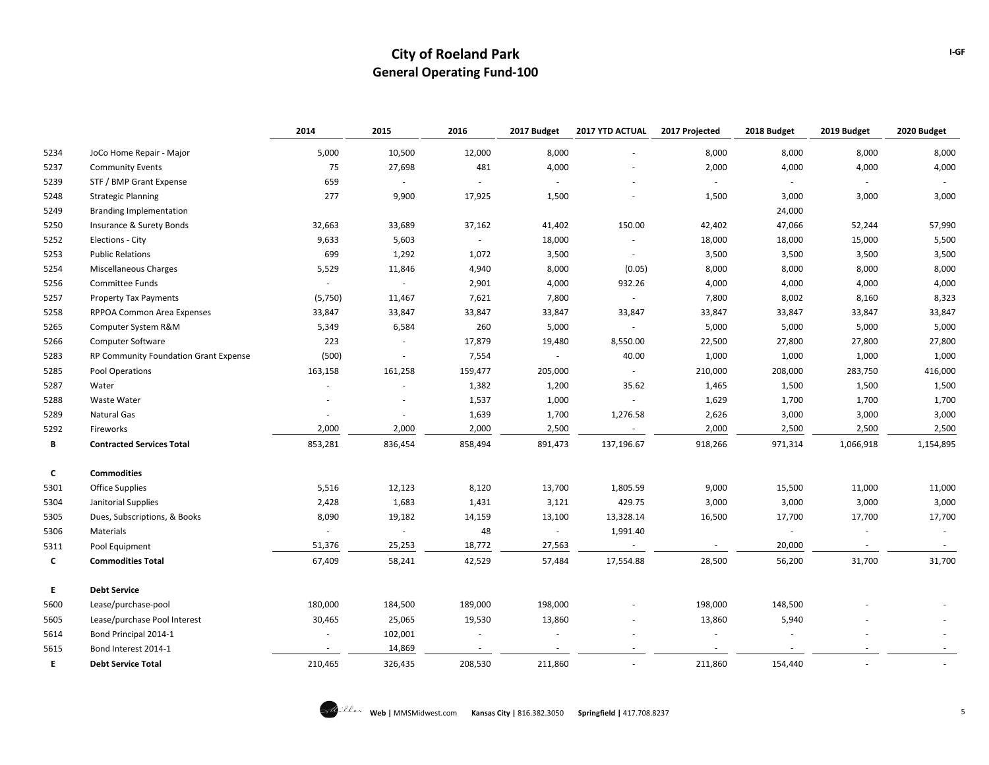|      |                                       | 2014    | 2015                     | 2016                     | 2017 Budget | 2017 YTD ACTUAL          | 2017 Projected | 2018 Budget | 2019 Budget              | 2020 Budget |
|------|---------------------------------------|---------|--------------------------|--------------------------|-------------|--------------------------|----------------|-------------|--------------------------|-------------|
| 5234 | JoCo Home Repair - Major              | 5,000   | 10,500                   | 12,000                   | 8,000       |                          | 8,000          | 8,000       | 8,000                    | 8,000       |
| 5237 | <b>Community Events</b>               | 75      | 27,698                   | 481                      | 4,000       |                          | 2,000          | 4,000       | 4,000                    | 4,000       |
| 5239 | STF / BMP Grant Expense               | 659     | $\overline{\phantom{a}}$ | $\overline{\phantom{a}}$ |             |                          |                |             |                          |             |
| 5248 | <b>Strategic Planning</b>             | 277     | 9,900                    | 17,925                   | 1,500       |                          | 1,500          | 3,000       | 3,000                    | 3,000       |
| 5249 | <b>Branding Implementation</b>        |         |                          |                          |             |                          |                | 24,000      |                          |             |
| 5250 | Insurance & Surety Bonds              | 32,663  | 33,689                   | 37,162                   | 41,402      | 150.00                   | 42,402         | 47,066      | 52,244                   | 57,990      |
| 5252 | Elections - City                      | 9,633   | 5,603                    | $\sim$                   | 18,000      |                          | 18,000         | 18,000      | 15,000                   | 5,500       |
| 5253 | <b>Public Relations</b>               | 699     | 1,292                    | 1,072                    | 3,500       |                          | 3,500          | 3,500       | 3,500                    | 3,500       |
| 5254 | Miscellaneous Charges                 | 5,529   | 11,846                   | 4,940                    | 8,000       | (0.05)                   | 8,000          | 8,000       | 8,000                    | 8,000       |
| 5256 | Committee Funds                       | $\sim$  | $\overline{\phantom{a}}$ | 2,901                    | 4,000       | 932.26                   | 4,000          | 4,000       | 4,000                    | 4,000       |
| 5257 | <b>Property Tax Payments</b>          | (5,750) | 11,467                   | 7,621                    | 7,800       |                          | 7,800          | 8,002       | 8,160                    | 8,323       |
| 5258 | RPPOA Common Area Expenses            | 33,847  | 33,847                   | 33,847                   | 33,847      | 33,847                   | 33,847         | 33,847      | 33,847                   | 33,847      |
| 5265 | Computer System R&M                   | 5,349   | 6,584                    | 260                      | 5,000       |                          | 5,000          | 5,000       | 5,000                    | 5,000       |
| 5266 | Computer Software                     | 223     | $\overline{\phantom{a}}$ | 17,879                   | 19,480      | 8,550.00                 | 22,500         | 27,800      | 27,800                   | 27,800      |
| 5283 | RP Community Foundation Grant Expense | (500)   | $\overline{\phantom{a}}$ | 7,554                    | $\sim$      | 40.00                    | 1,000          | 1,000       | 1,000                    | 1,000       |
| 5285 | Pool Operations                       | 163,158 | 161,258                  | 159,477                  | 205,000     |                          | 210,000        | 208,000     | 283,750                  | 416,000     |
| 5287 | Water                                 |         |                          | 1,382                    | 1,200       | 35.62                    | 1,465          | 1,500       | 1,500                    | 1,500       |
| 5288 | <b>Waste Water</b>                    |         |                          | 1,537                    | 1,000       |                          | 1,629          | 1,700       | 1,700                    | 1,700       |
| 5289 | Natural Gas                           |         |                          | 1,639                    | 1,700       | 1,276.58                 | 2,626          | 3,000       | 3,000                    | 3,000       |
| 5292 | Fireworks                             | 2,000   | 2,000                    | 2,000                    | 2,500       | $\sim$                   | 2,000          | 2,500       | 2,500                    | 2,500       |
| В    | <b>Contracted Services Total</b>      | 853,281 | 836,454                  | 858,494                  | 891,473     | 137,196.67               | 918,266        | 971,314     | 1,066,918                | 1,154,895   |
| c    | <b>Commodities</b>                    |         |                          |                          |             |                          |                |             |                          |             |
| 5301 | <b>Office Supplies</b>                | 5,516   | 12,123                   | 8,120                    | 13,700      | 1,805.59                 | 9,000          | 15,500      | 11,000                   | 11,000      |
| 5304 | Janitorial Supplies                   | 2,428   | 1,683                    | 1,431                    | 3,121       | 429.75                   | 3,000          | 3,000       | 3,000                    | 3,000       |
| 5305 | Dues, Subscriptions, & Books          | 8,090   | 19,182                   | 14,159                   | 13,100      | 13,328.14                | 16,500         | 17,700      | 17,700                   | 17,700      |
| 5306 | Materials                             | $\sim$  | $\overline{\phantom{a}}$ | 48                       | $\sim$      | 1,991.40                 |                | $\sim$      | $\overline{\phantom{a}}$ |             |
| 5311 | Pool Equipment                        | 51,376  | 25,253                   | 18,772                   | 27,563      | $\overline{\phantom{a}}$ |                | 20,000      | $\sim$                   |             |
| C    | <b>Commodities Total</b>              | 67,409  | 58,241                   | 42,529                   | 57,484      | 17,554.88                | 28,500         | 56,200      | 31,700                   | 31,700      |
| E.   | <b>Debt Service</b>                   |         |                          |                          |             |                          |                |             |                          |             |
| 5600 | Lease/purchase-pool                   | 180,000 | 184,500                  | 189,000                  | 198,000     |                          | 198,000        | 148,500     |                          |             |
| 5605 | Lease/purchase Pool Interest          | 30,465  | 25,065                   | 19,530                   | 13,860      |                          | 13,860         | 5,940       |                          |             |
| 5614 | Bond Principal 2014-1                 | $\sim$  | 102,001                  |                          |             |                          |                |             |                          |             |
| 5615 | Bond Interest 2014-1                  |         | 14,869                   |                          |             |                          |                |             |                          |             |
| E    | <b>Debt Service Total</b>             | 210,465 | 326,435                  | 208,530                  | 211,860     |                          | 211,860        | 154,440     |                          |             |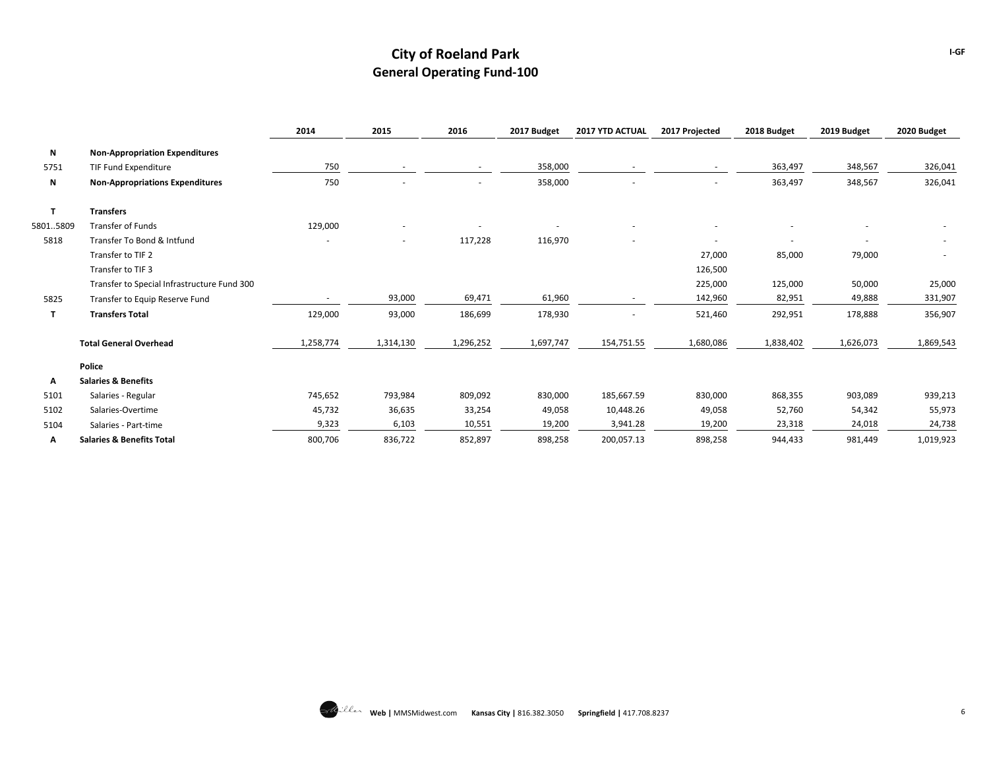|          |                                             | 2014      | 2015      | 2016      | 2017 Budget | 2017 YTD ACTUAL          | 2017 Projected | 2018 Budget              | 2019 Budget | 2020 Budget |
|----------|---------------------------------------------|-----------|-----------|-----------|-------------|--------------------------|----------------|--------------------------|-------------|-------------|
| N        | <b>Non-Appropriation Expenditures</b>       |           |           |           |             |                          |                |                          |             |             |
| 5751     | TIF Fund Expenditure                        | 750       |           | $\sim$    | 358,000     | $\sim$                   |                | 363,497                  | 348,567     | 326,041     |
| N        | <b>Non-Appropriations Expenditures</b>      | 750       |           |           | 358,000     |                          |                | 363,497                  | 348,567     | 326,041     |
| т        | <b>Transfers</b>                            |           |           |           |             |                          |                |                          |             |             |
| 58015809 | Transfer of Funds                           | 129,000   |           |           |             |                          |                |                          |             |             |
| 5818     | Transfer To Bond & Intfund                  |           |           | 117,228   | 116,970     | $\overline{\phantom{a}}$ | $\blacksquare$ | $\overline{\phantom{a}}$ |             | $\sim$      |
|          | Transfer to TIF 2                           |           |           |           |             |                          | 27,000         | 85,000                   | 79,000      |             |
|          | Transfer to TIF 3                           |           |           |           |             |                          | 126,500        |                          |             |             |
|          | Transfer to Special Infrastructure Fund 300 |           |           |           |             |                          | 225,000        | 125,000                  | 50,000      | 25,000      |
| 5825     | Transfer to Equip Reserve Fund              |           | 93,000    | 69,471    | 61,960      | $\sim$                   | 142,960        | 82,951                   | 49,888      | 331,907     |
| т        | <b>Transfers Total</b>                      | 129,000   | 93,000    | 186,699   | 178,930     |                          | 521,460        | 292,951                  | 178,888     | 356,907     |
|          | <b>Total General Overhead</b>               | 1,258,774 | 1,314,130 | 1,296,252 | 1,697,747   | 154,751.55               | 1,680,086      | 1,838,402                | 1,626,073   | 1,869,543   |
|          | Police                                      |           |           |           |             |                          |                |                          |             |             |
| A        | <b>Salaries &amp; Benefits</b>              |           |           |           |             |                          |                |                          |             |             |
| 5101     | Salaries - Regular                          | 745,652   | 793,984   | 809,092   | 830,000     | 185,667.59               | 830,000        | 868,355                  | 903,089     | 939,213     |
| 5102     | Salaries-Overtime                           | 45,732    | 36,635    | 33,254    | 49,058      | 10,448.26                | 49,058         | 52,760                   | 54,342      | 55,973      |
| 5104     | Salaries - Part-time                        | 9,323     | 6,103     | 10,551    | 19,200      | 3,941.28                 | 19,200         | 23,318                   | 24,018      | 24,738      |
| А        | <b>Salaries &amp; Benefits Total</b>        | 800,706   | 836,722   | 852,897   | 898,258     | 200,057.13               | 898,258        | 944,433                  | 981,449     | 1,019,923   |

**I-GF**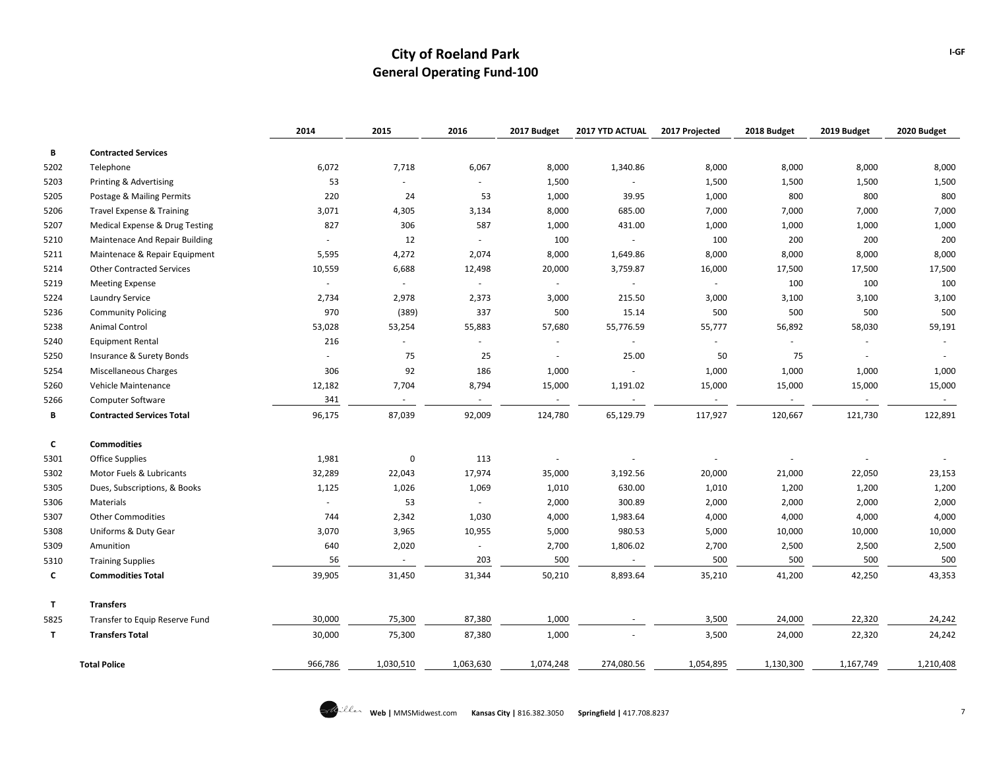|      |                                  | 2014    | 2015                     | 2016      | 2017 Budget | 2017 YTD ACTUAL | 2017 Projected | 2018 Budget | 2019 Budget | 2020 Budget |
|------|----------------------------------|---------|--------------------------|-----------|-------------|-----------------|----------------|-------------|-------------|-------------|
| В    | <b>Contracted Services</b>       |         |                          |           |             |                 |                |             |             |             |
| 5202 | Telephone                        | 6,072   | 7,718                    | 6,067     | 8,000       | 1,340.86        | 8,000          | 8,000       | 8,000       | 8,000       |
| 5203 | Printing & Advertising           | 53      | $\overline{\phantom{a}}$ |           | 1,500       | $\omega$        | 1,500          | 1,500       | 1,500       | 1,500       |
| 5205 | Postage & Mailing Permits        | 220     | 24                       | 53        | 1,000       | 39.95           | 1,000          | 800         | 800         | 800         |
| 5206 | Travel Expense & Training        | 3,071   | 4,305                    | 3,134     | 8,000       | 685.00          | 7,000          | 7,000       | 7,000       | 7,000       |
| 5207 | Medical Expense & Drug Testing   | 827     | 306                      | 587       | 1,000       | 431.00          | 1,000          | 1,000       | 1,000       | 1,000       |
| 5210 | Maintenace And Repair Building   |         | 12                       |           | 100         |                 | 100            | 200         | 200         | 200         |
| 5211 | Maintenace & Repair Equipment    | 5,595   | 4,272                    | 2,074     | 8,000       | 1,649.86        | 8,000          | 8,000       | 8,000       | 8,000       |
| 5214 | <b>Other Contracted Services</b> | 10,559  | 6,688                    | 12,498    | 20,000      | 3,759.87        | 16,000         | 17,500      | 17,500      | 17,500      |
| 5219 | <b>Meeting Expense</b>           | $\sim$  | $\omega$                 | $\sim$    |             |                 |                | 100         | 100         | 100         |
| 5224 | Laundry Service                  | 2,734   | 2,978                    | 2,373     | 3,000       | 215.50          | 3,000          | 3,100       | 3,100       | 3,100       |
| 5236 | <b>Community Policing</b>        | 970     | (389)                    | 337       | 500         | 15.14           | 500            | 500         | 500         | 500         |
| 5238 | <b>Animal Control</b>            | 53,028  | 53,254                   | 55,883    | 57,680      | 55,776.59       | 55,777         | 56,892      | 58,030      | 59,191      |
| 5240 | <b>Equipment Rental</b>          | 216     | $\overline{\phantom{a}}$ |           |             |                 |                | $\sim$      |             |             |
| 5250 | Insurance & Surety Bonds         |         | 75                       | 25        |             | 25.00           | 50             | 75          | $\sim$      |             |
| 5254 | Miscellaneous Charges            | 306     | 92                       | 186       | 1,000       |                 | 1,000          | 1,000       | 1,000       | 1,000       |
| 5260 | Vehicle Maintenance              | 12,182  | 7,704                    | 8,794     | 15,000      | 1,191.02        | 15,000         | 15,000      | 15,000      | 15,000      |
| 5266 | <b>Computer Software</b>         | 341     | $\sim$                   | $\sim$    | $\sim$      | $\sim$          | $\sim$         | $\sim$      | $\sim$      | $\sim$      |
| В    | <b>Contracted Services Total</b> | 96,175  | 87,039                   | 92,009    | 124,780     | 65,129.79       | 117,927        | 120,667     | 121,730     | 122,891     |
| C    | <b>Commodities</b>               |         |                          |           |             |                 |                |             |             |             |
| 5301 | <b>Office Supplies</b>           | 1,981   | 0                        | 113       |             |                 |                | $\sim$      |             |             |
| 5302 | Motor Fuels & Lubricants         | 32,289  | 22,043                   | 17,974    | 35,000      | 3,192.56        | 20,000         | 21,000      | 22,050      | 23,153      |
| 5305 | Dues, Subscriptions, & Books     | 1,125   | 1,026                    | 1,069     | 1,010       | 630.00          | 1,010          | 1,200       | 1,200       | 1,200       |
| 5306 | Materials                        | $\sim$  | 53                       | $\sim$    | 2,000       | 300.89          | 2,000          | 2,000       | 2,000       | 2,000       |
| 5307 | <b>Other Commodities</b>         | 744     | 2,342                    | 1,030     | 4,000       | 1,983.64        | 4,000          | 4,000       | 4,000       | 4,000       |
| 5308 | Uniforms & Duty Gear             | 3,070   | 3,965                    | 10,955    | 5,000       | 980.53          | 5,000          | 10,000      | 10,000      | 10,000      |
| 5309 | Amunition                        | 640     | 2,020                    |           | 2,700       | 1,806.02        | 2,700          | 2,500       | 2,500       | 2,500       |
| 5310 | <b>Training Supplies</b>         | 56      | $\sim$                   | 203       | 500         | $\sim$          | 500            | 500         | 500         | 500         |
| c    | <b>Commodities Total</b>         | 39,905  | 31,450                   | 31,344    | 50,210      | 8,893.64        | 35,210         | 41,200      | 42,250      | 43,353      |
| T    | <b>Transfers</b>                 |         |                          |           |             |                 |                |             |             |             |
| 5825 | Transfer to Equip Reserve Fund   | 30,000  | 75,300                   | 87,380    | 1,000       |                 | 3,500          | 24,000      | 22,320      | 24,242      |
| T    | <b>Transfers Total</b>           | 30,000  | 75,300                   | 87,380    | 1,000       |                 | 3,500          | 24,000      | 22,320      | 24,242      |
|      | <b>Total Police</b>              | 966,786 | 1,030,510                | 1,063,630 | 1,074,248   | 274,080.56      | 1,054,895      | 1,130,300   | 1,167,749   | 1,210,408   |

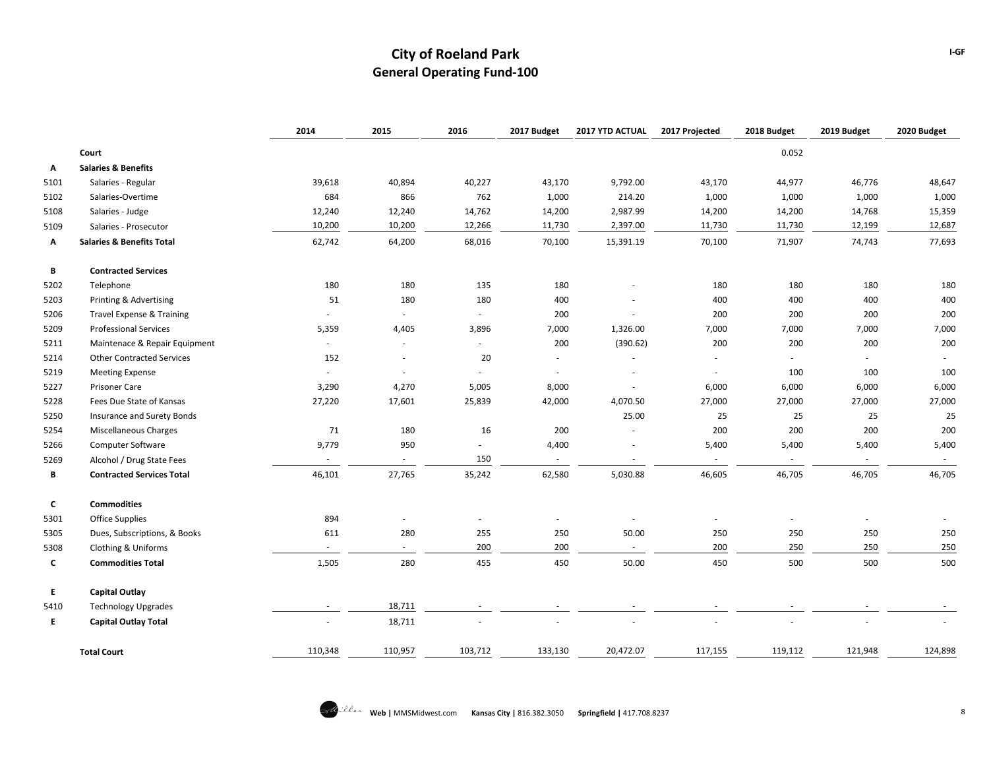|      |                                      | 2014                     | 2015    | 2016    | 2017 Budget | 2017 YTD ACTUAL          | 2017 Projected | 2018 Budget                 | 2019 Budget | 2020 Budget |
|------|--------------------------------------|--------------------------|---------|---------|-------------|--------------------------|----------------|-----------------------------|-------------|-------------|
|      | Court                                |                          |         |         |             |                          |                | 0.052                       |             |             |
| А    | <b>Salaries &amp; Benefits</b>       |                          |         |         |             |                          |                |                             |             |             |
| 5101 | Salaries - Regular                   | 39,618                   | 40,894  | 40,227  | 43,170      | 9,792.00                 | 43,170         | 44,977                      | 46,776      | 48,647      |
| 5102 | Salaries-Overtime                    | 684                      | 866     | 762     | 1,000       | 214.20                   | 1,000          | 1,000                       | 1,000       | 1,000       |
| 5108 | Salaries - Judge                     | 12,240                   | 12,240  | 14,762  | 14,200      | 2,987.99                 | 14,200         | 14,200                      | 14,768      | 15,359      |
| 5109 | Salaries - Prosecutor                | 10,200                   | 10,200  | 12,266  | 11,730      | 2,397.00                 | 11,730         | 11,730                      | 12,199      | 12,687      |
| Α    | <b>Salaries &amp; Benefits Total</b> | 62,742                   | 64,200  | 68,016  | 70,100      | 15,391.19                | 70,100         | 71,907                      | 74,743      | 77,693      |
| В    | <b>Contracted Services</b>           |                          |         |         |             |                          |                |                             |             |             |
| 5202 | Telephone                            | 180                      | 180     | 135     | 180         |                          | 180            | 180                         | 180         | 180         |
| 5203 | Printing & Advertising               | 51                       | 180     | 180     | 400         |                          | 400            | 400                         | 400         | 400         |
| 5206 | <b>Travel Expense &amp; Training</b> | $\overline{\phantom{a}}$ | $\sim$  | $\sim$  | 200         |                          | 200            | 200                         | 200         | 200         |
| 5209 | <b>Professional Services</b>         | 5,359                    | 4,405   | 3,896   | 7,000       | 1,326.00                 | 7,000          | 7,000                       | 7,000       | 7,000       |
| 5211 | Maintenace & Repair Equipment        | $\sim$                   | $\sim$  | $\sim$  | 200         | (390.62)                 | 200            | 200                         | 200         | 200         |
| 5214 | <b>Other Contracted Services</b>     | 152                      | $\sim$  | 20      | $\sim$      |                          |                | $\mathcal{L}_{\mathcal{A}}$ | $\sim$      |             |
| 5219 | <b>Meeting Expense</b>               | ÷.                       | $\sim$  | $\sim$  | $\sim$      |                          | $\sim$         | 100                         | 100         | 100         |
| 5227 | <b>Prisoner Care</b>                 | 3,290                    | 4,270   | 5,005   | 8,000       | $\overline{\phantom{a}}$ | 6,000          | 6,000                       | 6,000       | 6,000       |
| 5228 | Fees Due State of Kansas             | 27,220                   | 17,601  | 25,839  | 42,000      | 4,070.50                 | 27,000         | 27,000                      | 27,000      | 27,000      |
| 5250 | Insurance and Surety Bonds           |                          |         |         |             | 25.00                    | 25             | 25                          | 25          | 25          |
| 5254 | <b>Miscellaneous Charges</b>         | 71                       | 180     | 16      | 200         |                          | 200            | 200                         | 200         | 200         |
| 5266 | Computer Software                    | 9,779                    | 950     |         | 4,400       |                          | 5,400          | 5,400                       | 5,400       | 5,400       |
| 5269 | Alcohol / Drug State Fees            | $\sim$                   | $\sim$  | 150     | $\sim$      |                          | $\sim$         | $\sim$                      | $\sim$      | $\sim$      |
| В    | <b>Contracted Services Total</b>     | 46,101                   | 27,765  | 35,242  | 62,580      | 5,030.88                 | 46,605         | 46,705                      | 46,705      | 46,705      |
| c    | <b>Commodities</b>                   |                          |         |         |             |                          |                |                             |             |             |
| 5301 | Office Supplies                      | 894                      | $\sim$  | $\sim$  |             | ×.                       |                | ×.                          |             |             |
| 5305 | Dues, Subscriptions, & Books         | 611                      | 280     | 255     | 250         | 50.00                    | 250            | 250                         | 250         | 250         |
| 5308 | Clothing & Uniforms                  | $\overline{\phantom{a}}$ |         | 200     | 200         |                          | 200            | 250                         | 250         | 250         |
| c    | <b>Commodities Total</b>             | 1,505                    | 280     | 455     | 450         | 50.00                    | 450            | 500                         | 500         | 500         |
| Ε.   | <b>Capital Outlay</b>                |                          |         |         |             |                          |                |                             |             |             |
| 5410 | <b>Technology Upgrades</b>           |                          | 18,711  |         |             |                          |                |                             |             |             |
| E.   | <b>Capital Outlay Total</b>          | ٠                        | 18,711  |         |             |                          |                |                             |             |             |
|      | <b>Total Court</b>                   | 110,348                  | 110,957 | 103,712 | 133,130     | 20,472.07                | 117,155        | 119,112                     | 121,948     | 124,898     |

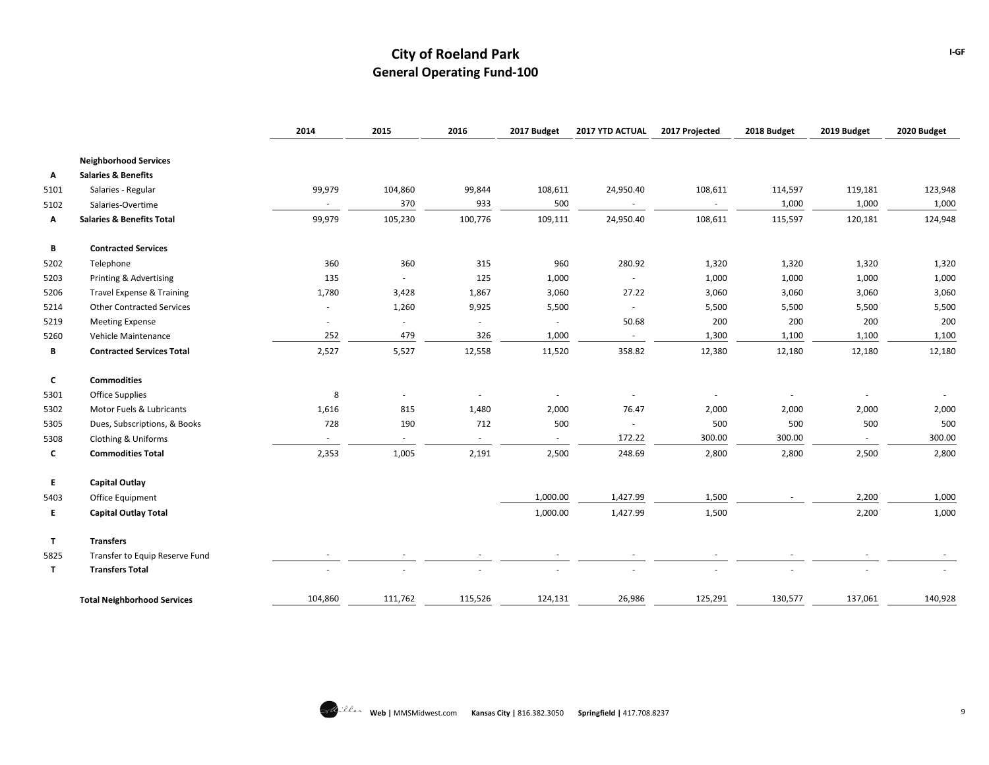|      |                                      | 2014    | 2015                     | 2016    | 2017 Budget | 2017 YTD ACTUAL | 2017 Projected | 2018 Budget | 2019 Budget | 2020 Budget |
|------|--------------------------------------|---------|--------------------------|---------|-------------|-----------------|----------------|-------------|-------------|-------------|
|      | <b>Neighborhood Services</b>         |         |                          |         |             |                 |                |             |             |             |
| Α    | <b>Salaries &amp; Benefits</b>       |         |                          |         |             |                 |                |             |             |             |
| 5101 | Salaries - Regular                   | 99,979  | 104,860                  | 99,844  | 108,611     | 24,950.40       | 108,611        | 114,597     | 119,181     | 123,948     |
| 5102 | Salaries-Overtime                    | $\sim$  | 370                      | 933     | 500         | $\sim$          |                | 1,000       | 1,000       | 1,000       |
| Α    | <b>Salaries &amp; Benefits Total</b> | 99,979  | 105,230                  | 100,776 | 109,111     | 24,950.40       | 108,611        | 115,597     | 120,181     | 124,948     |
| В    | <b>Contracted Services</b>           |         |                          |         |             |                 |                |             |             |             |
| 5202 | Telephone                            | 360     | 360                      | 315     | 960         | 280.92          | 1,320          | 1,320       | 1,320       | 1,320       |
| 5203 | Printing & Advertising               | 135     | $\sim$                   | 125     | 1,000       | $\sim$          | 1,000          | 1,000       | 1,000       | 1,000       |
| 5206 | Travel Expense & Training            | 1,780   | 3,428                    | 1,867   | 3,060       | 27.22           | 3,060          | 3,060       | 3,060       | 3,060       |
| 5214 | <b>Other Contracted Services</b>     | ×.      | 1,260                    | 9,925   | 5,500       | $\sim$          | 5,500          | 5,500       | 5,500       | 5,500       |
| 5219 | <b>Meeting Expense</b>               |         | $\overline{\phantom{a}}$ |         | $\sim$      | 50.68           | 200            | 200         | 200         | 200         |
| 5260 | Vehicle Maintenance                  | 252     | 479                      | 326     | 1,000       | $\sim$          | 1,300          | 1,100       | 1,100       | 1,100       |
| В    | <b>Contracted Services Total</b>     | 2,527   | 5,527                    | 12,558  | 11,520      | 358.82          | 12,380         | 12,180      | 12,180      | 12,180      |
| C    | <b>Commodities</b>                   |         |                          |         |             |                 |                |             |             |             |
| 5301 | <b>Office Supplies</b>               | 8       | $\sim$                   | $\sim$  |             |                 |                | $\sim$      | $\sim$      |             |
| 5302 | Motor Fuels & Lubricants             | 1,616   | 815                      | 1,480   | 2,000       | 76.47           | 2,000          | 2,000       | 2,000       | 2,000       |
| 5305 | Dues, Subscriptions, & Books         | 728     | 190                      | 712     | 500         |                 | 500            | 500         | 500         | 500         |
| 5308 | Clothing & Uniforms                  |         | $\sim$                   | $\sim$  |             | 172.22          | 300.00         | 300.00      | $\sim$      | 300.00      |
| C    | <b>Commodities Total</b>             | 2,353   | 1,005                    | 2,191   | 2,500       | 248.69          | 2,800          | 2,800       | 2,500       | 2,800       |
| E    | <b>Capital Outlay</b>                |         |                          |         |             |                 |                |             |             |             |
| 5403 | Office Equipment                     |         |                          |         | 1,000.00    | 1,427.99        | 1,500          |             | 2,200       | 1,000       |
| E.   | <b>Capital Outlay Total</b>          |         |                          |         | 1,000.00    | 1,427.99        | 1,500          |             | 2,200       | 1,000       |
| T.   | <b>Transfers</b>                     |         |                          |         |             |                 |                |             |             |             |
| 5825 | Transfer to Equip Reserve Fund       |         |                          |         |             |                 |                |             |             |             |
| T    | <b>Transfers Total</b>               |         |                          |         |             |                 |                |             |             |             |
|      | <b>Total Neighborhood Services</b>   | 104,860 | 111,762                  | 115,526 | 124,131     | 26,986          | 125,291        | 130,577     | 137,061     | 140,928     |

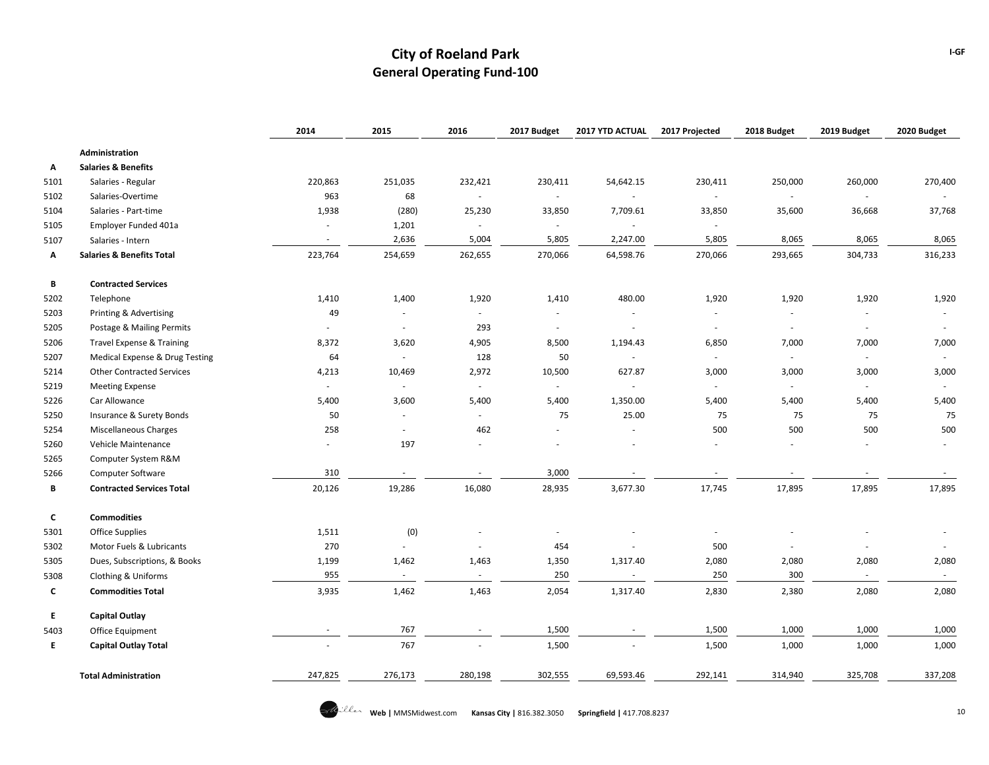|      |                                      | 2014                     | 2015          | 2016    | 2017 Budget | <b>2017 YTD ACTUAL</b> | 2017 Projected           | 2018 Budget              | 2019 Budget                 | 2020 Budget |
|------|--------------------------------------|--------------------------|---------------|---------|-------------|------------------------|--------------------------|--------------------------|-----------------------------|-------------|
|      | Administration                       |                          |               |         |             |                        |                          |                          |                             |             |
| Α    | <b>Salaries &amp; Benefits</b>       |                          |               |         |             |                        |                          |                          |                             |             |
| 5101 | Salaries - Regular                   | 220,863                  | 251,035       | 232,421 | 230,411     | 54,642.15              | 230,411                  | 250,000                  | 260,000                     | 270,400     |
| 5102 | Salaries-Overtime                    | 963                      | 68            | $\sim$  | $\sim$      | $\sim$                 | $\sim$                   | $\sim$                   | $\sim$                      |             |
| 5104 | Salaries - Part-time                 | 1,938                    | (280)         | 25,230  | 33,850      | 7,709.61               | 33,850                   | 35,600                   | 36,668                      | 37,768      |
| 5105 | Employer Funded 401a                 | $\overline{\phantom{a}}$ | 1,201         | $\sim$  | $\sim$      |                        | $\overline{\phantom{a}}$ |                          |                             |             |
| 5107 | Salaries - Intern                    | $\sim$                   | 2,636         | 5,004   | 5,805       | 2,247.00               | 5,805                    | 8,065                    | 8,065                       | 8,065       |
| Α    | <b>Salaries &amp; Benefits Total</b> | 223,764                  | 254,659       | 262,655 | 270,066     | 64,598.76              | 270,066                  | 293,665                  | 304,733                     | 316,233     |
| В    | <b>Contracted Services</b>           |                          |               |         |             |                        |                          |                          |                             |             |
| 5202 | Telephone                            | 1,410                    | 1,400         | 1,920   | 1,410       | 480.00                 | 1,920                    | 1,920                    | 1,920                       | 1,920       |
| 5203 | Printing & Advertising               | 49                       | $\sim$        | $\sim$  |             |                        |                          | $\overline{\phantom{a}}$ | $\sim$                      | $\sim$      |
| 5205 | Postage & Mailing Permits            | ×.                       | $\sim$        | 293     | $\sim$      | $\sim$                 | $\overline{\phantom{a}}$ | $\overline{\phantom{a}}$ | $\sim$                      | $\sim$      |
| 5206 | <b>Travel Expense &amp; Training</b> | 8,372                    | 3,620         | 4,905   | 8,500       | 1,194.43               | 6,850                    | 7,000                    | 7,000                       | 7,000       |
| 5207 | Medical Expense & Drug Testing       | 64                       | $\sim$        | 128     | 50          |                        |                          | $\sim$                   | $\sim$                      | $\sim$      |
| 5214 | <b>Other Contracted Services</b>     | 4,213                    | 10,469        | 2,972   | 10,500      | 627.87                 | 3,000                    | 3,000                    | 3,000                       | 3,000       |
| 5219 | <b>Meeting Expense</b>               | $\omega$                 | $\sim$        | $\sim$  | $\sim$      | $\sim$                 | $\sim$                   | $\sim$                   | $\sim$                      | $\sim$      |
| 5226 | Car Allowance                        | 5,400                    | 3,600         | 5,400   | 5,400       | 1,350.00               | 5,400                    | 5,400                    | 5,400                       | 5,400       |
| 5250 | <b>Insurance &amp; Surety Bonds</b>  | 50                       | $\sim$        | $\sim$  | 75          | 25.00                  | 75                       | 75                       | 75                          | 75          |
| 5254 | <b>Miscellaneous Charges</b>         | 258                      | $\mathbf{r}$  | 462     |             |                        | 500                      | 500                      | 500                         | 500         |
| 5260 | Vehicle Maintenance                  | $\omega$                 | 197           | $\sim$  |             |                        | $\sim$                   | ÷.                       | $\sim$                      | $\sim$      |
| 5265 | Computer System R&M                  |                          |               |         |             |                        |                          |                          |                             |             |
| 5266 | <b>Computer Software</b>             | 310                      | $\sim$        | $\sim$  | 3,000       |                        |                          |                          |                             | $\sim$      |
| В    | <b>Contracted Services Total</b>     | 20,126                   | 19,286        | 16,080  | 28,935      | 3,677.30               | 17,745                   | 17,895                   | 17,895                      | 17,895      |
| C    | <b>Commodities</b>                   |                          |               |         |             |                        |                          |                          |                             |             |
| 5301 | <b>Office Supplies</b>               | 1,511                    | (0)           |         | ٠           |                        | $\overline{\phantom{a}}$ |                          |                             | $\sim$      |
| 5302 | Motor Fuels & Lubricants             | 270                      | $\mathcal{L}$ | $\sim$  | 454         |                        | 500                      | $\overline{\phantom{a}}$ | $\sim$                      | $\sim$      |
| 5305 | Dues, Subscriptions, & Books         | 1,199                    | 1,462         | 1,463   | 1,350       | 1,317.40               | 2,080                    | 2,080                    | 2,080                       | 2,080       |
| 5308 | Clothing & Uniforms                  | 955                      | $\sim$        | $\sim$  | 250         | $\sim$                 | 250                      | 300                      | $\mathcal{L}_{\mathcal{A}}$ | $\sim$      |
| C    | <b>Commodities Total</b>             | 3,935                    | 1,462         | 1,463   | 2,054       | 1,317.40               | 2,830                    | 2,380                    | 2,080                       | 2,080       |
| E.   | <b>Capital Outlay</b>                |                          |               |         |             |                        |                          |                          |                             |             |
| 5403 | Office Equipment                     |                          | 767           |         | 1,500       |                        | 1,500                    | 1,000                    | 1,000                       | 1,000       |
| E.   | <b>Capital Outlay Total</b>          |                          | 767           |         | 1,500       |                        | 1,500                    | 1,000                    | 1,000                       | 1,000       |
|      | <b>Total Administration</b>          | 247,825                  | 276,173       | 280,198 | 302,555     | 69,593.46              | 292,141                  | 314,940                  | 325,708                     | 337,208     |

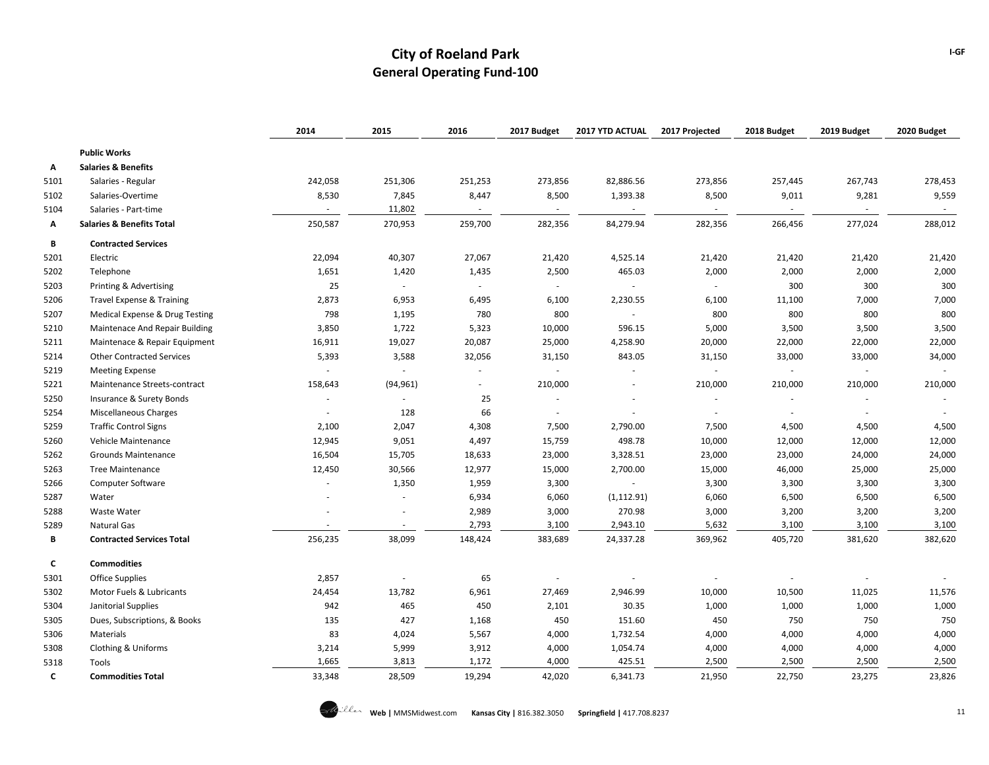|      |                                      | 2014                     | 2015                        | 2016    | 2017 Budget | 2017 YTD ACTUAL          | 2017 Projected           | 2018 Budget | 2019 Budget    | 2020 Budget |
|------|--------------------------------------|--------------------------|-----------------------------|---------|-------------|--------------------------|--------------------------|-------------|----------------|-------------|
|      | <b>Public Works</b>                  |                          |                             |         |             |                          |                          |             |                |             |
| А    | <b>Salaries &amp; Benefits</b>       |                          |                             |         |             |                          |                          |             |                |             |
| 5101 | Salaries - Regular                   | 242,058                  | 251,306                     | 251,253 | 273,856     | 82,886.56                | 273,856                  | 257,445     | 267,743        | 278,453     |
| 5102 | Salaries-Overtime                    | 8,530                    | 7,845                       | 8,447   | 8,500       | 1,393.38                 | 8,500                    | 9,011       | 9,281          | 9,559       |
| 5104 | Salaries - Part-time                 | $\overline{\phantom{a}}$ | 11,802                      | $\sim$  |             |                          | $\sim$                   | $\sim$      | $\sim$         | $\sim$      |
| Α    | <b>Salaries &amp; Benefits Total</b> | 250,587                  | 270,953                     | 259,700 | 282,356     | 84,279.94                | 282,356                  | 266,456     | 277,024        | 288,012     |
| В    | <b>Contracted Services</b>           |                          |                             |         |             |                          |                          |             |                |             |
| 5201 | Electric                             | 22,094                   | 40,307                      | 27,067  | 21,420      | 4,525.14                 | 21,420                   | 21,420      | 21,420         | 21,420      |
| 5202 | Telephone                            | 1,651                    | 1,420                       | 1,435   | 2,500       | 465.03                   | 2,000                    | 2,000       | 2,000          | 2,000       |
| 5203 | Printing & Advertising               | 25                       | $\mathcal{L}_{\mathcal{A}}$ |         |             |                          |                          | 300         | 300            | 300         |
| 5206 | <b>Travel Expense &amp; Training</b> | 2,873                    | 6,953                       | 6,495   | 6,100       | 2,230.55                 | 6,100                    | 11,100      | 7,000          | 7,000       |
| 5207 | Medical Expense & Drug Testing       | 798                      | 1,195                       | 780     | 800         |                          | 800                      | 800         | 800            | 800         |
| 5210 | Maintenace And Repair Building       | 3,850                    | 1,722                       | 5,323   | 10,000      | 596.15                   | 5,000                    | 3,500       | 3,500          | 3,500       |
| 5211 | Maintenace & Repair Equipment        | 16,911                   | 19,027                      | 20,087  | 25,000      | 4,258.90                 | 20,000                   | 22,000      | 22,000         | 22,000      |
| 5214 | <b>Other Contracted Services</b>     | 5,393                    | 3,588                       | 32,056  | 31,150      | 843.05                   | 31,150                   | 33,000      | 33,000         | 34,000      |
| 5219 | <b>Meeting Expense</b>               | $\sim$                   | $\sim$                      |         |             |                          | $\sim$                   | $\sim$      | $\sim$         |             |
| 5221 | Maintenance Streets-contract         | 158,643                  | (94, 961)                   |         | 210,000     |                          | 210,000                  | 210,000     | 210,000        | 210,000     |
| 5250 | Insurance & Surety Bonds             | $\sim$                   | $\sim$                      | 25      |             |                          | $\overline{\phantom{a}}$ | ×.          | $\blacksquare$ |             |
| 5254 | <b>Miscellaneous Charges</b>         | ×.                       | 128                         | 66      |             |                          |                          | $\sim$      | $\sim$         |             |
| 5259 | <b>Traffic Control Signs</b>         | 2,100                    | 2,047                       | 4,308   | 7,500       | 2,790.00                 | 7,500                    | 4,500       | 4,500          | 4,500       |
| 5260 | Vehicle Maintenance                  | 12,945                   | 9,051                       | 4,497   | 15,759      | 498.78                   | 10,000                   | 12,000      | 12,000         | 12,000      |
| 5262 | <b>Grounds Maintenance</b>           | 16,504                   | 15,705                      | 18,633  | 23,000      | 3,328.51                 | 23,000                   | 23,000      | 24,000         | 24,000      |
| 5263 | <b>Tree Maintenance</b>              | 12,450                   | 30,566                      | 12,977  | 15,000      | 2,700.00                 | 15,000                   | 46,000      | 25,000         | 25,000      |
| 5266 | <b>Computer Software</b>             |                          | 1,350                       | 1,959   | 3,300       | $\overline{\phantom{a}}$ | 3,300                    | 3,300       | 3,300          | 3,300       |
| 5287 | Water                                |                          | $\sim$                      | 6,934   | 6,060       | (1, 112.91)              | 6,060                    | 6,500       | 6,500          | 6,500       |
| 5288 | Waste Water                          |                          |                             | 2,989   | 3,000       | 270.98                   | 3,000                    | 3,200       | 3,200          | 3,200       |
| 5289 | Natural Gas                          |                          | ÷.                          | 2,793   | 3,100       | 2,943.10                 | 5,632                    | 3,100       | 3,100          | 3,100       |
| В    | <b>Contracted Services Total</b>     | 256,235                  | 38,099                      | 148,424 | 383,689     | 24,337.28                | 369,962                  | 405,720     | 381,620        | 382,620     |
| c    | <b>Commodities</b>                   |                          |                             |         |             |                          |                          |             |                |             |
| 5301 | <b>Office Supplies</b>               | 2,857                    | $\sim$                      | 65      |             |                          |                          |             |                |             |
| 5302 | Motor Fuels & Lubricants             | 24,454                   | 13,782                      | 6,961   | 27,469      | 2,946.99                 | 10,000                   | 10,500      | 11,025         | 11,576      |
| 5304 | Janitorial Supplies                  | 942                      | 465                         | 450     | 2,101       | 30.35                    | 1,000                    | 1,000       | 1,000          | 1,000       |
| 5305 | Dues, Subscriptions, & Books         | 135                      | 427                         | 1,168   | 450         | 151.60                   | 450                      | 750         | 750            | 750         |
| 5306 | Materials                            | 83                       | 4,024                       | 5,567   | 4,000       | 1,732.54                 | 4,000                    | 4,000       | 4,000          | 4,000       |
| 5308 | Clothing & Uniforms                  | 3,214                    | 5,999                       | 3,912   | 4,000       | 1,054.74                 | 4,000                    | 4,000       | 4,000          | 4,000       |
| 5318 | Tools                                | 1,665                    | 3,813                       | 1,172   | 4,000       | 425.51                   | 2,500                    | 2,500       | 2,500          | 2,500       |
| c    | <b>Commodities Total</b>             | 33,348                   | 28,509                      | 19,294  | 42,020      | 6,341.73                 | 21,950                   | 22,750      | 23,275         | 23,826      |

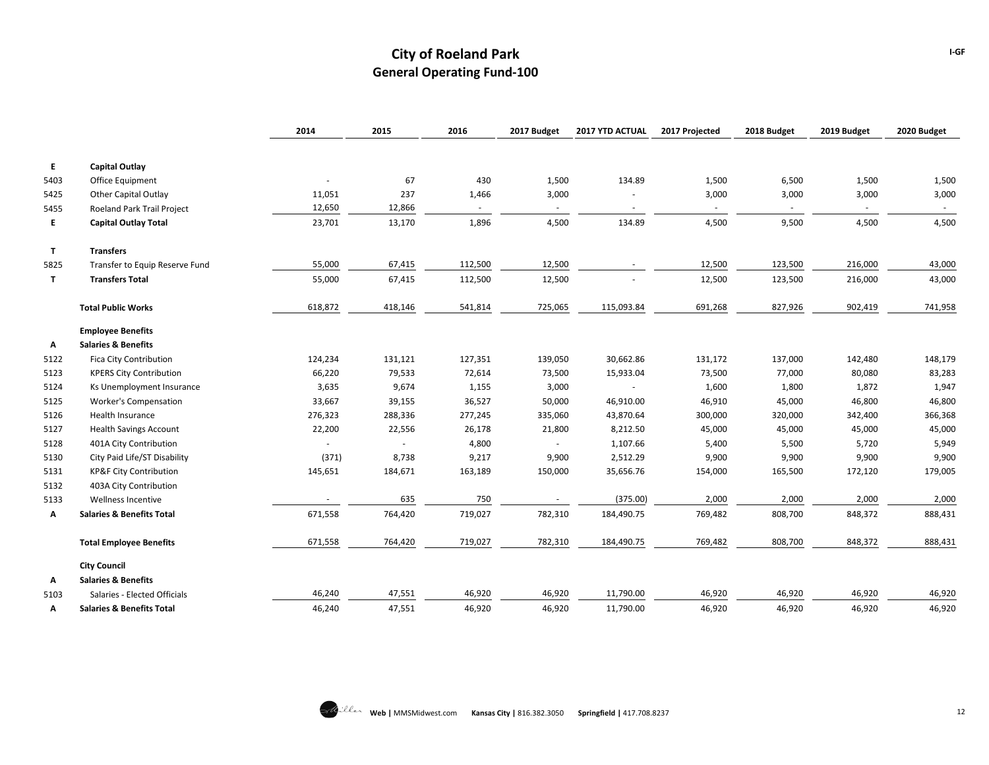|      |                                      | 2014    | 2015                     | 2016    | 2017 Budget | 2017 YTD ACTUAL          | 2017 Projected | 2018 Budget | 2019 Budget | 2020 Budget |
|------|--------------------------------------|---------|--------------------------|---------|-------------|--------------------------|----------------|-------------|-------------|-------------|
| E.   | <b>Capital Outlay</b>                |         |                          |         |             |                          |                |             |             |             |
| 5403 | <b>Office Equipment</b>              |         | 67                       | 430     | 1,500       | 134.89                   | 1,500          | 6,500       | 1,500       | 1,500       |
| 5425 | Other Capital Outlay                 | 11,051  | 237                      | 1,466   | 3,000       |                          | 3,000          | 3,000       | 3,000       | 3,000       |
| 5455 | Roeland Park Trail Project           | 12,650  | 12,866                   | $\sim$  | $\sim$      | $\overline{\phantom{a}}$ | $\sim$         | $\sim$      | $\sim$      | $\sim$      |
| E.   | <b>Capital Outlay Total</b>          | 23,701  | 13,170                   | 1,896   | 4,500       | 134.89                   | 4,500          | 9,500       | 4,500       | 4,500       |
|      |                                      |         |                          |         |             |                          |                |             |             |             |
| T    | <b>Transfers</b>                     |         |                          |         |             |                          |                |             |             |             |
| 5825 | Transfer to Equip Reserve Fund       | 55,000  | 67,415                   | 112,500 | 12,500      |                          | 12,500         | 123,500     | 216,000     | 43,000      |
| T    | <b>Transfers Total</b>               | 55,000  | 67,415                   | 112,500 | 12,500      |                          | 12,500         | 123,500     | 216,000     | 43,000      |
|      | <b>Total Public Works</b>            | 618,872 | 418,146                  | 541,814 | 725,065     | 115,093.84               | 691,268        | 827,926     | 902,419     | 741,958     |
|      | <b>Employee Benefits</b>             |         |                          |         |             |                          |                |             |             |             |
| А    | <b>Salaries &amp; Benefits</b>       |         |                          |         |             |                          |                |             |             |             |
| 5122 | Fica City Contribution               | 124,234 | 131,121                  | 127,351 | 139,050     | 30,662.86                | 131,172        | 137,000     | 142,480     | 148,179     |
| 5123 | <b>KPERS City Contribution</b>       | 66,220  | 79,533                   | 72,614  | 73,500      | 15,933.04                | 73,500         | 77,000      | 80,080      | 83,283      |
| 5124 | Ks Unemployment Insurance            | 3,635   | 9,674                    | 1,155   | 3,000       |                          | 1,600          | 1,800       | 1,872       | 1,947       |
| 5125 | <b>Worker's Compensation</b>         | 33,667  | 39,155                   | 36,527  | 50,000      | 46,910.00                | 46,910         | 45,000      | 46,800      | 46,800      |
| 5126 | Health Insurance                     | 276,323 | 288,336                  | 277,245 | 335,060     | 43,870.64                | 300,000        | 320,000     | 342,400     | 366,368     |
| 5127 | <b>Health Savings Account</b>        | 22,200  | 22,556                   | 26,178  | 21,800      | 8,212.50                 | 45,000         | 45,000      | 45,000      | 45,000      |
| 5128 | 401A City Contribution               |         | $\overline{\phantom{a}}$ | 4,800   |             | 1,107.66                 | 5,400          | 5,500       | 5,720       | 5,949       |
| 5130 | City Paid Life/ST Disability         | (371)   | 8,738                    | 9,217   | 9,900       | 2,512.29                 | 9,900          | 9,900       | 9,900       | 9,900       |
| 5131 | <b>KP&amp;F City Contribution</b>    | 145,651 | 184,671                  | 163,189 | 150,000     | 35,656.76                | 154,000        | 165,500     | 172,120     | 179,005     |
| 5132 | 403A City Contribution               |         |                          |         |             |                          |                |             |             |             |
| 5133 | Wellness Incentive                   |         | 635                      | 750     |             | (375.00)                 | 2,000          | 2,000       | 2,000       | 2,000       |
| Α    | <b>Salaries &amp; Benefits Total</b> | 671,558 | 764,420                  | 719,027 | 782,310     | 184,490.75               | 769,482        | 808,700     | 848,372     | 888,431     |
|      | <b>Total Employee Benefits</b>       | 671,558 | 764,420                  | 719,027 | 782,310     | 184,490.75               | 769,482        | 808,700     | 848,372     | 888,431     |
|      | <b>City Council</b>                  |         |                          |         |             |                          |                |             |             |             |
| А    | <b>Salaries &amp; Benefits</b>       |         |                          |         |             |                          |                |             |             |             |
| 5103 | Salaries - Elected Officials         | 46,240  | 47,551                   | 46,920  | 46,920      | 11,790.00                | 46,920         | 46,920      | 46,920      | 46,920      |
| А    | <b>Salaries &amp; Benefits Total</b> | 46,240  | 47,551                   | 46,920  | 46,920      | 11,790.00                | 46,920         | 46,920      | 46,920      | 46,920      |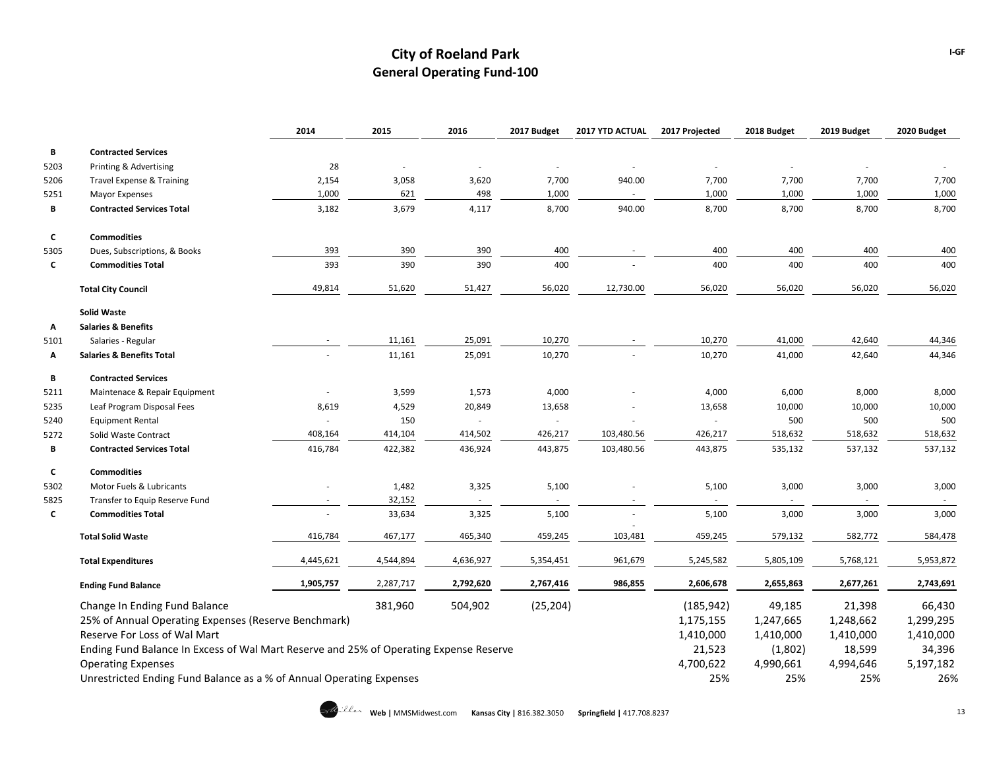|      |                                                                                        | 2014      | 2015      | 2016      | 2017 Budget | 2017 YTD ACTUAL | 2017 Projected | 2018 Budget | 2019 Budget | 2020 Budget |
|------|----------------------------------------------------------------------------------------|-----------|-----------|-----------|-------------|-----------------|----------------|-------------|-------------|-------------|
| В    | <b>Contracted Services</b>                                                             |           |           |           |             |                 |                |             |             |             |
| 5203 | Printing & Advertising                                                                 | 28        | $\sim$    | $\sim$    | ÷.          |                 |                |             |             |             |
| 5206 | <b>Travel Expense &amp; Training</b>                                                   | 2,154     | 3,058     | 3,620     | 7,700       | 940.00          | 7,700          | 7,700       | 7,700       | 7,700       |
| 5251 | Mayor Expenses                                                                         | 1,000     | 621       | 498       | 1,000       | $\sim$          | 1,000          | 1,000       | 1,000       | 1,000       |
| B    | <b>Contracted Services Total</b>                                                       | 3,182     | 3,679     | 4,117     | 8,700       | 940.00          | 8,700          | 8,700       | 8,700       | 8,700       |
| C    | <b>Commodities</b>                                                                     |           |           |           |             |                 |                |             |             |             |
| 5305 | Dues, Subscriptions, & Books                                                           | 393       | 390       | 390       | 400         |                 | 400            | 400         | 400         | 400         |
| C    | <b>Commodities Total</b>                                                               | 393       | 390       | 390       | 400         |                 | 400            | 400         | 400         | 400         |
|      | <b>Total City Council</b>                                                              | 49,814    | 51,620    | 51,427    | 56,020      | 12,730.00       | 56,020         | 56,020      | 56,020      | 56,020      |
|      | <b>Solid Waste</b>                                                                     |           |           |           |             |                 |                |             |             |             |
| Α    | <b>Salaries &amp; Benefits</b>                                                         |           |           |           |             |                 |                |             |             |             |
| 5101 | Salaries - Regular                                                                     |           | 11,161    | 25,091    | 10,270      |                 | 10,270         | 41,000      | 42,640      | 44,346      |
| Α    | <b>Salaries &amp; Benefits Total</b>                                                   |           | 11,161    | 25,091    | 10,270      |                 | 10,270         | 41,000      | 42,640      | 44,346      |
| В    | <b>Contracted Services</b>                                                             |           |           |           |             |                 |                |             |             |             |
| 5211 | Maintenace & Repair Equipment                                                          | $\sim$    | 3,599     | 1,573     | 4,000       |                 | 4,000          | 6,000       | 8,000       | 8,000       |
| 5235 | Leaf Program Disposal Fees                                                             | 8,619     | 4,529     | 20,849    | 13,658      |                 | 13,658         | 10,000      | 10,000      | 10,000      |
| 5240 | <b>Equipment Rental</b>                                                                |           | 150       |           |             |                 |                | 500         | 500         | 500         |
| 5272 | Solid Waste Contract                                                                   | 408,164   | 414,104   | 414,502   | 426,217     | 103,480.56      | 426,217        | 518,632     | 518,632     | 518,632     |
| В    | <b>Contracted Services Total</b>                                                       | 416,784   | 422,382   | 436,924   | 443,875     | 103,480.56      | 443,875        | 535,132     | 537,132     | 537,132     |
| C    | <b>Commodities</b>                                                                     |           |           |           |             |                 |                |             |             |             |
| 5302 | Motor Fuels & Lubricants                                                               |           | 1,482     | 3,325     | 5,100       |                 | 5,100          | 3,000       | 3,000       | 3,000       |
| 5825 | Transfer to Equip Reserve Fund                                                         |           | 32,152    |           |             |                 |                |             |             |             |
| C    | <b>Commodities Total</b>                                                               |           | 33,634    | 3,325     | 5,100       |                 | 5,100          | 3,000       | 3,000       | 3,000       |
|      | <b>Total Solid Waste</b>                                                               | 416,784   | 467,177   | 465,340   | 459,245     | 103,481         | 459,245        | 579,132     | 582,772     | 584,478     |
|      | <b>Total Expenditures</b>                                                              | 4,445,621 | 4,544,894 | 4,636,927 | 5,354,451   | 961,679         | 5,245,582      | 5,805,109   | 5,768,121   | 5,953,872   |
|      | <b>Ending Fund Balance</b>                                                             | 1,905,757 | 2,287,717 | 2,792,620 | 2,767,416   | 986,855         | 2,606,678      | 2,655,863   | 2,677,261   | 2,743,691   |
|      | Change In Ending Fund Balance                                                          |           | 381,960   | 504,902   | (25, 204)   |                 | (185, 942)     | 49,185      | 21,398      | 66,430      |
|      | 25% of Annual Operating Expenses (Reserve Benchmark)                                   |           |           |           |             |                 | 1,175,155      | 1,247,665   | 1,248,662   | 1,299,295   |
|      | Reserve For Loss of Wal Mart                                                           |           |           |           |             |                 | 1,410,000      | 1,410,000   | 1,410,000   | 1,410,000   |
|      | Ending Fund Balance In Excess of Wal Mart Reserve and 25% of Operating Expense Reserve |           |           |           |             |                 | 21,523         | (1,802)     | 18,599      | 34,396      |
|      | <b>Operating Expenses</b>                                                              |           |           |           |             |                 | 4,700,622      | 4,990,661   | 4,994,646   | 5,197,182   |
|      | Unrestricted Ending Fund Balance as a % of Annual Operating Expenses                   |           |           |           |             |                 | 25%            | 25%         | 25%         | 26%         |

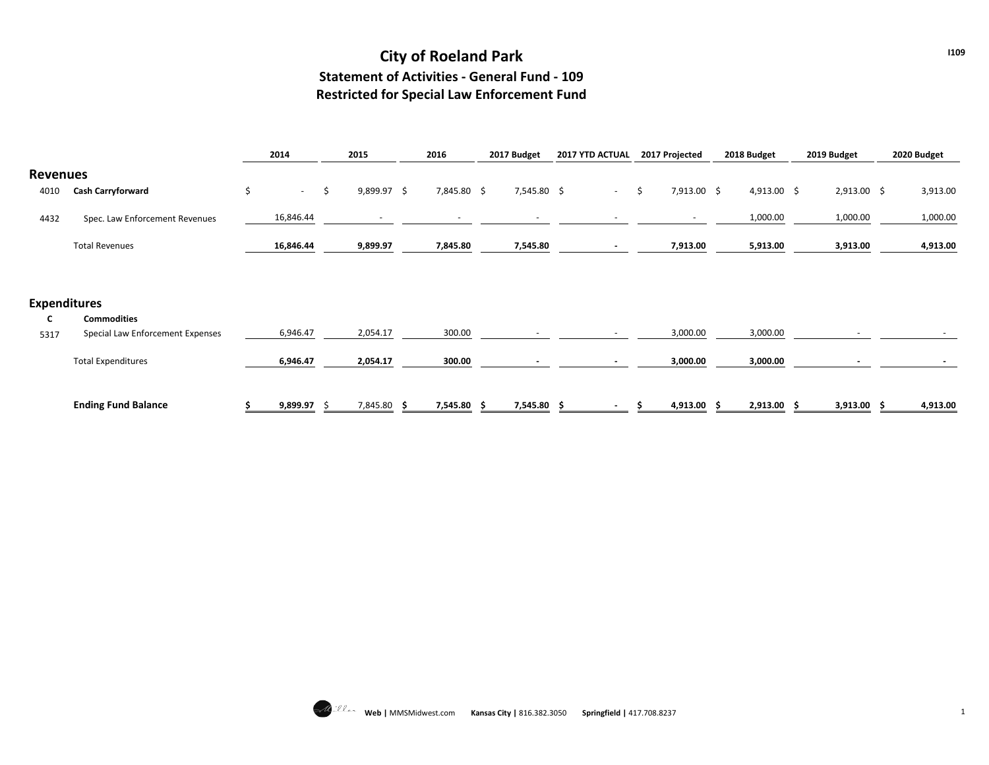## **City of Roeland Park Statement of Activities - General Fund - 109 Restricted for Special Law Enforcement Fund**

|                     |                                  | 2014         | 2015                | 2016        | 2017 Budget | 2017 YTD ACTUAL | 2017 Projected    | 2018 Budget   | 2019 Budget |               | 2020 Budget |
|---------------------|----------------------------------|--------------|---------------------|-------------|-------------|-----------------|-------------------|---------------|-------------|---------------|-------------|
| <b>Revenues</b>     |                                  |              |                     |             |             |                 |                   |               |             |               |             |
| 4010                | <b>Cash Carryforward</b>         | \$<br>$\sim$ | \$<br>$9,899.97$ \$ | 7,845.80 \$ | 7,545.80 \$ | $\sim$          | \$<br>7,913.00 \$ | $4,913.00$ \$ |             | $2,913.00$ \$ | 3,913.00    |
| 4432                | Spec. Law Enforcement Revenues   | 16,846.44    |                     |             |             |                 |                   | 1,000.00      |             | 1,000.00      | 1,000.00    |
|                     | <b>Total Revenues</b>            | 16,846.44    | 9,899.97            | 7,845.80    | 7,545.80    |                 | 7,913.00          | 5,913.00      |             | 3,913.00      | 4,913.00    |
|                     |                                  |              |                     |             |             |                 |                   |               |             |               |             |
| <b>Expenditures</b> |                                  |              |                     |             |             |                 |                   |               |             |               |             |
| C                   | <b>Commodities</b>               |              |                     |             |             |                 |                   |               |             |               |             |
| 5317                | Special Law Enforcement Expenses | 6,946.47     | 2,054.17            | 300.00      |             |                 | 3,000.00          | 3,000.00      |             |               |             |
|                     | <b>Total Expenditures</b>        | 6,946.47     | 2,054.17            | 300.00      |             |                 | 3,000.00          | 3,000.00      |             |               |             |
|                     | <b>Ending Fund Balance</b>       | 9,899.97     | 7,845.80            | 7,545.80    | 7,545.80 \$ |                 | 4,913.00 \$       | 2,913.00      |             | $3,913.00$ \$ | 4,913.00    |

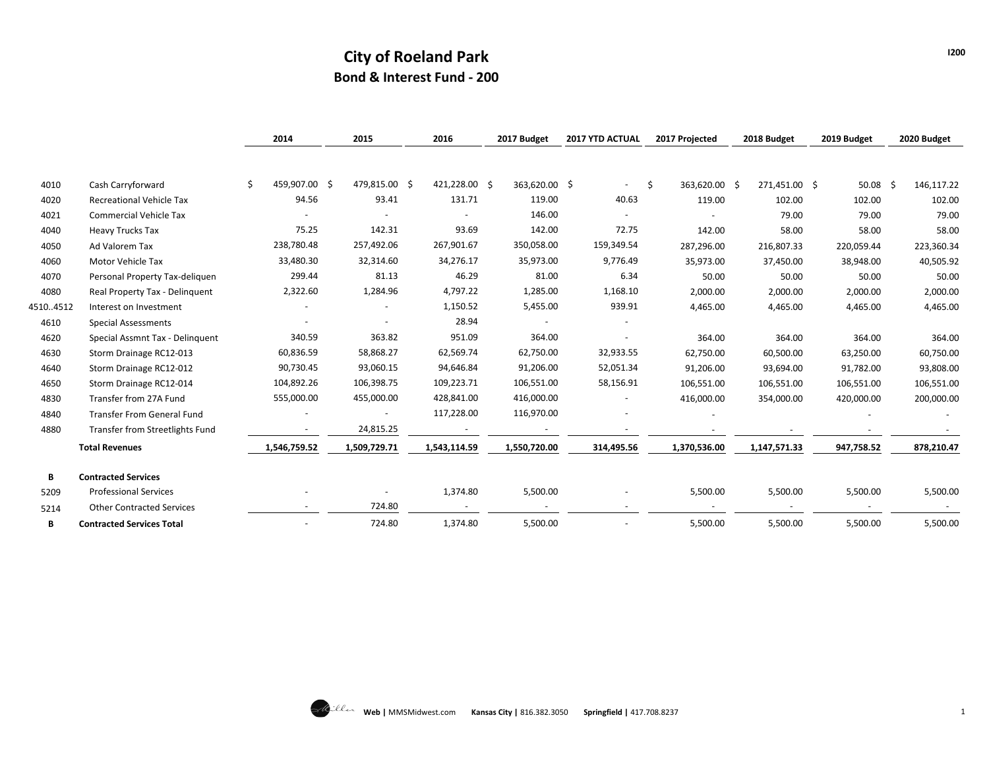## **City of Roeland Park Bond & Interest Fund - 200**

|          |                                   | 2014                | 2015          | 2016          | 2017 Budget   | 2017 YTD ACTUAL          | 2017 Projected      | 2018 Budget   | 2019 Budget | 2020 Budget |
|----------|-----------------------------------|---------------------|---------------|---------------|---------------|--------------------------|---------------------|---------------|-------------|-------------|
|          |                                   |                     |               |               |               |                          |                     |               |             |             |
|          |                                   | \$<br>459,907.00 \$ | 479,815.00 \$ | 421,228.00 \$ |               |                          |                     |               |             |             |
| 4010     | Cash Carryforward                 |                     |               |               | 363,620.00 \$ |                          | \$<br>363,620.00 \$ | 271,451.00 \$ | $50.08$ \$  | 146,117.22  |
| 4020     | <b>Recreational Vehicle Tax</b>   | 94.56               | 93.41         | 131.71        | 119.00        | 40.63                    | 119.00              | 102.00        | 102.00      | 102.00      |
| 4021     | <b>Commercial Vehicle Tax</b>     |                     |               |               | 146.00        |                          |                     | 79.00         | 79.00       | 79.00       |
| 4040     | <b>Heavy Trucks Tax</b>           | 75.25               | 142.31        | 93.69         | 142.00        | 72.75                    | 142.00              | 58.00         | 58.00       | 58.00       |
| 4050     | Ad Valorem Tax                    | 238,780.48          | 257,492.06    | 267,901.67    | 350,058.00    | 159,349.54               | 287,296.00          | 216,807.33    | 220,059.44  | 223,360.34  |
| 4060     | Motor Vehicle Tax                 | 33,480.30           | 32,314.60     | 34,276.17     | 35,973.00     | 9,776.49                 | 35,973.00           | 37,450.00     | 38,948.00   | 40,505.92   |
| 4070     | Personal Property Tax-deliquen    | 299.44              | 81.13         | 46.29         | 81.00         | 6.34                     | 50.00               | 50.00         | 50.00       | 50.00       |
| 4080     | Real Property Tax - Delinquent    | 2,322.60            | 1,284.96      | 4,797.22      | 1,285.00      | 1,168.10                 | 2,000.00            | 2,000.00      | 2,000.00    | 2,000.00    |
| 45104512 | Interest on Investment            |                     |               | 1,150.52      | 5,455.00      | 939.91                   | 4,465.00            | 4,465.00      | 4,465.00    | 4,465.00    |
| 4610     | <b>Special Assessments</b>        |                     |               | 28.94         |               |                          |                     |               |             |             |
| 4620     | Special Assmnt Tax - Delinguent   | 340.59              | 363.82        | 951.09        | 364.00        |                          | 364.00              | 364.00        | 364.00      | 364.00      |
| 4630     | Storm Drainage RC12-013           | 60,836.59           | 58,868.27     | 62,569.74     | 62,750.00     | 32,933.55                | 62,750.00           | 60,500.00     | 63,250.00   | 60,750.00   |
| 4640     | Storm Drainage RC12-012           | 90,730.45           | 93,060.15     | 94,646.84     | 91,206.00     | 52,051.34                | 91,206.00           | 93,694.00     | 91,782.00   | 93,808.00   |
| 4650     | Storm Drainage RC12-014           | 104,892.26          | 106,398.75    | 109,223.71    | 106,551.00    | 58,156.91                | 106,551.00          | 106,551.00    | 106,551.00  | 106,551.00  |
| 4830     | Transfer from 27A Fund            | 555,000.00          | 455,000.00    | 428,841.00    | 416,000.00    |                          | 416,000.00          | 354,000.00    | 420,000.00  | 200,000.00  |
| 4840     | <b>Transfer From General Fund</b> |                     |               | 117,228.00    | 116,970.00    |                          |                     |               |             |             |
| 4880     | Transfer from Streetlights Fund   |                     | 24,815.25     |               |               |                          |                     |               |             |             |
|          | <b>Total Revenues</b>             | 1,546,759.52        | 1,509,729.71  | 1,543,114.59  | 1,550,720.00  | 314,495.56               | 1,370,536.00        | 1,147,571.33  | 947,758.52  | 878,210.47  |
| B        | <b>Contracted Services</b>        |                     |               |               |               |                          |                     |               |             |             |
| 5209     | <b>Professional Services</b>      |                     |               | 1,374.80      | 5,500.00      |                          | 5,500.00            | 5,500.00      | 5,500.00    | 5,500.00    |
| 5214     | <b>Other Contracted Services</b>  |                     | 724.80        |               |               | $\overline{\phantom{a}}$ |                     |               |             |             |
| в        | <b>Contracted Services Total</b>  |                     | 724.80        | 1,374.80      | 5,500.00      |                          | 5,500.00            | 5,500.00      | 5,500.00    | 5,500.00    |

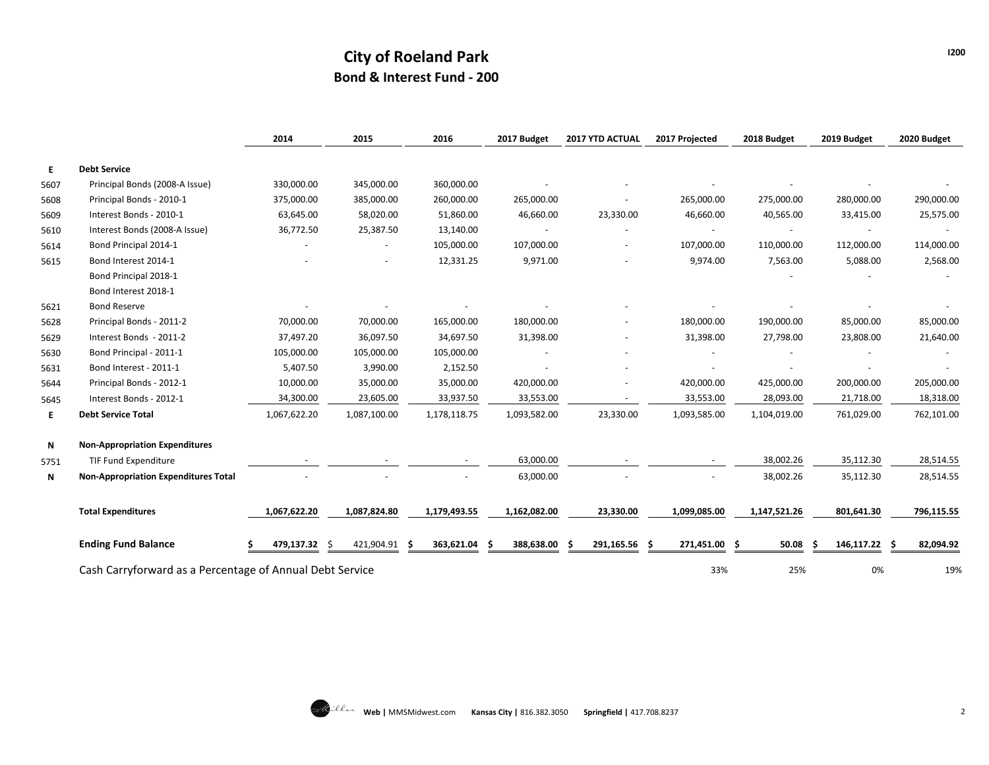## **City of Roeland Park Bond & Interest Fund - 200**

|      |                                                          | 2014          | 2015         | 2016             | 2017 Budget  | 2017 YTD ACTUAL | 2017 Projected    | 2018 Budget  | 2019 Budget        | 2020 Budget |
|------|----------------------------------------------------------|---------------|--------------|------------------|--------------|-----------------|-------------------|--------------|--------------------|-------------|
| E.   | <b>Debt Service</b>                                      |               |              |                  |              |                 |                   |              |                    |             |
| 5607 | Principal Bonds (2008-A Issue)                           | 330,000.00    | 345,000.00   | 360,000.00       |              |                 |                   |              |                    |             |
| 5608 | Principal Bonds - 2010-1                                 | 375,000.00    | 385,000.00   | 260,000.00       | 265,000.00   |                 | 265,000.00        | 275,000.00   | 280,000.00         | 290,000.00  |
| 5609 | Interest Bonds - 2010-1                                  | 63,645.00     | 58,020.00    | 51,860.00        | 46,660.00    | 23,330.00       | 46,660.00         | 40,565.00    | 33,415.00          | 25,575.00   |
| 5610 | Interest Bonds (2008-A Issue)                            | 36,772.50     | 25,387.50    | 13,140.00        |              |                 |                   |              | $\sim$             |             |
| 5614 | Bond Principal 2014-1                                    |               |              | 105,000.00       | 107,000.00   |                 | 107,000.00        | 110,000.00   | 112,000.00         | 114,000.00  |
| 5615 | Bond Interest 2014-1                                     |               |              | 12,331.25        | 9,971.00     |                 | 9,974.00          | 7,563.00     | 5,088.00           | 2,568.00    |
|      | Bond Principal 2018-1                                    |               |              |                  |              |                 |                   |              |                    |             |
|      | Bond Interest 2018-1                                     |               |              |                  |              |                 |                   |              |                    |             |
| 5621 | <b>Bond Reserve</b>                                      |               |              |                  |              |                 |                   |              |                    |             |
| 5628 | Principal Bonds - 2011-2                                 | 70,000.00     | 70,000.00    | 165,000.00       | 180,000.00   |                 | 180,000.00        | 190,000.00   | 85,000.00          | 85,000.00   |
| 5629 | Interest Bonds - 2011-2                                  | 37,497.20     | 36,097.50    | 34,697.50        | 31,398.00    |                 | 31,398.00         | 27,798.00    | 23,808.00          | 21,640.00   |
| 5630 | Bond Principal - 2011-1                                  | 105,000.00    | 105,000.00   | 105,000.00       |              |                 |                   |              |                    |             |
| 5631 | Bond Interest - 2011-1                                   | 5,407.50      | 3,990.00     | 2,152.50         |              |                 |                   |              |                    |             |
| 5644 | Principal Bonds - 2012-1                                 | 10,000.00     | 35,000.00    | 35,000.00        | 420,000.00   |                 | 420,000.00        | 425,000.00   | 200,000.00         | 205,000.00  |
| 5645 | Interest Bonds - 2012-1                                  | 34,300.00     | 23,605.00    | 33,937.50        | 33,553.00    |                 | 33,553.00         | 28,093.00    | 21,718.00          | 18,318.00   |
| E.   | <b>Debt Service Total</b>                                | 1,067,622.20  | 1,087,100.00 | 1,178,118.75     | 1,093,582.00 | 23,330.00       | 1,093,585.00      | 1,104,019.00 | 761,029.00         | 762,101.00  |
| N    | <b>Non-Appropriation Expenditures</b>                    |               |              |                  |              |                 |                   |              |                    |             |
| 5751 | <b>TIF Fund Expenditure</b>                              |               |              |                  | 63,000.00    |                 |                   | 38,002.26    | 35,112.30          | 28,514.55   |
| Ν    | <b>Non-Appropriation Expenditures Total</b>              |               |              |                  | 63,000.00    |                 |                   | 38,002.26    | 35,112.30          | 28,514.55   |
|      | <b>Total Expenditures</b>                                | 1,067,622.20  | 1,087,824.80 | 1,179,493.55     | 1,162,082.00 | 23,330.00       | 1,099,085.00      | 1,147,521.26 | 801,641.30         | 796,115.55  |
|      | <b>Ending Fund Balance</b>                               | 479,137.32 \$ | 421,904.91   | 363,621.04<br>-S | 388,638.00   | 291,165.56      | 271,451.00<br>- S | 50.08<br>Ŝ   | 146,117.22 \$<br>S | 82,094.92   |
|      | Cash Carryforward as a Percentage of Annual Debt Service |               |              |                  |              |                 | 33%               | 25%          | 0%                 | 19%         |

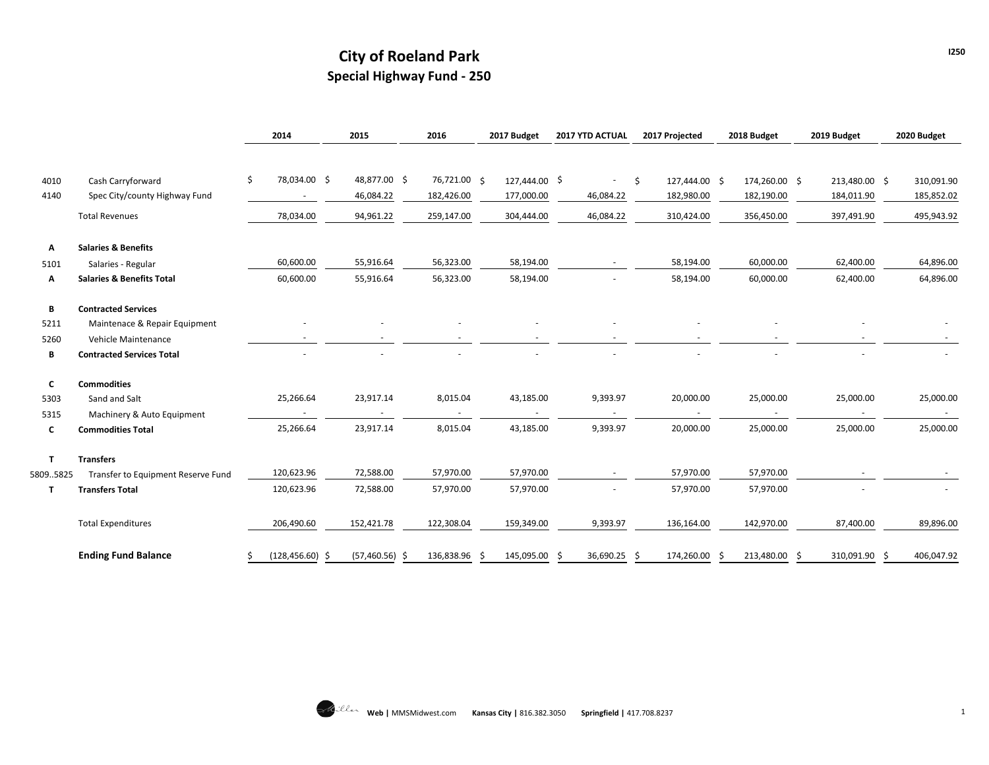## **City of Roeland Park Special Highway Fund - 250**

|              |                                      | 2014                     | 2015             | 2016         | 2017 Budget   | 2017 YTD ACTUAL |    | 2017 Projected |    | 2018 Budget   | 2019 Budget   | 2020 Budget |
|--------------|--------------------------------------|--------------------------|------------------|--------------|---------------|-----------------|----|----------------|----|---------------|---------------|-------------|
|              |                                      |                          |                  |              |               |                 |    |                |    |               |               |             |
| 4010         | Cash Carryforward                    | 78,034.00 \$<br>\$       | 48,877.00 \$     | 76,721.00 \$ | 127,444.00 \$ | $\sim$          | \$ | 127,444.00 \$  |    | 174,260.00 \$ | 213,480.00 \$ | 310,091.90  |
| 4140         | Spec City/county Highway Fund        | $\overline{\phantom{a}}$ | 46,084.22        | 182,426.00   | 177,000.00    | 46,084.22       |    | 182,980.00     |    | 182,190.00    | 184,011.90    | 185,852.02  |
|              | <b>Total Revenues</b>                | 78,034.00                | 94,961.22        | 259,147.00   | 304,444.00    | 46,084.22       |    | 310,424.00     |    | 356,450.00    | 397,491.90    | 495,943.92  |
| Α            | <b>Salaries &amp; Benefits</b>       |                          |                  |              |               |                 |    |                |    |               |               |             |
| 5101         | Salaries - Regular                   | 60,600.00                | 55,916.64        | 56,323.00    | 58,194.00     |                 |    | 58,194.00      |    | 60,000.00     | 62,400.00     | 64,896.00   |
| Α            | <b>Salaries &amp; Benefits Total</b> | 60,600.00                | 55,916.64        | 56,323.00    | 58,194.00     |                 |    | 58,194.00      |    | 60,000.00     | 62,400.00     | 64,896.00   |
| В            | <b>Contracted Services</b>           |                          |                  |              |               |                 |    |                |    |               |               |             |
| 5211         | Maintenace & Repair Equipment        |                          |                  |              |               |                 |    |                |    |               |               |             |
| 5260         | Vehicle Maintenance                  |                          |                  |              |               |                 |    |                |    |               |               |             |
| В            | <b>Contracted Services Total</b>     |                          |                  |              |               |                 |    |                |    |               |               |             |
| C            | <b>Commodities</b>                   |                          |                  |              |               |                 |    |                |    |               |               |             |
| 5303         | Sand and Salt                        | 25,266.64                | 23,917.14        | 8,015.04     | 43,185.00     | 9,393.97        |    | 20,000.00      |    | 25,000.00     | 25,000.00     | 25,000.00   |
| 5315         | Machinery & Auto Equipment           |                          |                  |              |               |                 |    |                |    |               |               |             |
| C            | <b>Commodities Total</b>             | 25,266.64                | 23,917.14        | 8,015.04     | 43,185.00     | 9,393.97        |    | 20,000.00      |    | 25,000.00     | 25,000.00     | 25,000.00   |
| $\mathbf{T}$ | <b>Transfers</b>                     |                          |                  |              |               |                 |    |                |    |               |               |             |
| 58095825     | Transfer to Equipment Reserve Fund   | 120,623.96               | 72,588.00        | 57,970.00    | 57,970.00     |                 |    | 57,970.00      |    | 57,970.00     |               |             |
| T            | <b>Transfers Total</b>               | 120,623.96               | 72,588.00        | 57,970.00    | 57,970.00     |                 |    | 57,970.00      |    | 57,970.00     |               |             |
|              | <b>Total Expenditures</b>            | 206,490.60               | 152,421.78       | 122,308.04   | 159,349.00    | 9,393.97        |    | 136,164.00     |    | 142,970.00    | 87,400.00     | 89,896.00   |
|              | <b>Ending Fund Balance</b>           | $(128, 456.60)$ \$       | $(57,460.56)$ \$ | 136,838.96   | 145,095.00    | 36,690.25       | -S | 174,260.00     | -S | 213,480.00    | 310,091.90    | 406,047.92  |

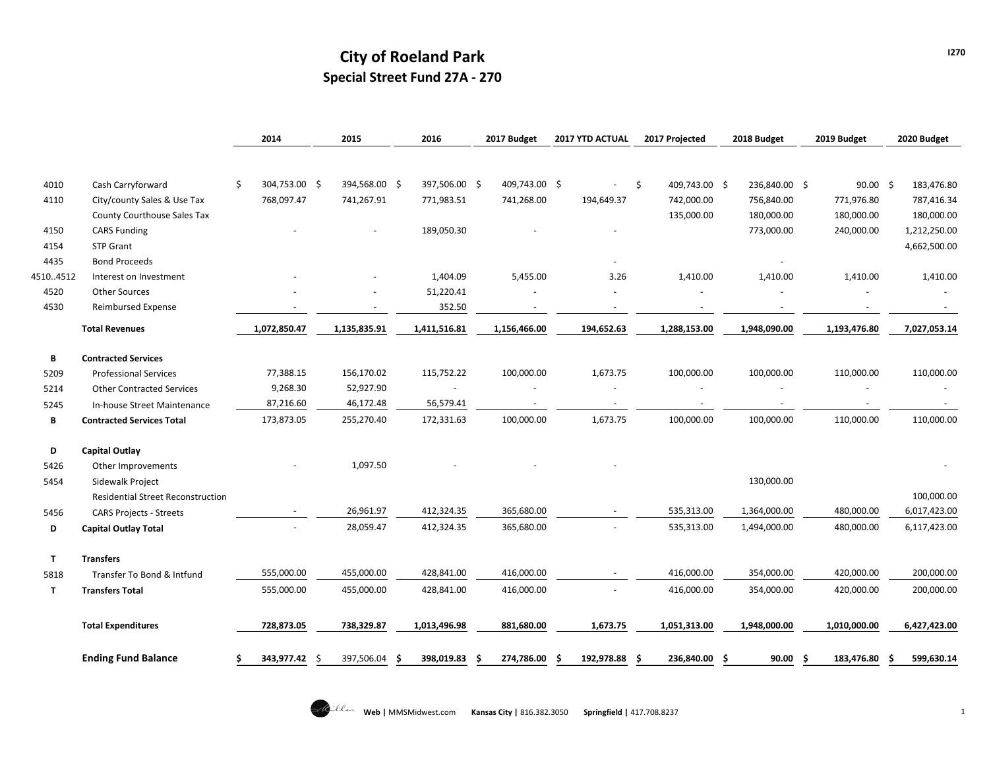## **City of Roeland Park Special Street Fund 27A - 270**

|              |                                          | 2014                | 2015             | 2016             | 2017 Budget   | 2017 YTD ACTUAL | 2017 Projected      | 2018 Budget              | 2019 Budget     | 2020 Budget     |
|--------------|------------------------------------------|---------------------|------------------|------------------|---------------|-----------------|---------------------|--------------------------|-----------------|-----------------|
|              |                                          |                     |                  |                  |               |                 |                     |                          |                 |                 |
| 4010         | Cash Carryforward                        | \$<br>304,753.00 \$ | 394,568.00 \$    | 397,506.00 \$    | 409,743.00 \$ |                 | \$<br>409,743.00 \$ | 236,840.00 \$            | $90.00$ \$      | 183,476.80      |
| 4110         | City/county Sales & Use Tax              | 768,097.47          | 741,267.91       | 771,983.51       | 741,268.00    | 194,649.37      | 742,000.00          | 756,840.00               | 771,976.80      | 787,416.34      |
|              | County Courthouse Sales Tax              |                     |                  |                  |               |                 | 135,000.00          | 180,000.00               | 180,000.00      | 180,000.00      |
| 4150         | <b>CARS Funding</b>                      |                     |                  | 189,050.30       |               |                 |                     | 773,000.00               | 240,000.00      | 1,212,250.00    |
| 4154         | <b>STP Grant</b>                         |                     |                  |                  |               |                 |                     |                          |                 | 4,662,500.00    |
| 4435         | <b>Bond Proceeds</b>                     |                     |                  |                  |               |                 |                     |                          |                 |                 |
| 45104512     | Interest on Investment                   |                     |                  | 1,404.09         | 5,455.00      | 3.26            | 1,410.00            | 1,410.00                 | 1,410.00        | 1,410.00        |
| 4520         | <b>Other Sources</b>                     |                     |                  | 51,220.41        |               |                 |                     |                          |                 |                 |
| 4530         | <b>Reimbursed Expense</b>                |                     |                  | 352.50           |               |                 |                     | $\overline{\phantom{a}}$ |                 |                 |
|              | <b>Total Revenues</b>                    | 1,072,850.47        | 1,135,835.91     | 1,411,516.81     | 1,156,466.00  | 194,652.63      | 1,288,153.00        | 1,948,090.00             | 1,193,476.80    | 7,027,053.14    |
| B            | <b>Contracted Services</b>               |                     |                  |                  |               |                 |                     |                          |                 |                 |
| 5209         | <b>Professional Services</b>             | 77,388.15           | 156,170.02       | 115,752.22       | 100,000.00    | 1,673.75        | 100,000.00          | 100,000.00               | 110,000.00      | 110,000.00      |
| 5214         | <b>Other Contracted Services</b>         | 9,268.30            | 52,927.90        | $\frac{1}{2}$    |               |                 |                     |                          |                 |                 |
| 5245         | In-house Street Maintenance              | 87,216.60           | 46,172.48        | 56,579.41        |               |                 |                     |                          |                 |                 |
| B            | <b>Contracted Services Total</b>         | 173,873.05          | 255,270.40       | 172,331.63       | 100,000.00    | 1,673.75        | 100,000.00          | 100,000.00               | 110,000.00      | 110,000.00      |
| D            | <b>Capital Outlay</b>                    |                     |                  |                  |               |                 |                     |                          |                 |                 |
| 5426         | Other Improvements                       |                     | 1,097.50         |                  |               |                 |                     |                          |                 |                 |
| 5454         | Sidewalk Project                         |                     |                  |                  |               |                 |                     | 130,000.00               |                 |                 |
|              | <b>Residential Street Reconstruction</b> |                     |                  |                  |               |                 |                     |                          |                 | 100,000.00      |
| 5456         | <b>CARS Projects - Streets</b>           |                     | 26,961.97        | 412,324.35       | 365,680.00    |                 | 535,313.00          | 1,364,000.00             | 480,000.00      | 6,017,423.00    |
| D            | <b>Capital Outlay Total</b>              |                     | 28,059.47        | 412,324.35       | 365,680.00    |                 | 535,313.00          | 1,494,000.00             | 480,000.00      | 6,117,423.00    |
| $\mathsf{T}$ | <b>Transfers</b>                         |                     |                  |                  |               |                 |                     |                          |                 |                 |
| 5818         | Transfer To Bond & Intfund               | 555,000.00          | 455,000.00       | 428,841.00       | 416,000.00    |                 | 416,000.00          | 354,000.00               | 420,000.00      | 200,000.00      |
| Τ            | <b>Transfers Total</b>                   | 555,000.00          | 455,000.00       | 428,841.00       | 416,000.00    |                 | 416,000.00          | 354,000.00               | 420,000.00      | 200,000.00      |
|              | <b>Total Expenditures</b>                | 728,873.05          | 738,329.87       | 1,013,496.98     | 881,680.00    | 1,673.75        | 1,051,313.00        | 1,948,000.00             | 1,010,000.00    | 6,427,423.00    |
|              | <b>Ending Fund Balance</b>               | 343,977.42          | 397,506.04<br>-S | 398,019.83<br>.S | 274,786.00    | 192,978.88      | 236,840.00          | 90.00                    | 183,476.80<br>s | 599,630.14<br>s |

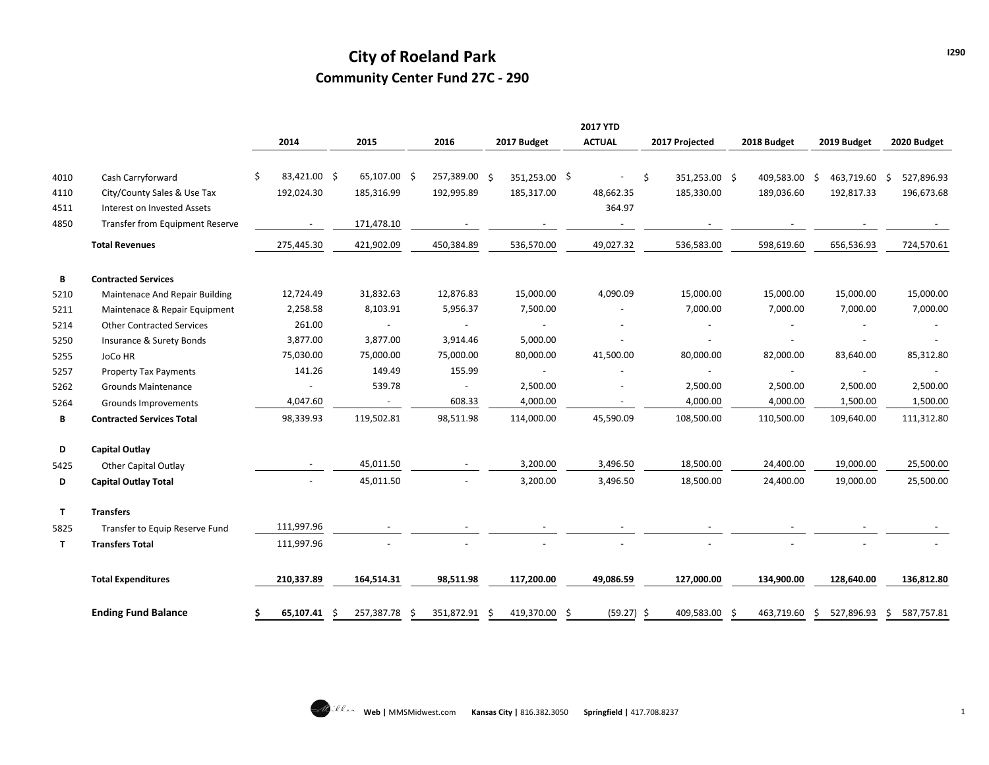## **City of Roeland Park Community Center Fund 27C - 290**

|      |                                  |                     |              |               |   |               |   | <b>2017 YTD</b>          |                     |             |     |               |   |             |
|------|----------------------------------|---------------------|--------------|---------------|---|---------------|---|--------------------------|---------------------|-------------|-----|---------------|---|-------------|
|      |                                  | 2014                | 2015         | 2016          |   | 2017 Budget   |   | <b>ACTUAL</b>            | 2017 Projected      | 2018 Budget |     | 2019 Budget   |   | 2020 Budget |
| 4010 | Cash Carryforward                | 83,421.00 \$<br>\$. | 65,107.00 \$ | 257,389.00 \$ |   | 351,253.00 \$ |   |                          | 351,253.00 \$<br>\$ | 409,583.00  | - Ś | 463,719.60 \$ |   | 527,896.93  |
| 4110 | City/County Sales & Use Tax      | 192,024.30          | 185,316.99   | 192,995.89    |   | 185,317.00    |   | 48,662.35                | 185,330.00          | 189,036.60  |     | 192,817.33    |   | 196,673.68  |
| 4511 | Interest on Invested Assets      |                     |              |               |   |               |   | 364.97                   |                     |             |     |               |   |             |
| 4850 | Transfer from Equipment Reserve  |                     | 171,478.10   |               |   |               |   | $\overline{\phantom{a}}$ |                     |             |     |               |   |             |
|      | <b>Total Revenues</b>            | 275,445.30          | 421,902.09   | 450,384.89    |   | 536,570.00    |   | 49,027.32                | 536,583.00          | 598,619.60  |     | 656,536.93    |   | 724,570.61  |
| В    | <b>Contracted Services</b>       |                     |              |               |   |               |   |                          |                     |             |     |               |   |             |
| 5210 | Maintenace And Repair Building   | 12,724.49           | 31,832.63    | 12,876.83     |   | 15,000.00     |   | 4,090.09                 | 15,000.00           | 15,000.00   |     | 15,000.00     |   | 15,000.00   |
| 5211 | Maintenace & Repair Equipment    | 2,258.58            | 8,103.91     | 5,956.37      |   | 7,500.00      |   |                          | 7,000.00            | 7,000.00    |     | 7,000.00      |   | 7,000.00    |
| 5214 | <b>Other Contracted Services</b> | 261.00              |              |               |   |               |   |                          |                     |             |     |               |   |             |
| 5250 | Insurance & Surety Bonds         | 3,877.00            | 3,877.00     | 3,914.46      |   | 5,000.00      |   |                          |                     |             |     |               |   |             |
| 5255 | <b>JoCo HR</b>                   | 75,030.00           | 75,000.00    | 75,000.00     |   | 80,000.00     |   | 41,500.00                | 80,000.00           | 82,000.00   |     | 83,640.00     |   | 85,312.80   |
| 5257 | <b>Property Tax Payments</b>     | 141.26              | 149.49       | 155.99        |   |               |   |                          |                     |             |     |               |   |             |
| 5262 | <b>Grounds Maintenance</b>       |                     | 539.78       | $\sim$        |   | 2,500.00      |   |                          | 2,500.00            | 2,500.00    |     | 2,500.00      |   | 2,500.00    |
| 5264 | Grounds Improvements             | 4,047.60            | $\sim$       | 608.33        |   | 4,000.00      |   | $\blacksquare$           | 4,000.00            | 4,000.00    |     | 1,500.00      |   | 1,500.00    |
| В    | <b>Contracted Services Total</b> | 98,339.93           | 119,502.81   | 98,511.98     |   | 114,000.00    |   | 45,590.09                | 108,500.00          | 110,500.00  |     | 109,640.00    |   | 111,312.80  |
| D    | <b>Capital Outlay</b>            |                     |              |               |   |               |   |                          |                     |             |     |               |   |             |
| 5425 | <b>Other Capital Outlay</b>      |                     | 45,011.50    |               |   | 3,200.00      |   | 3,496.50                 | 18,500.00           | 24,400.00   |     | 19,000.00     |   | 25,500.00   |
| D    | <b>Capital Outlay Total</b>      |                     | 45,011.50    |               |   | 3,200.00      |   | 3,496.50                 | 18,500.00           | 24,400.00   |     | 19,000.00     |   | 25,500.00   |
| T.   | <b>Transfers</b>                 |                     |              |               |   |               |   |                          |                     |             |     |               |   |             |
| 5825 | Transfer to Equip Reserve Fund   | 111,997.96          |              |               |   |               |   |                          |                     |             |     |               |   |             |
| T    | <b>Transfers Total</b>           | 111,997.96          |              |               |   |               |   |                          |                     |             |     |               |   |             |
|      | <b>Total Expenditures</b>        | 210,337.89          | 164,514.31   | 98,511.98     |   | 117,200.00    |   | 49,086.59                | 127,000.00          | 134,900.00  |     | 128,640.00    |   | 136,812.80  |
|      | <b>Ending Fund Balance</b>       | 65,107.41<br>S      | 257,387.78   | 351,872.91    | S | 419,370.00    | Ŝ | (59.27)                  | 409,583.00<br>-\$   | 463,719.60  | S   | 527,896.93    | S | 587,757.81  |

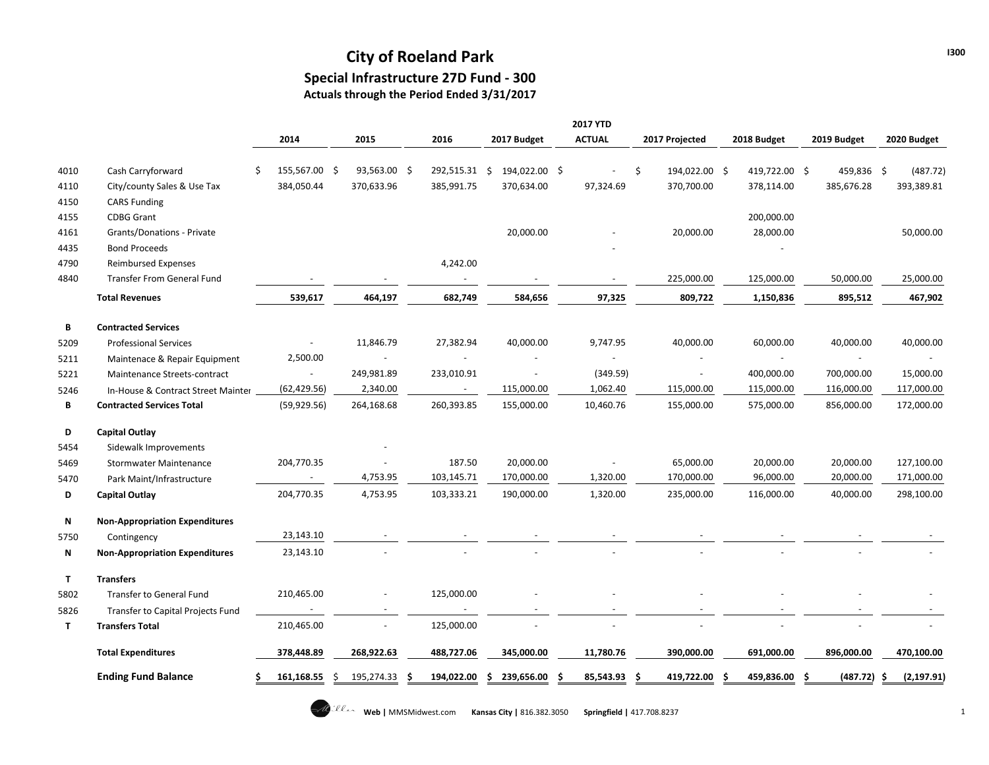## **City of Roeland Park Special Infrastructure 27D Fund - 300 Actuals through the Period Ended 3/31/2017**

|              |                                       |                     |    |              |            |                                     | <b>2017 YTD</b> |                     |    |               |   |             |             |
|--------------|---------------------------------------|---------------------|----|--------------|------------|-------------------------------------|-----------------|---------------------|----|---------------|---|-------------|-------------|
|              |                                       | 2014                |    | 2015         | 2016       | 2017 Budget                         | <b>ACTUAL</b>   | 2017 Projected      |    | 2018 Budget   |   | 2019 Budget | 2020 Budget |
| 4010         | Cash Carryforward                     | \$<br>155,567.00 \$ |    | 93,563.00 \$ | 292,515.31 | $\ddot{\varsigma}$<br>194,022.00 \$ |                 | \$<br>194,022.00 \$ |    | 419,722.00 \$ |   | 459,836 \$  | (487.72)    |
| 4110         | City/county Sales & Use Tax           | 384,050.44          |    | 370,633.96   | 385,991.75 | 370,634.00                          | 97,324.69       | 370,700.00          |    | 378,114.00    |   | 385,676.28  | 393,389.81  |
| 4150         | <b>CARS Funding</b>                   |                     |    |              |            |                                     |                 |                     |    |               |   |             |             |
| 4155         | <b>CDBG Grant</b>                     |                     |    |              |            |                                     |                 |                     |    | 200,000.00    |   |             |             |
| 4161         | Grants/Donations - Private            |                     |    |              |            | 20,000.00                           |                 | 20,000.00           |    | 28,000.00     |   |             | 50,000.00   |
| 4435         | <b>Bond Proceeds</b>                  |                     |    |              |            |                                     |                 |                     |    |               |   |             |             |
| 4790         | <b>Reimbursed Expenses</b>            |                     |    |              | 4,242.00   |                                     |                 |                     |    |               |   |             |             |
| 4840         | <b>Transfer From General Fund</b>     |                     |    |              |            |                                     |                 | 225,000.00          |    | 125,000.00    |   | 50,000.00   | 25,000.00   |
|              | <b>Total Revenues</b>                 | 539,617             |    | 464,197      | 682,749    | 584,656                             | 97,325          | 809,722             |    | 1,150,836     |   | 895,512     | 467,902     |
| В            | <b>Contracted Services</b>            |                     |    |              |            |                                     |                 |                     |    |               |   |             |             |
| 5209         | <b>Professional Services</b>          |                     |    | 11,846.79    | 27,382.94  | 40,000.00                           | 9,747.95        | 40,000.00           |    | 60,000.00     |   | 40,000.00   | 40,000.00   |
| 5211         | Maintenace & Repair Equipment         | 2,500.00            |    |              |            |                                     |                 |                     |    |               |   |             |             |
| 5221         | Maintenance Streets-contract          |                     |    | 249,981.89   | 233,010.91 |                                     | (349.59)        | $\blacksquare$      |    | 400,000.00    |   | 700,000.00  | 15,000.00   |
| 5246         | In-House & Contract Street Mainter    | (62, 429.56)        |    | 2,340.00     | $\sim$     | 115,000.00                          | 1,062.40        | 115,000.00          |    | 115,000.00    |   | 116,000.00  | 117,000.00  |
| В            | <b>Contracted Services Total</b>      | (59, 929.56)        |    | 264,168.68   | 260,393.85 | 155,000.00                          | 10,460.76       | 155,000.00          |    | 575,000.00    |   | 856,000.00  | 172,000.00  |
| D            | <b>Capital Outlay</b>                 |                     |    |              |            |                                     |                 |                     |    |               |   |             |             |
| 5454         | Sidewalk Improvements                 |                     |    |              |            |                                     |                 |                     |    |               |   |             |             |
| 5469         | <b>Stormwater Maintenance</b>         | 204,770.35          |    |              | 187.50     | 20,000.00                           |                 | 65,000.00           |    | 20,000.00     |   | 20,000.00   | 127,100.00  |
| 5470         | Park Maint/Infrastructure             |                     |    | 4,753.95     | 103,145.71 | 170,000.00                          | 1,320.00        | 170,000.00          |    | 96,000.00     |   | 20,000.00   | 171,000.00  |
| D            | Capital Outlay                        | 204,770.35          |    | 4,753.95     | 103,333.21 | 190,000.00                          | 1,320.00        | 235,000.00          |    | 116,000.00    |   | 40,000.00   | 298,100.00  |
| Ν            | <b>Non-Appropriation Expenditures</b> |                     |    |              |            |                                     |                 |                     |    |               |   |             |             |
| 5750         | Contingency                           | 23,143.10           |    |              |            |                                     |                 |                     |    |               |   |             |             |
| N            | <b>Non-Appropriation Expenditures</b> | 23,143.10           |    |              |            |                                     |                 |                     |    |               |   |             |             |
| $\mathbf{T}$ | <b>Transfers</b>                      |                     |    |              |            |                                     |                 |                     |    |               |   |             |             |
| 5802         | Transfer to General Fund              | 210,465.00          |    |              | 125,000.00 |                                     |                 |                     |    |               |   |             |             |
| 5826         | Transfer to Capital Projects Fund     |                     |    |              |            |                                     |                 |                     |    |               |   |             |             |
| T.           | <b>Transfers Total</b>                | 210,465.00          |    |              | 125,000.00 |                                     |                 |                     |    |               |   |             |             |
|              | <b>Total Expenditures</b>             | 378,448.89          |    | 268,922.63   | 488,727.06 | 345,000.00                          | 11,780.76       | 390,000.00          |    | 691,000.00    |   | 896,000.00  | 470,100.00  |
|              | <b>Ending Fund Balance</b>            | 161,168.55          | .S | 195,274.33   | 194,022.00 | 239,656.00<br>s                     | 85,543.93       | 419,722.00<br>S     | -S | 459,836.00    | S | (487.72)    | (2, 197.91) |
|              |                                       |                     |    |              |            |                                     |                 |                     |    |               |   |             |             |

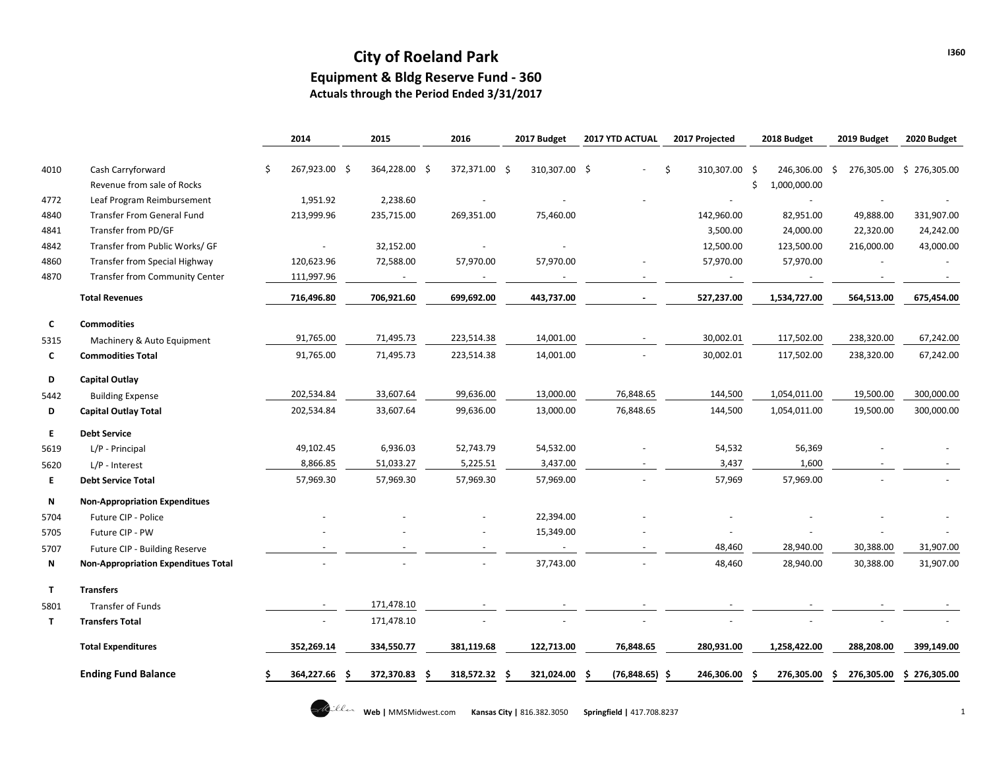## **City of Roeland Park Equipment & Bldg Reserve Fund - 360**

**Actuals through the Period Ended 3/31/2017**

|              |                                            | 2014          | 2015          | 2016            | 2017 Budget     | 2017 YTD ACTUAL    | 2017 Projected      | 2018 Budget       | 2019 Budget       | 2020 Budget              |
|--------------|--------------------------------------------|---------------|---------------|-----------------|-----------------|--------------------|---------------------|-------------------|-------------------|--------------------------|
|              |                                            |               |               |                 |                 |                    |                     |                   |                   |                          |
| 4010         | Cash Carryforward                          | 267,923.00 \$ | 364,228.00 \$ | 372,371.00 \$   | 310,307.00 \$   |                    | \$<br>310,307.00 \$ | 246,306.00        | -\$               | 276,305.00 \$ 276,305.00 |
|              | Revenue from sale of Rocks                 |               |               |                 |                 |                    |                     | 1,000,000.00<br>Ś |                   |                          |
| 4772         | Leaf Program Reimbursement                 | 1,951.92      | 2,238.60      |                 |                 |                    |                     |                   |                   |                          |
| 4840         | <b>Transfer From General Fund</b>          | 213,999.96    | 235,715.00    | 269,351.00      | 75,460.00       |                    | 142,960.00          | 82,951.00         | 49,888.00         | 331,907.00               |
| 4841         | Transfer from PD/GF                        |               |               |                 |                 |                    | 3,500.00            | 24,000.00         | 22,320.00         | 24,242.00                |
| 4842         | Transfer from Public Works/ GF             | $\omega$      | 32,152.00     |                 |                 |                    | 12,500.00           | 123,500.00        | 216,000.00        | 43,000.00                |
| 4860         | <b>Transfer from Special Highway</b>       | 120,623.96    | 72,588.00     | 57,970.00       | 57,970.00       |                    | 57,970.00           | 57,970.00         |                   |                          |
| 4870         | <b>Transfer from Community Center</b>      | 111,997.96    |               |                 |                 |                    |                     |                   |                   |                          |
|              | <b>Total Revenues</b>                      | 716,496.80    | 706,921.60    | 699,692.00      | 443,737.00      |                    | 527,237.00          | 1,534,727.00      | 564,513.00        | 675,454.00               |
| C            | <b>Commodities</b>                         |               |               |                 |                 |                    |                     |                   |                   |                          |
| 5315         | Machinery & Auto Equipment                 | 91,765.00     | 71,495.73     | 223,514.38      | 14,001.00       |                    | 30,002.01           | 117,502.00        | 238,320.00        | 67,242.00                |
| C            | <b>Commodities Total</b>                   | 91,765.00     | 71,495.73     | 223,514.38      | 14,001.00       |                    | 30,002.01           | 117,502.00        | 238,320.00        | 67,242.00                |
| D            | Capital Outlay                             |               |               |                 |                 |                    |                     |                   |                   |                          |
| 5442         | <b>Building Expense</b>                    | 202,534.84    | 33,607.64     | 99,636.00       | 13,000.00       | 76,848.65          | 144,500             | 1,054,011.00      | 19,500.00         | 300,000.00               |
| D            | <b>Capital Outlay Total</b>                | 202,534.84    | 33,607.64     | 99,636.00       | 13,000.00       | 76,848.65          | 144,500             | 1,054,011.00      | 19,500.00         | 300,000.00               |
| E            | <b>Debt Service</b>                        |               |               |                 |                 |                    |                     |                   |                   |                          |
| 5619         | L/P - Principal                            | 49,102.45     | 6,936.03      | 52,743.79       | 54,532.00       |                    | 54,532              | 56,369            |                   |                          |
| 5620         | $L/P$ - Interest                           | 8,866.85      | 51,033.27     | 5,225.51        | 3,437.00        |                    | 3,437               | 1,600             |                   |                          |
| E            | <b>Debt Service Total</b>                  | 57,969.30     | 57,969.30     | 57,969.30       | 57,969.00       |                    | 57,969              | 57,969.00         |                   |                          |
| N            | <b>Non-Appropriation Expenditues</b>       |               |               |                 |                 |                    |                     |                   |                   |                          |
| 5704         | Future CIP - Police                        |               |               |                 | 22,394.00       |                    |                     |                   |                   |                          |
| 5705         | Future CIP - PW                            |               |               |                 | 15,349.00       |                    |                     |                   |                   |                          |
| 5707         | Future CIP - Building Reserve              |               |               |                 | $\sim$          |                    | 48,460              | 28,940.00         | 30,388.00         | 31,907.00                |
| N            | <b>Non-Appropriation Expenditues Total</b> |               |               |                 | 37,743.00       |                    | 48,460              | 28,940.00         | 30,388.00         | 31,907.00                |
| $\mathsf{T}$ | <b>Transfers</b>                           |               |               |                 |                 |                    |                     |                   |                   |                          |
| 5801         | Transfer of Funds                          |               | 171,478.10    |                 |                 |                    |                     |                   |                   |                          |
| T            | <b>Transfers Total</b>                     |               | 171,478.10    |                 |                 |                    |                     |                   |                   |                          |
|              | <b>Total Expenditures</b>                  | 352,269.14    | 334,550.77    | 381,119.68      | 122,713.00      | 76,848.65          | 280,931.00          | 1,258,422.00      | 288,208.00        | 399,149.00               |
|              | <b>Ending Fund Balance</b>                 | 364,227.66    | 372,370.83    | 318,572.32<br>S | 321,024.00<br>S | (76, 848.65)<br>.S | 246,306.00<br>-\$   | 276,305.00        | 276,305.00<br>\$. | \$276,305.00             |

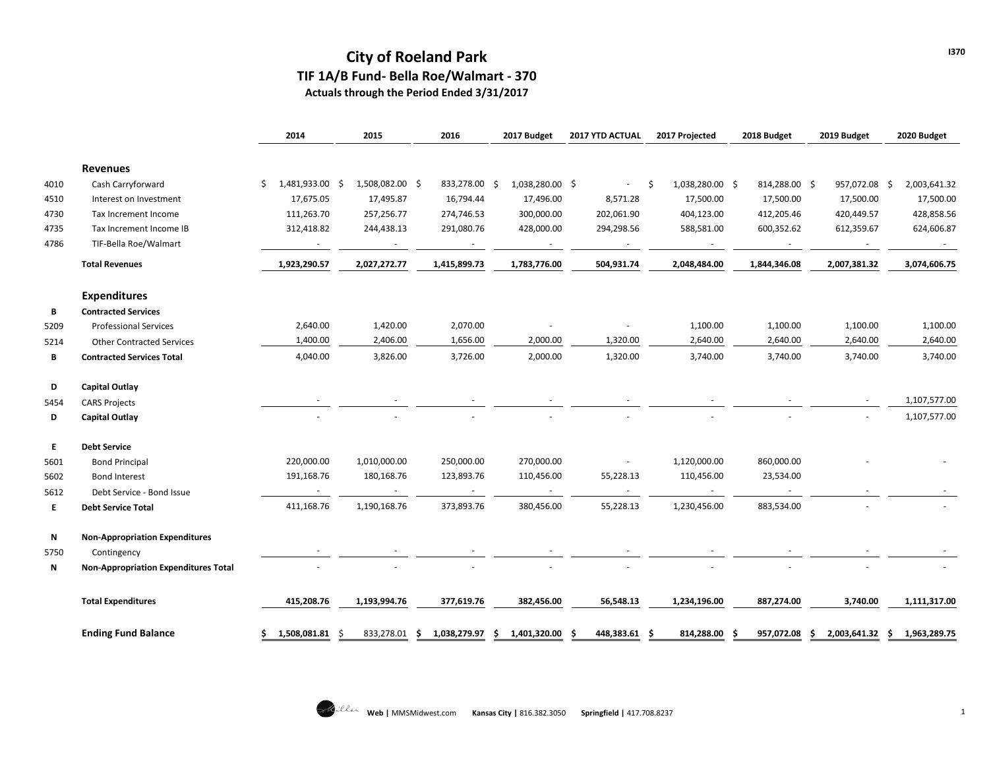# **City of Roeland Park TIF 1A/B Fund- Bella Roe/Walmart - 370**

**Actuals through the Period Ended 3/31/2017**

|      |                                             | 2014                  | 2015                   | 2016                 | 2017 Budget            | 2017 YTD ACTUAL | 2017 Projected       | 2018 Budget   | 2019 Budget           | 2020 Budget  |
|------|---------------------------------------------|-----------------------|------------------------|----------------------|------------------------|-----------------|----------------------|---------------|-----------------------|--------------|
|      | <b>Revenues</b>                             |                       |                        |                      |                        |                 |                      |               |                       |              |
| 4010 | Cash Carryforward                           | 1,481,933.00<br>S     | 1,508,082.00 \$<br>- S | 833,278.00           | 1,038,280.00 \$<br>-Ś  |                 | 1,038,280.00 \$<br>Ŝ | 814,288.00 \$ | 957,072.08 \$         | 2,003,641.32 |
| 4510 | Interest on Investment                      | 17,675.05             | 17,495.87              | 16,794.44            | 17,496.00              | 8,571.28        | 17,500.00            | 17,500.00     | 17,500.00             | 17,500.00    |
| 4730 | Tax Increment Income                        | 111,263.70            | 257,256.77             | 274,746.53           | 300,000.00             | 202,061.90      | 404,123.00           | 412,205.46    | 420,449.57            | 428,858.56   |
| 4735 | Tax Increment Income IB                     | 312,418.82            | 244,438.13             | 291,080.76           | 428,000.00             | 294,298.56      | 588,581.00           | 600,352.62    | 612,359.67            | 624,606.87   |
| 4786 | TIF-Bella Roe/Walmart                       |                       |                        |                      |                        |                 |                      |               |                       |              |
|      | <b>Total Revenues</b>                       | 1,923,290.57          | 2,027,272.77           | 1,415,899.73         | 1,783,776.00           | 504,931.74      | 2,048,484.00         | 1,844,346.08  | 2,007,381.32          | 3,074,606.75 |
|      | <b>Expenditures</b>                         |                       |                        |                      |                        |                 |                      |               |                       |              |
| В    | <b>Contracted Services</b>                  |                       |                        |                      |                        |                 |                      |               |                       |              |
| 5209 | <b>Professional Services</b>                | 2,640.00              | 1,420.00               | 2,070.00             |                        |                 | 1,100.00             | 1,100.00      | 1,100.00              | 1,100.00     |
| 5214 | <b>Other Contracted Services</b>            | 1,400.00              | 2,406.00               | 1,656.00             | 2,000.00               | 1,320.00        | 2,640.00             | 2,640.00      | 2,640.00              | 2,640.00     |
| В    | <b>Contracted Services Total</b>            | 4,040.00              | 3,826.00               | 3,726.00             | 2,000.00               | 1,320.00        | 3,740.00             | 3,740.00      | 3,740.00              | 3,740.00     |
| D    | <b>Capital Outlay</b>                       |                       |                        |                      |                        |                 |                      |               |                       |              |
| 5454 | <b>CARS Projects</b>                        |                       |                        |                      |                        |                 |                      |               |                       | 1,107,577.00 |
| D    | <b>Capital Outlay</b>                       |                       |                        |                      |                        |                 |                      |               |                       | 1,107,577.00 |
| E    | <b>Debt Service</b>                         |                       |                        |                      |                        |                 |                      |               |                       |              |
| 5601 | <b>Bond Principal</b>                       | 220,000.00            | 1,010,000.00           | 250,000.00           | 270,000.00             |                 | 1,120,000.00         | 860,000.00    |                       |              |
| 5602 | <b>Bond Interest</b>                        | 191,168.76            | 180,168.76             | 123,893.76           | 110,456.00             | 55,228.13       | 110,456.00           | 23,534.00     |                       |              |
| 5612 | Debt Service - Bond Issue                   | $\sim$                |                        | $\sim$               | $\sim$                 |                 | $\sim$               |               |                       |              |
| Е    | <b>Debt Service Total</b>                   | 411,168.76            | 1,190,168.76           | 373,893.76           | 380,456.00             | 55,228.13       | 1,230,456.00         | 883,534.00    |                       |              |
| N    | <b>Non-Appropriation Expenditures</b>       |                       |                        |                      |                        |                 |                      |               |                       |              |
| 5750 | Contingency                                 |                       |                        |                      |                        |                 |                      |               |                       |              |
| N    | <b>Non-Appropriation Expenditures Total</b> |                       |                        |                      |                        |                 |                      |               |                       |              |
|      | <b>Total Expenditures</b>                   | 415,208.76            | 1,193,994.76           | 377,619.76           | 382,456.00             | 56,548.13       | 1,234,196.00         | 887,274.00    | 3,740.00              | 1,111,317.00 |
|      | <b>Ending Fund Balance</b>                  | 1,508,081.81 \$<br>S. | 833,278.01             | 1,038,279.97<br>- \$ | 1,401,320.00 \$<br>-\$ | 448,383.61 \$   | 814,288.00 \$        | 957,072.08    | 2,003,641.32 \$<br>Ŝ. | 1,963,289.75 |

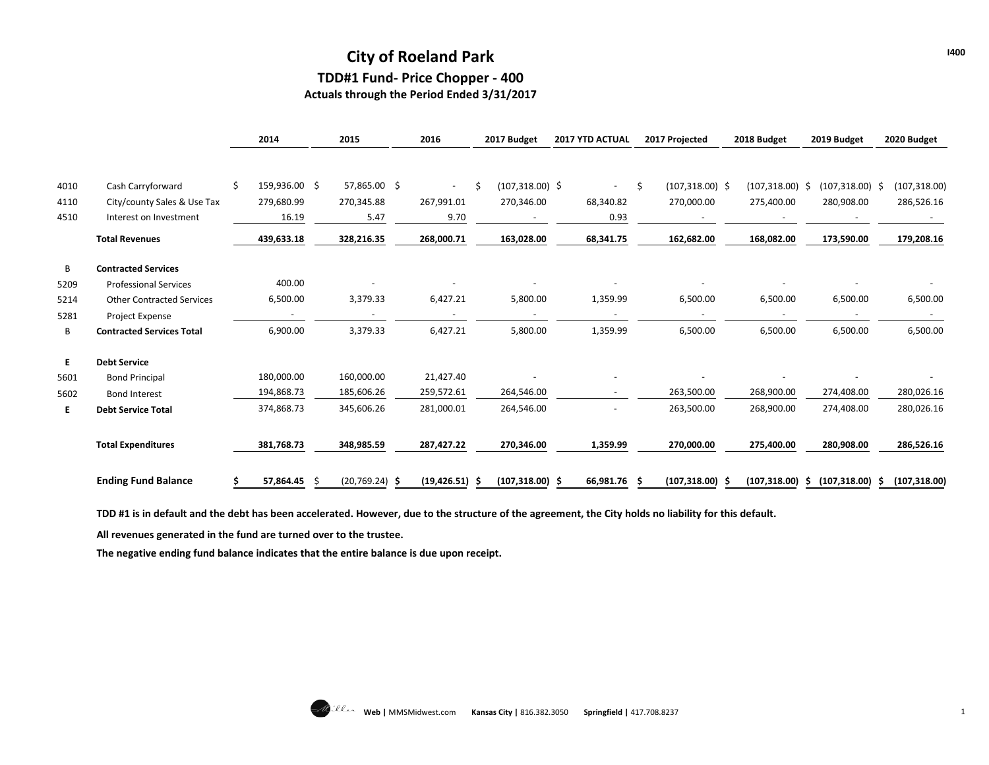## **City of Roeland Park TDD#1 Fund- Price Chopper - 400**

**Actuals through the Period Ended 3/31/2017**

|      |                                  |    | 2014          | 2015             | 2016                     |    | 2017 Budget       | 2017 YTD ACTUAL |    | 2017 Projected     | 2018 Budget       | 2019 Budget        | 2020 Budget   |
|------|----------------------------------|----|---------------|------------------|--------------------------|----|-------------------|-----------------|----|--------------------|-------------------|--------------------|---------------|
|      |                                  |    |               |                  |                          |    |                   |                 |    |                    |                   |                    |               |
| 4010 | Cash Carryforward                | Ŝ. | 159,936.00 \$ | 57,865.00 \$     | $\sim$                   | Ŝ. | $(107,318.00)$ \$ | $\sim$          | Ŝ. | $(107,318.00)$ \$  | $(107,318.00)$ \$ | $(107,318.00)$ \$  | (107, 318.00) |
| 4110 | City/county Sales & Use Tax      |    | 279,680.99    | 270,345.88       | 267,991.01               |    | 270,346.00        | 68,340.82       |    | 270,000.00         | 275,400.00        | 280,908.00         | 286,526.16    |
| 4510 | Interest on Investment           |    | 16.19         | 5.47             | 9.70                     |    |                   | 0.93            |    |                    |                   |                    |               |
|      | <b>Total Revenues</b>            |    | 439,633.18    | 328,216.35       | 268,000.71               |    | 163,028.00        | 68,341.75       |    | 162,682.00         | 168,082.00        | 173,590.00         | 179,208.16    |
| В    | <b>Contracted Services</b>       |    |               |                  |                          |    |                   |                 |    |                    |                   |                    |               |
| 5209 | <b>Professional Services</b>     |    | 400.00        |                  |                          |    |                   |                 |    |                    |                   |                    |               |
| 5214 | <b>Other Contracted Services</b> |    | 6,500.00      | 3,379.33         | 6,427.21                 |    | 5,800.00          | 1,359.99        |    | 6,500.00           | 6,500.00          | 6,500.00           | 6,500.00      |
| 5281 | Project Expense                  |    |               |                  | $\overline{\phantom{a}}$ |    |                   |                 |    |                    |                   |                    |               |
| В    | <b>Contracted Services Total</b> |    | 6,900.00      | 3,379.33         | 6,427.21                 |    | 5,800.00          | 1,359.99        |    | 6,500.00           | 6,500.00          | 6,500.00           | 6,500.00      |
| Е.   | <b>Debt Service</b>              |    |               |                  |                          |    |                   |                 |    |                    |                   |                    |               |
| 5601 | <b>Bond Principal</b>            |    | 180,000.00    | 160,000.00       | 21,427.40                |    |                   |                 |    |                    |                   |                    |               |
| 5602 | <b>Bond Interest</b>             |    | 194,868.73    | 185,606.26       | 259,572.61               |    | 264,546.00        |                 |    | 263,500.00         | 268,900.00        | 274,408.00         | 280,026.16    |
| E.   | <b>Debt Service Total</b>        |    | 374,868.73    | 345,606.26       | 281,000.01               |    | 264,546.00        |                 |    | 263,500.00         | 268,900.00        | 274,408.00         | 280,026.16    |
|      | <b>Total Expenditures</b>        |    | 381,768.73    | 348,985.59       | 287,427.22               |    | 270,346.00        | 1,359.99        |    | 270,000.00         | 275,400.00        | 280,908.00         | 286,526.16    |
|      | <b>Ending Fund Balance</b>       |    | 57,864.45     | $(20,769.24)$ \$ | $(19, 426.51)$ \$        |    | $(107,318.00)$ \$ | 66,981.76 \$    |    | $(107, 318.00)$ \$ | $(107,318.00)$ \$ | $(107, 318.00)$ \$ | (107, 318.00) |

**TDD #1 is in default and the debt has been accelerated. However, due to the structure of the agreement, the City holds no liability for this default.** 

**All revenues generated in the fund are turned over to the trustee.** 

**The negative ending fund balance indicates that the entire balance is due upon receipt.**

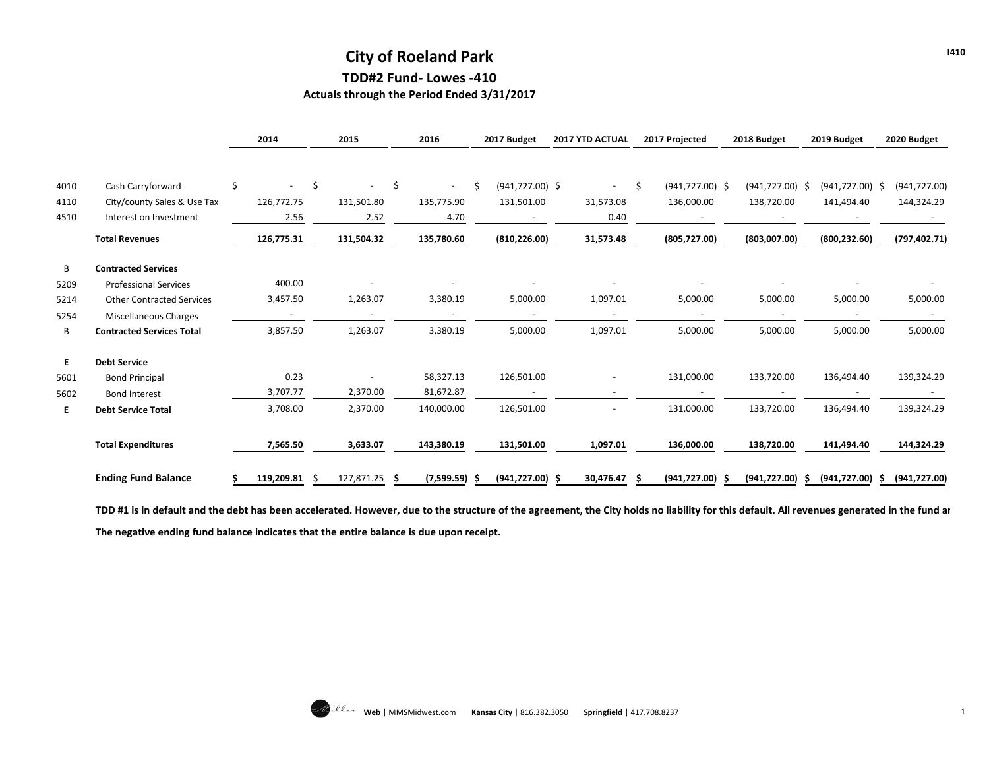## **City of Roeland Park TDD#2 Fund- Lowes -410**

**Actuals through the Period Ended 3/31/2017**

|      |                                  | 2014          | 2015         |     | 2016                     |    | 2017 Budget              | 2017 YTD ACTUAL |    | 2017 Projected     | 2018 Budget        |    | 2019 Budget        | 2020 Budget   |
|------|----------------------------------|---------------|--------------|-----|--------------------------|----|--------------------------|-----------------|----|--------------------|--------------------|----|--------------------|---------------|
|      |                                  |               |              |     |                          |    |                          |                 |    |                    |                    |    |                    |               |
| 4010 | Cash Carryforward                | \$            | \$<br>$\sim$ | -\$ | $\sim$                   | Ŝ. | $(941, 727.00)$ \$       | $\sim$          | Ŝ. | $(941, 727.00)$ \$ | $(941, 727.00)$ \$ |    | $(941, 727.00)$ \$ | (941, 727.00) |
| 4110 | City/county Sales & Use Tax      | 126,772.75    | 131,501.80   |     | 135,775.90               |    | 131,501.00               | 31,573.08       |    | 136,000.00         | 138,720.00         |    | 141,494.40         | 144,324.29    |
| 4510 | Interest on Investment           | 2.56          | 2.52         |     | 4.70                     |    |                          | 0.40            |    |                    |                    |    |                    |               |
|      | <b>Total Revenues</b>            | 126,775.31    | 131,504.32   |     | 135,780.60               |    | (810, 226.00)            | 31,573.48       |    | (805, 727.00)      | (803,007.00)       |    | (800, 232.60)      | (797, 402.71) |
| B    | <b>Contracted Services</b>       |               |              |     |                          |    |                          |                 |    |                    |                    |    |                    |               |
| 5209 | <b>Professional Services</b>     | 400.00        |              |     |                          |    |                          |                 |    |                    |                    |    |                    |               |
| 5214 | <b>Other Contracted Services</b> | 3,457.50      | 1,263.07     |     | 3,380.19                 |    | 5,000.00                 | 1,097.01        |    | 5,000.00           | 5,000.00           |    | 5,000.00           | 5,000.00      |
| 5254 | Miscellaneous Charges            |               |              |     | $\overline{\phantom{a}}$ |    | $\overline{\phantom{a}}$ |                 |    | $\sim$             |                    |    |                    |               |
| B    | <b>Contracted Services Total</b> | 3,857.50      | 1,263.07     |     | 3,380.19                 |    | 5,000.00                 | 1,097.01        |    | 5,000.00           | 5,000.00           |    | 5,000.00           | 5,000.00      |
| E.   | <b>Debt Service</b>              |               |              |     |                          |    |                          |                 |    |                    |                    |    |                    |               |
| 5601 | <b>Bond Principal</b>            | 0.23          |              |     | 58,327.13                |    | 126,501.00               |                 |    | 131,000.00         | 133,720.00         |    | 136,494.40         | 139,324.29    |
| 5602 | <b>Bond Interest</b>             | 3,707.77      | 2,370.00     |     | 81,672.87                |    | $\overline{\phantom{a}}$ |                 |    |                    |                    |    |                    |               |
| E.   | <b>Debt Service Total</b>        | 3,708.00      | 2,370.00     |     | 140,000.00               |    | 126,501.00               |                 |    | 131,000.00         | 133,720.00         |    | 136,494.40         | 139,324.29    |
|      | <b>Total Expenditures</b>        | 7,565.50      | 3,633.07     |     | 143,380.19               |    | 131,501.00               | 1,097.01        |    | 136,000.00         | 138,720.00         |    | 141,494.40         | 144,324.29    |
|      | <b>Ending Fund Balance</b>       | 119,209.81 \$ | 127,871.25   | - S | $(7,599.59)$ \$          |    | $(941, 727.00)$ \$       | 30,476.47 \$    |    | $(941, 727.00)$ \$ | (941, 727.00)      | -S | $(941, 727.00)$ \$ | (941, 727.00) |

TDD #1 is in default and the debt has been accelerated. However, due to the structure of the agreement, the City holds no liability for this default. All revenues generated in the fund ar **The negative ending fund balance indicates that the entire balance is due upon receipt.**

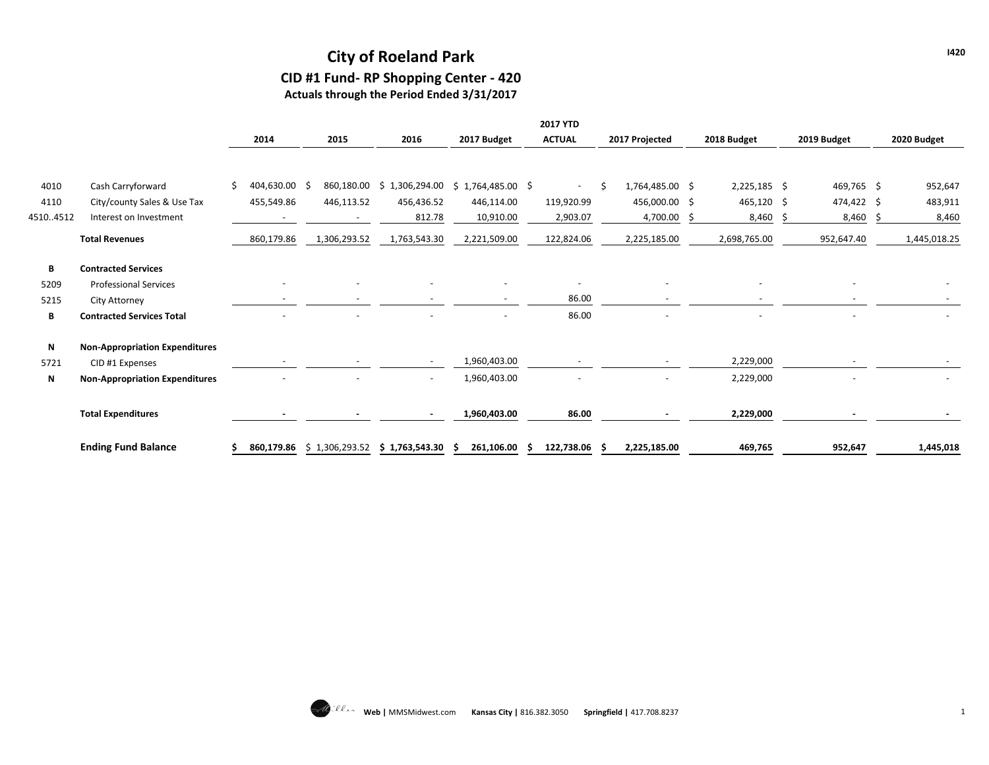# **City of Roeland Park**

# **CID #1 Fund- RP Shopping Center - 420**

**Actuals through the Period Ended 3/31/2017**

|          |                                       |    |            |    |                |                          |                                      | <b>2017 YTD</b>          |                |                 |  |                          |    |             |              |
|----------|---------------------------------------|----|------------|----|----------------|--------------------------|--------------------------------------|--------------------------|----------------|-----------------|--|--------------------------|----|-------------|--------------|
|          |                                       |    | 2014       |    | 2015           | 2016                     | 2017 Budget                          | <b>ACTUAL</b>            | 2017 Projected |                 |  | 2018 Budget              |    | 2019 Budget | 2020 Budget  |
|          |                                       |    |            |    |                |                          |                                      |                          |                |                 |  |                          |    |             |              |
| 4010     | Cash Carryforward                     | Š. | 404,630.00 | -S | 860,180.00     |                          | $$1,306,294.00 \t$ 1,764,485.00 \t$$ | $\overline{\phantom{0}}$ |                | 1,764,485.00 \$ |  | $2,225,185$ \$           |    | 469,765 \$  | 952,647      |
| 4110     | City/county Sales & Use Tax           |    | 455,549.86 |    | 446,113.52     | 456,436.52               | 446,114.00                           | 119,920.99               |                | 456,000.00 \$   |  | $465,120$ \$             |    | 474,422 \$  | 483,911      |
| 45104512 | Interest on Investment                |    |            |    |                | 812.78                   | 10,910.00                            | 2,903.07                 |                | 4,700.00        |  | 8,460                    | Ŝ. | 8,460       | 8,460        |
|          | <b>Total Revenues</b>                 |    | 860,179.86 |    | 1,306,293.52   | 1,763,543.30             | 2,221,509.00                         | 122,824.06               |                | 2,225,185.00    |  | 2,698,765.00             |    | 952,647.40  | 1,445,018.25 |
| B        | <b>Contracted Services</b>            |    |            |    |                |                          |                                      |                          |                |                 |  |                          |    |             |              |
| 5209     | <b>Professional Services</b>          |    |            |    |                |                          |                                      | $\overline{\phantom{a}}$ |                |                 |  | $\overline{\phantom{a}}$ |    |             |              |
| 5215     | City Attorney                         |    |            |    |                |                          |                                      | 86.00                    |                |                 |  |                          |    |             |              |
| B        | <b>Contracted Services Total</b>      |    |            |    |                |                          |                                      | 86.00                    |                |                 |  |                          |    |             |              |
| N        | <b>Non-Appropriation Expenditures</b> |    |            |    |                |                          |                                      |                          |                |                 |  |                          |    |             |              |
| 5721     | CID #1 Expenses                       |    |            |    |                |                          | 1,960,403.00                         |                          |                |                 |  | 2,229,000                |    |             |              |
| N        | <b>Non-Appropriation Expenditures</b> |    |            |    |                | $\overline{\phantom{a}}$ | 1,960,403.00                         |                          |                |                 |  | 2,229,000                |    |             |              |
|          | <b>Total Expenditures</b>             |    |            |    |                |                          | 1,960,403.00                         | 86.00                    |                |                 |  | 2,229,000                |    |             |              |
|          | <b>Ending Fund Balance</b>            |    | 860,179.86 |    | \$1,306,293.52 | \$1,763,543.30           | 261,106.00                           | 122,738.06               |                | 2,225,185.00    |  | 469,765                  |    | 952,647     | 1,445,018    |

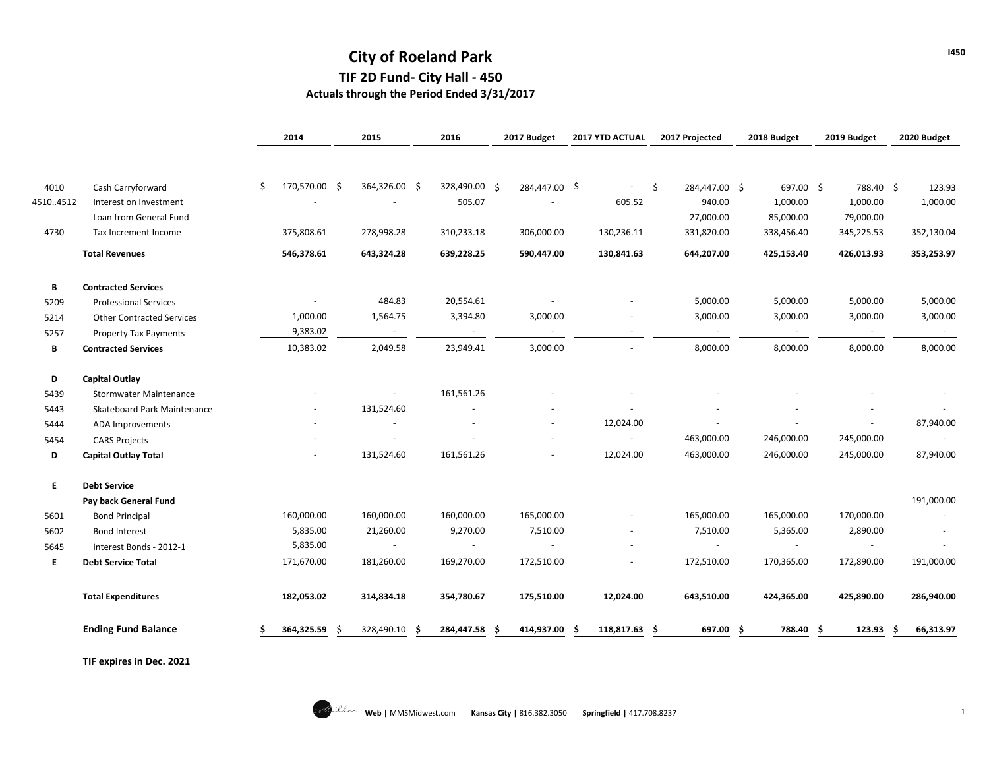## **City of Roeland Park TIF 2D Fund- City Hall - 450 Actuals through the Period Ended 3/31/2017**

|                                  | 2014                                                                                                                                                                                                                                        | 2015                 | 2016                       | 2017 Budget                            | 2017 YTD ACTUAL           | 2017 Projected              | 2018 Budget           | 2019 Budget                                      | 2020 Budget                        |
|----------------------------------|---------------------------------------------------------------------------------------------------------------------------------------------------------------------------------------------------------------------------------------------|----------------------|----------------------------|----------------------------------------|---------------------------|-----------------------------|-----------------------|--------------------------------------------------|------------------------------------|
|                                  |                                                                                                                                                                                                                                             |                      |                            |                                        |                           |                             |                       |                                                  |                                    |
|                                  | \$                                                                                                                                                                                                                                          |                      |                            |                                        |                           | -\$                         |                       | 788.40 \$                                        | 123.93                             |
| Interest on Investment           |                                                                                                                                                                                                                                             |                      | 505.07                     |                                        | 605.52                    | 940.00                      | 1,000.00              | 1,000.00                                         | 1,000.00                           |
| Loan from General Fund           |                                                                                                                                                                                                                                             |                      |                            |                                        |                           |                             |                       |                                                  |                                    |
| Tax Increment Income             | 375,808.61                                                                                                                                                                                                                                  | 278,998.28           | 310,233.18                 | 306,000.00                             | 130,236.11                | 331,820.00                  | 338,456.40            | 345,225.53                                       | 352,130.04                         |
|                                  | 546,378.61                                                                                                                                                                                                                                  | 643,324.28           | 639,228.25                 | 590,447.00                             | 130,841.63                | 644,207.00                  | 425,153.40            | 426,013.93                                       | 353,253.97                         |
|                                  |                                                                                                                                                                                                                                             |                      |                            |                                        |                           |                             |                       |                                                  |                                    |
| <b>Professional Services</b>     |                                                                                                                                                                                                                                             | 484.83               |                            |                                        |                           | 5,000.00                    | 5,000.00              | 5,000.00                                         | 5,000.00                           |
| <b>Other Contracted Services</b> | 1,000.00                                                                                                                                                                                                                                    | 1,564.75             | 3,394.80                   | 3,000.00                               |                           | 3,000.00                    | 3,000.00              | 3,000.00                                         | 3,000.00                           |
| <b>Property Tax Payments</b>     | 9,383.02                                                                                                                                                                                                                                    | $\sim$               | $\sim$                     | $\sim$                                 | $\sim$                    | $\sim$                      | $\sim$                | $\sim$                                           | $\sim$                             |
|                                  | 10,383.02                                                                                                                                                                                                                                   | 2,049.58             | 23,949.41                  | 3,000.00                               |                           | 8,000.00                    | 8,000.00              | 8,000.00                                         | 8,000.00                           |
|                                  |                                                                                                                                                                                                                                             |                      |                            |                                        |                           |                             |                       |                                                  |                                    |
| Stormwater Maintenance           |                                                                                                                                                                                                                                             | $\sim$               | 161,561.26                 |                                        |                           |                             |                       |                                                  |                                    |
| Skateboard Park Maintenance      |                                                                                                                                                                                                                                             | 131,524.60           |                            |                                        |                           |                             |                       |                                                  |                                    |
| ADA Improvements                 |                                                                                                                                                                                                                                             |                      |                            |                                        | 12,024.00                 |                             |                       | $\sim$                                           | 87,940.00                          |
| <b>CARS Projects</b>             | $\overline{a}$                                                                                                                                                                                                                              |                      |                            | $\sim$                                 | $\sim$                    | 463,000.00                  | 246,000.00            | 245,000.00                                       | $\sim$                             |
|                                  | $\overline{\phantom{a}}$                                                                                                                                                                                                                    | 131,524.60           | 161,561.26                 |                                        | 12,024.00                 | 463,000.00                  | 246,000.00            | 245,000.00                                       | 87,940.00                          |
|                                  |                                                                                                                                                                                                                                             |                      |                            |                                        |                           |                             |                       |                                                  |                                    |
|                                  |                                                                                                                                                                                                                                             |                      |                            |                                        |                           |                             |                       |                                                  | 191,000.00                         |
| <b>Bond Principal</b>            | 160,000.00                                                                                                                                                                                                                                  | 160,000.00           | 160,000.00                 | 165,000.00                             |                           | 165,000.00                  | 165,000.00            | 170,000.00                                       |                                    |
| <b>Bond Interest</b>             |                                                                                                                                                                                                                                             |                      |                            |                                        |                           |                             |                       |                                                  |                                    |
| Interest Bonds - 2012-1          |                                                                                                                                                                                                                                             | $\sim$               | $\sim$                     | $\sim$                                 | $\sim$                    | $\sim$                      | $\sim$                | $\sim$                                           |                                    |
| <b>Debt Service Total</b>        | 171,670.00                                                                                                                                                                                                                                  | 181,260.00           | 169,270.00                 | 172,510.00                             | $\overline{\phantom{a}}$  | 172,510.00                  | 170,365.00            | 172,890.00                                       | 191,000.00                         |
|                                  | 182,053.02                                                                                                                                                                                                                                  | 314,834.18           | 354,780.67                 | 175,510.00                             | 12,024.00                 | 643,510.00                  | 424,365.00            | 425,890.00                                       | 286,940.00                         |
| <b>Ending Fund Balance</b>       | 364,325.59                                                                                                                                                                                                                                  | 328,490.10           | 284,447.58<br>S            |                                        | 118,817.63                | .S                          | Ŝ.<br>788.40          | 123.93<br>Ŝ                                      | 66,313.97                          |
|                                  | Cash Carryforward<br><b>Total Revenues</b><br><b>Contracted Services</b><br><b>Contracted Services</b><br><b>Capital Outlay</b><br><b>Capital Outlay Total</b><br><b>Debt Service</b><br>Pay back General Fund<br><b>Total Expenditures</b> | 5,835.00<br>5,835.00 | 170,570.00 \$<br>21,260.00 | 364,326.00 \$<br>20,554.61<br>9,270.00 | 328,490.00 \$<br>7,510.00 | 284,447.00 \$<br>414,937.00 | 27,000.00<br>7,510.00 | 284,447.00 \$<br>85,000.00<br>5,365.00<br>697.00 | 697.00 \$<br>79,000.00<br>2,890.00 |

**TIF expires in Dec. 2021**

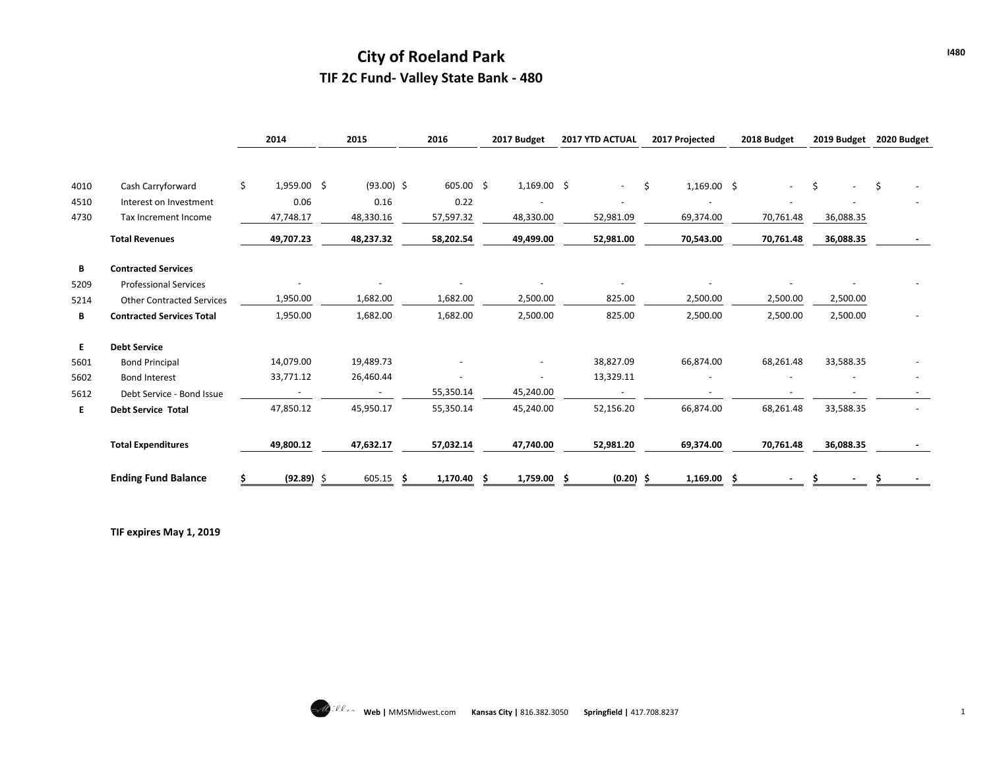## **City of Roeland Park TIF 2C Fund- Valley State Bank - 480**

|      |                                  |   | 2014                     | 2015                     |     | 2016      |    | 2017 Budget   |   | 2017 YTD ACTUAL          |    | 2017 Projected |   | 2018 Budget    |    | 2019 Budget | 2020 Budget |
|------|----------------------------------|---|--------------------------|--------------------------|-----|-----------|----|---------------|---|--------------------------|----|----------------|---|----------------|----|-------------|-------------|
|      |                                  | Ś | $1,959.00$ \$            | $(93.00)$ \$             |     | 605.00%   |    | $1,169.00$ \$ |   |                          |    |                |   |                |    |             | \$          |
| 4010 | Cash Carryforward                |   |                          |                          |     |           |    |               |   |                          | Ŝ. | $1,169.00$ \$  |   | $\blacksquare$ | Ś. |             |             |
| 4510 | Interest on Investment           |   | 0.06                     | 0.16                     |     | 0.22      |    |               |   |                          |    |                |   |                |    |             |             |
| 4730 | Tax Increment Income             |   | 47,748.17                | 48,330.16                |     | 57,597.32 |    | 48,330.00     |   | 52,981.09                |    | 69,374.00      |   | 70,761.48      |    | 36,088.35   |             |
|      | <b>Total Revenues</b>            |   | 49,707.23                | 48,237.32                |     | 58,202.54 |    | 49,499.00     |   | 52,981.00                |    | 70,543.00      |   | 70,761.48      |    | 36,088.35   |             |
| В    | <b>Contracted Services</b>       |   |                          |                          |     |           |    |               |   |                          |    |                |   |                |    |             |             |
| 5209 | <b>Professional Services</b>     |   |                          |                          |     |           |    |               |   |                          |    |                |   |                |    |             |             |
| 5214 | <b>Other Contracted Services</b> |   | 1,950.00                 | 1,682.00                 |     | 1,682.00  |    | 2,500.00      |   | 825.00                   |    | 2,500.00       |   | 2,500.00       |    | 2,500.00    |             |
| В    | <b>Contracted Services Total</b> |   | 1,950.00                 | 1,682.00                 |     | 1,682.00  |    | 2,500.00      |   | 825.00                   |    | 2,500.00       |   | 2,500.00       |    | 2,500.00    |             |
| E.   | <b>Debt Service</b>              |   |                          |                          |     |           |    |               |   |                          |    |                |   |                |    |             |             |
| 5601 | <b>Bond Principal</b>            |   | 14,079.00                | 19,489.73                |     |           |    |               |   | 38,827.09                |    | 66,874.00      |   | 68,261.48      |    | 33,588.35   |             |
| 5602 | <b>Bond Interest</b>             |   | 33,771.12                | 26,460.44                |     |           |    |               |   | 13,329.11                |    |                |   |                |    |             |             |
| 5612 | Debt Service - Bond Issue        |   | $\overline{\phantom{a}}$ | $\overline{\phantom{a}}$ |     | 55,350.14 |    | 45,240.00     |   | $\overline{\phantom{a}}$ |    | $\equiv$       |   |                |    | ٠           |             |
| E.   | <b>Debt Service Total</b>        |   | 47,850.12                | 45,950.17                |     | 55,350.14 |    | 45,240.00     |   | 52,156.20                |    | 66,874.00      |   | 68,261.48      |    | 33,588.35   |             |
|      | <b>Total Expenditures</b>        |   | 49,800.12                | 47,632.17                |     | 57,032.14 |    | 47,740.00     |   | 52,981.20                |    | 69,374.00      |   | 70,761.48      |    | 36,088.35   |             |
|      | <b>Ending Fund Balance</b>       |   | $(92.89)$ \$             | 605.15                   | - S | 1,170.40  | -S | 1,759.00      | S | (0.20)                   | -S | 1,169.00       | Ŝ |                |    |             |             |

**TIF expires May 1, 2019**

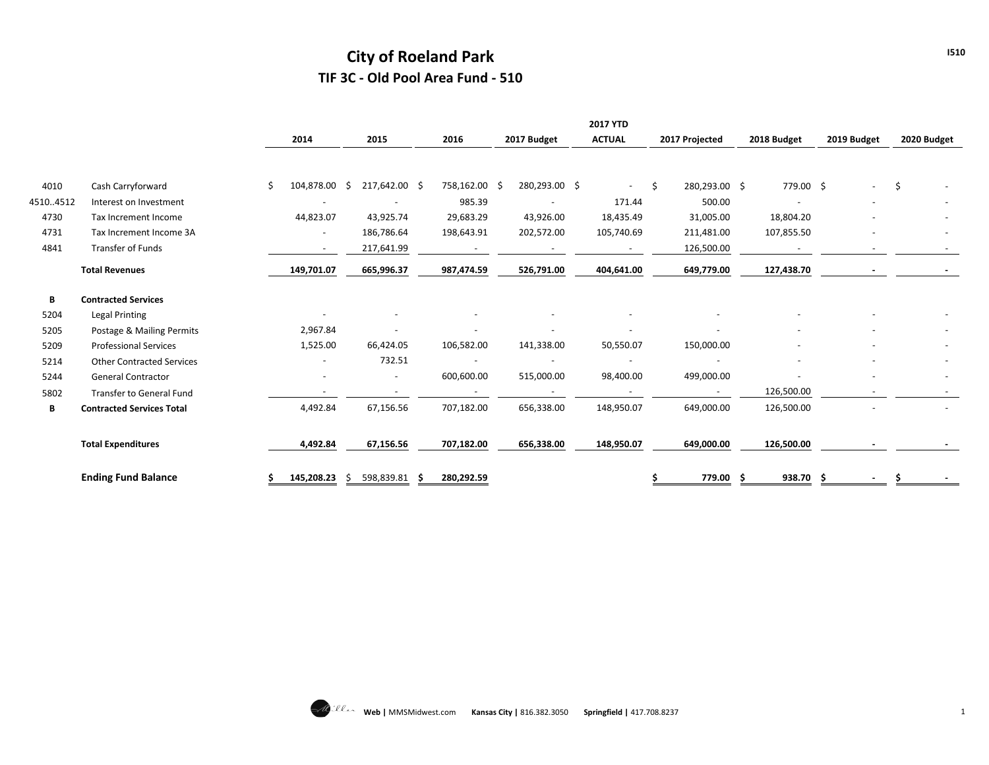## **City of Roeland Park TIF 3C - Old Pool Area Fund - 510**

|          |                                  |                     |                          |      |               |                          | <b>2017 YTD</b>          |    |                |              |             |             |
|----------|----------------------------------|---------------------|--------------------------|------|---------------|--------------------------|--------------------------|----|----------------|--------------|-------------|-------------|
|          |                                  | 2014                | 2015                     | 2016 |               | 2017 Budget              | <b>ACTUAL</b>            |    | 2017 Projected | 2018 Budget  | 2019 Budget | 2020 Budget |
|          |                                  |                     |                          |      |               |                          |                          |    |                |              |             |             |
| 4010     | Cash Carryforward                | \$<br>104,878.00 \$ | 217,642.00 \$            |      | 758,162.00 \$ | 280,293.00 \$            | $\sim$                   | Ŝ. | 280,293.00 \$  | 779.00 \$    |             | \$          |
| 45104512 | Interest on Investment           |                     |                          |      | 985.39        |                          | 171.44                   |    | 500.00         |              |             |             |
| 4730     | Tax Increment Income             | 44,823.07           | 43,925.74                |      | 29,683.29     | 43,926.00                | 18,435.49                |    | 31,005.00      | 18,804.20    |             |             |
| 4731     | Tax Increment Income 3A          |                     | 186,786.64               |      | 198,643.91    | 202,572.00               | 105,740.69               |    | 211,481.00     | 107,855.50   |             |             |
| 4841     | Transfer of Funds                |                     | 217,641.99               |      |               |                          | $\overline{\phantom{a}}$ |    | 126,500.00     |              |             |             |
|          | <b>Total Revenues</b>            | 149,701.07          | 665,996.37               |      | 987,474.59    | 526,791.00               | 404,641.00               |    | 649,779.00     | 127,438.70   |             |             |
| В        | <b>Contracted Services</b>       |                     |                          |      |               |                          |                          |    |                |              |             |             |
| 5204     | <b>Legal Printing</b>            |                     |                          |      |               |                          |                          |    |                |              |             |             |
| 5205     | Postage & Mailing Permits        | 2,967.84            |                          |      |               | $\overline{\phantom{a}}$ | $\overline{\phantom{a}}$ |    |                |              |             |             |
| 5209     | <b>Professional Services</b>     | 1,525.00            | 66,424.05                |      | 106,582.00    | 141,338.00               | 50,550.07                |    | 150,000.00     |              |             |             |
| 5214     | <b>Other Contracted Services</b> |                     | 732.51                   |      |               |                          |                          |    |                |              |             |             |
| 5244     | <b>General Contractor</b>        |                     | $\overline{\phantom{a}}$ |      | 600,600.00    | 515,000.00               | 98,400.00                |    | 499,000.00     |              |             |             |
| 5802     | Transfer to General Fund         |                     |                          |      |               |                          |                          |    |                | 126,500.00   |             |             |
| B        | <b>Contracted Services Total</b> | 4,492.84            | 67,156.56                |      | 707,182.00    | 656,338.00               | 148,950.07               |    | 649,000.00     | 126,500.00   |             |             |
|          | <b>Total Expenditures</b>        | 4,492.84            | 67,156.56                |      | 707,182.00    | 656,338.00               | 148,950.07               |    | 649,000.00     | 126,500.00   |             |             |
|          | <b>Ending Fund Balance</b>       | 145,208.23          | 598,839.81<br>S.         | -S   | 280,292.59    |                          |                          |    | 779.00         | 938.70<br>-S |             |             |